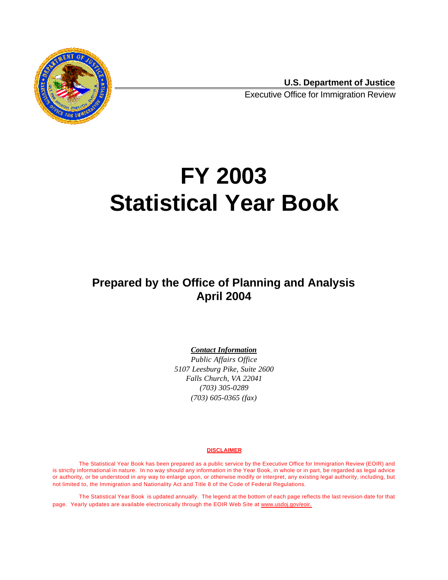

**U.S. Department of Justice** Executive Office for Immigration Review

# **FY 2003 Statistical Year Book**

# **Prepared by the Office of Planning and Analysis April 2004**

#### *Contact Information*

*Public Affairs Office 5107 Leesburg Pike, Suite 2600 Falls Church, VA 22041 (703) 305-0289 (703) 605-0365 (fax)*

#### **DISCLAIMER**

The Statistical Year Book has been prepared as a public service by the Executive Office for Immigration Review (EOIR) and is strictly informational in nature. In no way should any information in the Year Book, in whole or in part, be regarded as legal advice or authority, or be understood in any way to enlarge upon, or otherwise modify or interpret, any existing legal authority, including, but not limited to, the Immigration and Nationality Act and Title 8 of the Code of Federal Regulations.

The Statistical Year Book is updated annually. The legend at the bottom of each page reflects the last revision date for that page. Yearly updates are available electronically through the EOIR Web Site at www.usdoj.gov/eoir.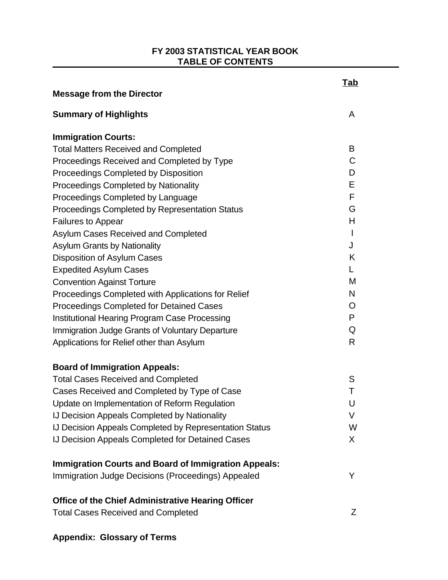#### **FY 2003 STATISTICAL YEAR BOOK TABLE OF CONTENTS**

| <b>Message from the Director</b>                            | <u>Tab</u>   |
|-------------------------------------------------------------|--------------|
| <b>Summary of Highlights</b>                                | A            |
| <b>Immigration Courts:</b>                                  |              |
| <b>Total Matters Received and Completed</b>                 | B            |
| Proceedings Received and Completed by Type                  | C            |
| Proceedings Completed by Disposition                        | D            |
| <b>Proceedings Completed by Nationality</b>                 | Е            |
| Proceedings Completed by Language                           | F            |
| Proceedings Completed by Representation Status              | G            |
| Failures to Appear                                          | H            |
| Asylum Cases Received and Completed                         | $\mathbf{I}$ |
| <b>Asylum Grants by Nationality</b>                         | J            |
| Disposition of Asylum Cases                                 | K            |
| <b>Expedited Asylum Cases</b>                               | L            |
| <b>Convention Against Torture</b>                           | M            |
| Proceedings Completed with Applications for Relief          | N            |
| <b>Proceedings Completed for Detained Cases</b>             | O            |
| Institutional Hearing Program Case Processing               | P            |
| Immigration Judge Grants of Voluntary Departure             | Q            |
| Applications for Relief other than Asylum                   | R            |
| <b>Board of Immigration Appeals:</b>                        |              |
| <b>Total Cases Received and Completed</b>                   | S            |
| Cases Received and Completed by Type of Case                | T            |
| Update on Implementation of Reform Regulation               | U            |
| <b>IJ Decision Appeals Completed by Nationality</b>         | V            |
| IJ Decision Appeals Completed by Representation Status      | W            |
| IJ Decision Appeals Completed for Detained Cases            | $X_{\cdot}$  |
| <b>Immigration Courts and Board of Immigration Appeals:</b> |              |
| Immigration Judge Decisions (Proceedings) Appealed          | Y            |
| <b>Office of the Chief Administrative Hearing Officer</b>   |              |
| <b>Total Cases Received and Completed</b>                   | Z            |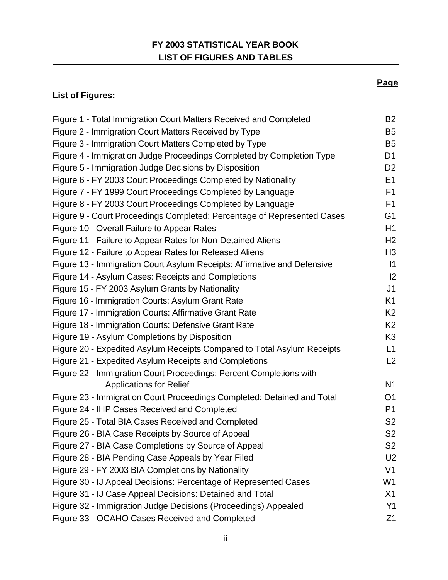# **FY 2003 STATISTICAL YEAR BOOK LIST OF FIGURES AND TABLES**

# **List of Figures:**

| Figure 1 - Total Immigration Court Matters Received and Completed        | <b>B2</b>      |
|--------------------------------------------------------------------------|----------------|
| Figure 2 - Immigration Court Matters Received by Type                    | B <sub>5</sub> |
| Figure 3 - Immigration Court Matters Completed by Type                   | B <sub>5</sub> |
| Figure 4 - Immigration Judge Proceedings Completed by Completion Type    | D <sub>1</sub> |
| Figure 5 - Immigration Judge Decisions by Disposition                    | D <sub>2</sub> |
| Figure 6 - FY 2003 Court Proceedings Completed by Nationality            | E <sub>1</sub> |
| Figure 7 - FY 1999 Court Proceedings Completed by Language               | F <sub>1</sub> |
| Figure 8 - FY 2003 Court Proceedings Completed by Language               | F <sub>1</sub> |
| Figure 9 - Court Proceedings Completed: Percentage of Represented Cases  | G <sub>1</sub> |
| Figure 10 - Overall Failure to Appear Rates                              | H <sub>1</sub> |
| Figure 11 - Failure to Appear Rates for Non-Detained Aliens              | H <sub>2</sub> |
| Figure 12 - Failure to Appear Rates for Released Aliens                  | H <sub>3</sub> |
| Figure 13 - Immigration Court Asylum Receipts: Affirmative and Defensive | $\vert$ 1      |
| Figure 14 - Asylum Cases: Receipts and Completions                       | 2              |
| Figure 15 - FY 2003 Asylum Grants by Nationality                         | J <sub>1</sub> |
| Figure 16 - Immigration Courts: Asylum Grant Rate                        | K <sub>1</sub> |
| Figure 17 - Immigration Courts: Affirmative Grant Rate                   | K <sub>2</sub> |
| Figure 18 - Immigration Courts: Defensive Grant Rate                     | K <sub>2</sub> |
| Figure 19 - Asylum Completions by Disposition                            | K <sub>3</sub> |
| Figure 20 - Expedited Asylum Receipts Compared to Total Asylum Receipts  | L1             |
| Figure 21 - Expedited Asylum Receipts and Completions                    | L2             |
| Figure 22 - Immigration Court Proceedings: Percent Completions with      |                |
| <b>Applications for Relief</b>                                           | N <sub>1</sub> |
| Figure 23 - Immigration Court Proceedings Completed: Detained and Total  | O <sub>1</sub> |
| Figure 24 - IHP Cases Received and Completed                             | P <sub>1</sub> |
| Figure 25 - Total BIA Cases Received and Completed                       | S <sub>2</sub> |
| Figure 26 - BIA Case Receipts by Source of Appeal                        | S <sub>2</sub> |
| Figure 27 - BIA Case Completions by Source of Appeal                     | S <sub>2</sub> |
| Figure 28 - BIA Pending Case Appeals by Year Filed                       | U <sub>2</sub> |
| Figure 29 - FY 2003 BIA Completions by Nationality                       | V <sub>1</sub> |
| Figure 30 - IJ Appeal Decisions: Percentage of Represented Cases         | W <sub>1</sub> |
| Figure 31 - IJ Case Appeal Decisions: Detained and Total                 | X1             |
| Figure 32 - Immigration Judge Decisions (Proceedings) Appealed           | Y1             |
| Figure 33 - OCAHO Cases Received and Completed                           | Z1             |
|                                                                          |                |

#### **Page**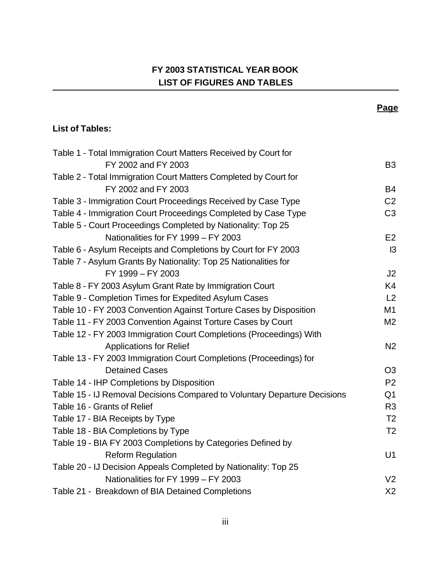# **FY 2003 STATISTICAL YEAR BOOK LIST OF FIGURES AND TABLES**

**Page**

#### **List of Tables:**

| Table 1 - Total Immigration Court Matters Received by Court for           |                |
|---------------------------------------------------------------------------|----------------|
| FY 2002 and FY 2003                                                       | B <sub>3</sub> |
| Table 2 - Total Immigration Court Matters Completed by Court for          |                |
| FY 2002 and FY 2003                                                       | B4             |
| Table 3 - Immigration Court Proceedings Received by Case Type             | C <sub>2</sub> |
| Table 4 - Immigration Court Proceedings Completed by Case Type            | C <sub>3</sub> |
| Table 5 - Court Proceedings Completed by Nationality: Top 25              |                |
| Nationalities for FY 1999 - FY 2003                                       | E <sub>2</sub> |
| Table 6 - Asylum Receipts and Completions by Court for FY 2003            | $\mathsf{I}3$  |
| Table 7 - Asylum Grants By Nationality: Top 25 Nationalities for          |                |
| FY 1999 - FY 2003                                                         | J2             |
| Table 8 - FY 2003 Asylum Grant Rate by Immigration Court                  | K4             |
| Table 9 - Completion Times for Expedited Asylum Cases                     | L2             |
| Table 10 - FY 2003 Convention Against Torture Cases by Disposition        | M1             |
| Table 11 - FY 2003 Convention Against Torture Cases by Court              | M <sub>2</sub> |
| Table 12 - FY 2003 Immigration Court Completions (Proceedings) With       |                |
| <b>Applications for Relief</b>                                            | N <sub>2</sub> |
| Table 13 - FY 2003 Immigration Court Completions (Proceedings) for        |                |
| <b>Detained Cases</b>                                                     | O <sub>3</sub> |
| Table 14 - IHP Completions by Disposition                                 | P <sub>2</sub> |
| Table 15 - IJ Removal Decisions Compared to Voluntary Departure Decisions | Q <sub>1</sub> |
| Table 16 - Grants of Relief                                               | R <sub>3</sub> |
| Table 17 - BIA Receipts by Type                                           | T <sub>2</sub> |
| Table 18 - BIA Completions by Type                                        | T <sub>2</sub> |
| Table 19 - BIA FY 2003 Completions by Categories Defined by               |                |
| <b>Reform Regulation</b>                                                  | U1             |
| Table 20 - IJ Decision Appeals Completed by Nationality: Top 25           |                |
| Nationalities for FY 1999 - FY 2003                                       | V <sub>2</sub> |
| Table 21 - Breakdown of BIA Detained Completions                          | X <sub>2</sub> |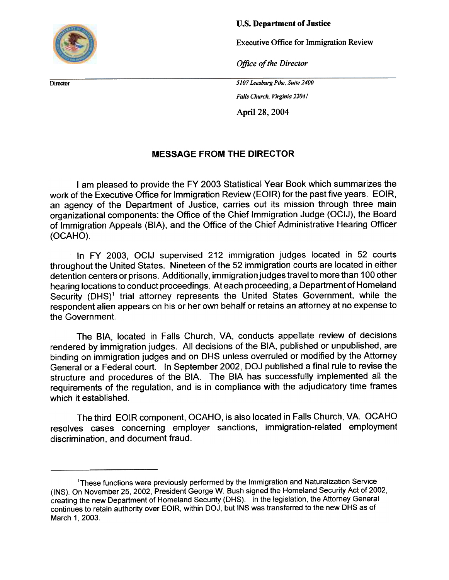<span id="page-4-0"></span>

u.s. Department of Justice

Executive Office for Immigration Review

Office of the Director

**Director** 5107 Leesburg Pike, Suite 2400

Falls Church. Virginia 22041

April 28, 2004

#### MESSAGE FROM THE DIRECTOR

I am pleased to provide the FY 2003 Statistical Year Book which summarizes the work of the Executive Office for Immigration Review (EOIR) for the past five years. EOIR, an agency of the Department of Justice, carries out its mission through three main organizational components: the Office of the Chief Immigration Judge (OCIJ), the Board of Immigration Appeals (BIA), and the Office of the Chief Administrative Hearing Officer (OCAHO).

In FY 2003, OCIJ supervised 212 immigration judges located in 52 courts throughout the United States. Nineteen of the 52 immigration courts are located in either detention centers or prisons. Additionally, immigration judges travel to more than 100 other hearing locations to conduct proceedings. At each proceeding, a Department of Homeland Security (DHS)<sup>1</sup> trial attorney represents the United States Government, while the respondent alien appears on his or her own behalf or retains an attorney at no expense to the Government.

The BIA, located in Falls Church, VA, conducts appellate review of decisions rendered by immigration judges. All decisions of the BIA, published or unpublished, are binding on immigration judges and on DHS unless overruled or modified by the Attorney General or a Federal court. In September 2002, DOJ published a final rule to revise the structure and procedures of the BIA. The BIA has successfully implemented all the requirements of the regulation, and is in compliance with the adjudicatory time frames which it established.

The third EOIR component, OCAHO, is also located in Falls Church, VA. OCAHO resolves cases concerning employer sanctions, immigration-related employment discrimination, and document fraud.

<sup>&</sup>lt;sup>1</sup>These functions were previously performed by the Immigration and Naturalization Service (INS). On November 25, 2002, President George W. Bush signed the Homeland Security Act of 2002, creating the new Department of Homeland Security (DHS). In the legislation, the Attorney General continues to retain authority over EOIR, within DOJ, but INS was transferred to the new DHS as of March 1, 2003.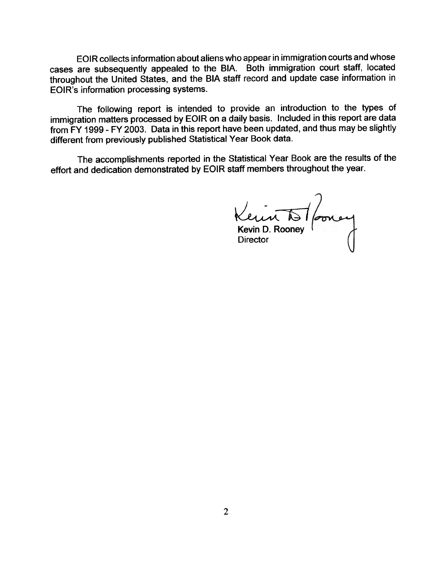EOIR collects information about aliens who appear in immigration courts and whose cases are subsequently appealed to the BIA. Both immigration court staff, located throughout the United States, and the BIA staff record and update case information in EOIR's information processing systems.

The following report is intended to provide an introduction to the types of immigration matters processed by EOIR on a daily basis. Included in this report are data from FY 1999 -FY 2003. Data in this report have been updated, and thus may be slightly different from previously published Statistical Year Book data.

The accomplishments reported in the Statistical Year Book are the results of the effort and dedication demonstrated by EOIR staff members throughout the year.

 $\mathbf{v}$ Kevin D. Rooney Director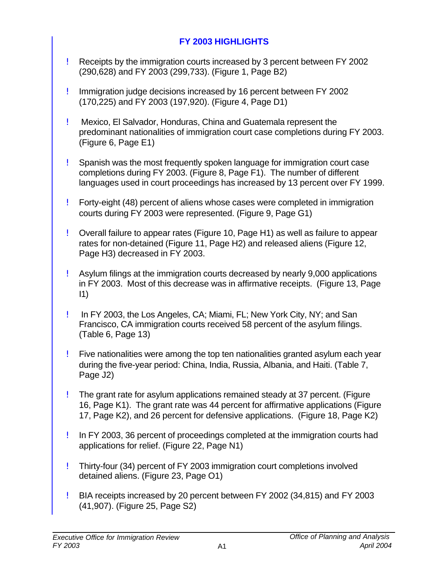# **FY 2003 HIGHLIGHTS**

- <span id="page-6-0"></span>! Receipts by the immigration courts increased by 3 percent between FY 2002 (290,628) and FY 2003 (299,733). (Figure 1, Page B2)
- ! Immigration judge decisions increased by 16 percent between FY 2002 (170,225) and FY 2003 (197,920). (Figure 4, Page D1)
- ! Mexico, El Salvador, Honduras, China and Guatemala represent the predominant nationalities of immigration court case completions during FY 2003. (Figure 6, Page E1)
- ! Spanish was the most frequently spoken language for immigration court case completions during FY 2003. (Figure 8, Page F1). The number of different languages used in court proceedings has increased by 13 percent over FY 1999.
- ! Forty-eight (48) percent of aliens whose cases were completed in immigration courts during FY 2003 were represented. (Figure 9, Page G1)
- ! Overall failure to appear rates (Figure 10, Page H1) as well as failure to appear rates for non-detained (Figure 11, Page H2) and released aliens (Figure 12, Page H3) decreased in FY 2003.
- ! Asylum filings at the immigration courts decreased by nearly 9,000 applications in FY 2003. Most of this decrease was in affirmative receipts. (Figure 13, Page  $\vert 1 \rangle$
- ! In FY 2003, the Los Angeles, CA; Miami, FL; New York City, NY; and San Francisco, CA immigration courts received 58 percent of the asylum filings. (Table 6, Page 13)
- ! Five nationalities were among the top ten nationalities granted asylum each year during the five-year period: China, India, Russia, Albania, and Haiti. (Table 7, Page J2)
- ! The grant rate for asylum applications remained steady at 37 percent. (Figure 16, Page K1). The grant rate was 44 percent for affirmative applications (Figure 17, Page K2), and 26 percent for defensive applications. (Figure 18, Page K2)
- ! In FY 2003, 36 percent of proceedings completed at the immigration courts had applications for relief. (Figure 22, Page N1)
- ! Thirty-four (34) percent of FY 2003 immigration court completions involved detained aliens. (Figure 23, Page O1)
- ! BIA receipts increased by 20 percent between FY 2002 (34,815) and FY 2003 (41,907). (Figure 25, Page S2)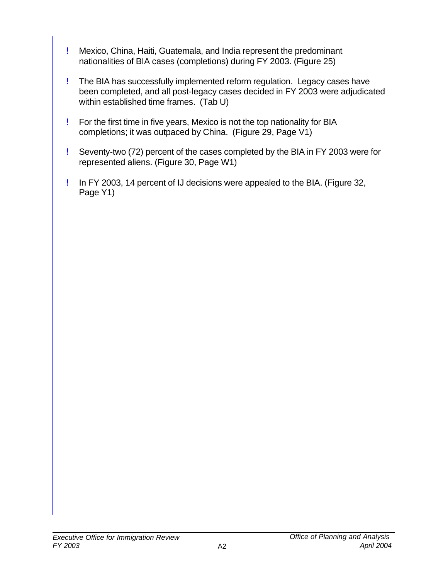- ! Mexico, China, Haiti, Guatemala, and India represent the predominant nationalities of BIA cases (completions) during FY 2003. (Figure 25)
- ! The BIA has successfully implemented reform regulation. Legacy cases have been completed, and all post-legacy cases decided in FY 2003 were adjudicated within established time frames. (Tab U)
- ! For the first time in five years, Mexico is not the top nationality for BIA completions; it was outpaced by China. (Figure 29, Page V1)
- ! Seventy-two (72) percent of the cases completed by the BIA in FY 2003 were for represented aliens. (Figure 30, Page W1)
- ! In FY 2003, 14 percent of IJ decisions were appealed to the BIA. (Figure 32, Page Y1)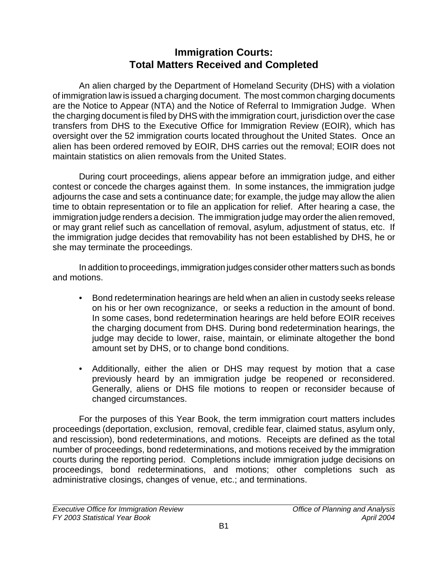# **Immigration Courts: Total Matters Received and Completed**

<span id="page-8-0"></span>An alien charged by the Department of Homeland Security (DHS) with a violation of immigration law is issued a charging document. The most common charging documents are the Notice to Appear (NTA) and the Notice of Referral to Immigration Judge. When the charging document is filed by DHS with the immigration court, jurisdiction over the case transfers from DHS to the Executive Office for Immigration Review (EOIR), which has oversight over the 52 immigration courts located throughout the United States. Once an alien has been ordered removed by EOIR, DHS carries out the removal; EOIR does not maintain statistics on alien removals from the United States.

During court proceedings, aliens appear before an immigration judge, and either contest or concede the charges against them. In some instances, the immigration judge adjourns the case and sets a continuance date; for example, the judge may allow the alien time to obtain representation or to file an application for relief. After hearing a case, the immigration judge renders a decision. The immigration judge may order the alien removed, or may grant relief such as cancellation of removal, asylum, adjustment of status, etc. If the immigration judge decides that removability has not been established by DHS, he or she may terminate the proceedings.

In addition to proceedings, immigration judges consider other matters such as bonds and motions.

- Bond redetermination hearings are held when an alien in custody seeks release on his or her own recognizance, or seeks a reduction in the amount of bond. In some cases, bond redetermination hearings are held before EOIR receives the charging document from DHS. During bond redetermination hearings, the judge may decide to lower, raise, maintain, or eliminate altogether the bond amount set by DHS, or to change bond conditions.
- Additionally, either the alien or DHS may request by motion that a case previously heard by an immigration judge be reopened or reconsidered. Generally, aliens or DHS file motions to reopen or reconsider because of changed circumstances.

For the purposes of this Year Book, the term immigration court matters includes proceedings (deportation, exclusion, removal, credible fear, claimed status, asylum only, and rescission), bond redeterminations, and motions. Receipts are defined as the total number of proceedings, bond redeterminations, and motions received by the immigration courts during the reporting period. Completions include immigration judge decisions on proceedings, bond redeterminations, and motions; other completions such as administrative closings, changes of venue, etc.; and terminations.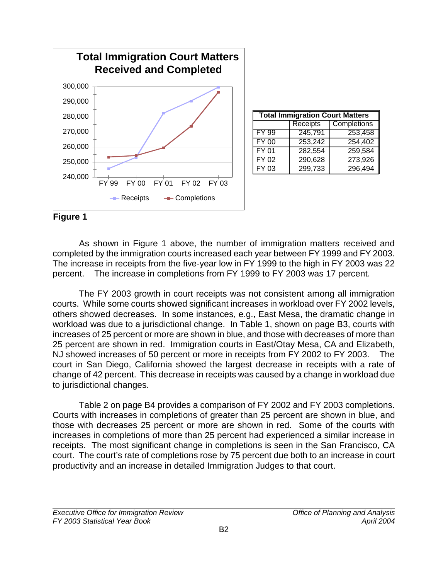<span id="page-9-0"></span>

| <b>Total Immigration Court Matters</b><br><b>Receipts</b> |             |         |  |  |  |  |  |
|-----------------------------------------------------------|-------------|---------|--|--|--|--|--|
|                                                           | Completions |         |  |  |  |  |  |
| FY 99                                                     | 245,791     | 253,458 |  |  |  |  |  |
| <b>FY 00</b>                                              | 253,242     | 254,402 |  |  |  |  |  |
| FY 01                                                     | 282,554     | 259,584 |  |  |  |  |  |
| FY 02                                                     | 290,628     | 273,926 |  |  |  |  |  |
| FY 03                                                     | 299,733     | 296,494 |  |  |  |  |  |

#### **Figure 1**

As shown in Figure 1 above, the number of immigration matters received and completed by the immigration courts increased each year between FY 1999 and FY 2003. The increase in receipts from the five-year low in FY 1999 to the high in FY 2003 was 22 percent. The increase in completions from FY 1999 to FY 2003 was 17 percent.

The FY 2003 growth in court receipts was not consistent among all immigration courts. While some courts showed significant increases in workload over FY 2002 levels, others showed decreases. In some instances, e.g., East Mesa, the dramatic change in workload was due to a jurisdictional change. In Table 1, shown on page B3, courts with increases of 25 percent or more are shown in blue, and those with decreases of more than 25 percent are shown in red. Immigration courts in East/Otay Mesa, CA and Elizabeth, NJ showed increases of 50 percent or more in receipts from FY 2002 to FY 2003. The court in San Diego, California showed the largest decrease in receipts with a rate of change of 42 percent. This decrease in receipts was caused by a change in workload due to jurisdictional changes.

Table 2 on page B4 provides a comparison of FY 2002 and FY 2003 completions. Courts with increases in completions of greater than 25 percent are shown in blue, and those with decreases 25 percent or more are shown in red. Some of the courts with increases in completions of more than 25 percent had experienced a similar increase in receipts. The most significant change in completions is seen in the San Francisco, CA court. The court's rate of completions rose by 75 percent due both to an increase in court productivity and an increase in detailed Immigration Judges to that court.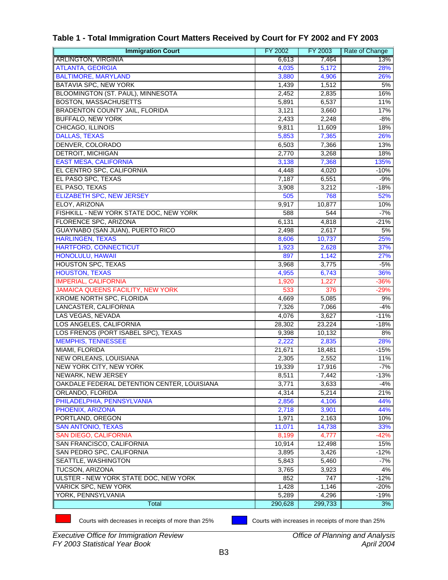| <b>Immigration Court</b>                    | FY 2002 | FY 2003 | Rate of Change |
|---------------------------------------------|---------|---------|----------------|
| <b>ARLINGTON, VIRGINIA</b>                  | 6,613   | 7,464   | 13%            |
| <b>ATLANTA, GEORGIA</b>                     | 4,035   | 5,172   | 28%            |
| <b>BALTIMORE, MARYLAND</b>                  | 3,880   | 4,906   | 26%            |
| <b>BATAVIA SPC, NEW YORK</b>                | 1,439   | 1,512   | 5%             |
| BLOOMINGTON (ST. PAUL), MINNESOTA           | 2,452   | 2,835   | 16%            |
| <b>BOSTON, MASSACHUSETTS</b>                | 5,891   | 6,537   | 11%            |
| <b>BRADENTON COUNTY JAIL, FLORIDA</b>       | 3,121   | 3,660   | 17%            |
| <b>BUFFALO, NEW YORK</b>                    | 2,433   | 2,248   | $-8%$          |
| CHICAGO, ILLINOIS                           | 9,811   | 11,609  | 18%            |
| <b>DALLAS, TEXAS</b>                        | 5,853   | 7,365   | 26%            |
| DENVER, COLORADO                            | 6,503   | 7,366   | 13%            |
| <b>DETROIT, MICHIGAN</b>                    | 2,770   | 3,268   | 18%            |
| <b>EAST MESA, CALIFORNIA</b>                | 3,138   | 7,368   | 135%           |
| EL CENTRO SPC, CALIFORNIA                   | 4,448   | 4,020   | $-10%$         |
| EL PASO SPC, TEXAS                          | 7,187   | 6,551   | -9%            |
| EL PASO, TEXAS                              | 3,908   | 3,212   | $-18%$         |
| <b>ELIZABETH SPC, NEW JERSEY</b>            | 505     | 768     | 52%            |
| ELOY, ARIZONA                               | 9,917   | 10,877  | 10%            |
| FISHKILL - NEW YORK STATE DOC, NEW YORK     | 588     | 544     | $-7%$          |
| FLORENCE SPC, ARIZONA                       | 6,131   | 4,818   | $-21%$         |
| GUAYNABO (SAN JUAN), PUERTO RICO            | 2,498   | 2,617   | 5%             |
| <b>HARLINGEN, TEXAS</b>                     | 8,606   | 10,737  | 25%            |
| <b>HARTFORD, CONNECTICUT</b>                | 1,923   | 2,628   | 37%            |
| <b>HONOLULU, HAWAII</b>                     | 897     | 1,142   | 27%            |
| <b>HOUSTON SPC, TEXAS</b>                   | 3,968   | 3,775   | -5%            |
| <b>HOUSTON, TEXAS</b>                       | 4,955   | 6,743   | 36%            |
| <b>IMPERIAL, CALIFORNIA</b>                 | 1,920   | 1,227   | $-36%$         |
| JAMAICA QUEENS FACILITY, NEW YORK           | 533     | 376     | $-29%$         |
| KROME NORTH SPC, FLORIDA                    | 4,669   | 5,085   | 9%             |
| LANCASTER, CALIFORNIA                       | 7,326   | 7,066   | $-4%$          |
| LAS VEGAS, NEVADA                           | 4,076   | 3,627   | $-11%$         |
| LOS ANGELES, CALIFORNIA                     | 28,302  | 23,224  | $-18%$         |
| LOS FRENOS (PORT ISABEL SPC), TEXAS         | 9,398   | 10,132  | 8%             |
| <b>MEMPHIS, TENNESSEE</b>                   | 2,222   | 2,835   | 28%            |
| MIAMI, FLORIDA                              | 21,671  | 18,481  | $-15%$         |
| <b>NEW ORLEANS, LOUISIANA</b>               | 2,305   | 2,552   | 11%            |
| NEW YORK CITY, NEW YORK                     | 19,339  | 17,916  | $-7%$          |
| NEWARK, NEW JERSEY                          | 8,511   | 7,442   | $-13%$         |
| OAKDALE FEDERAL DETENTION CENTER, LOUISIANA | 3,771   | 3,633   | -4%            |
| ORLANDO, FLORIDA                            | 4,314   | 5,214   | 21%            |
| PHILADELPHIA, PENNSYLVANIA                  | 2,856   | 4,106   | 44%            |
| PHOENIX, ARIZONA                            | 2,718   | 3,901   | 44%            |
| PORTLAND, OREGON                            | 1,971   | 2,163   | 10%            |
| <b>SAN ANTONIO, TEXAS</b>                   | 11,071  | 14,738  | 33%            |
| <b>SAN DIEGO, CALIFORNIA</b>                | 8,199   | 4,777   | $-42%$         |
| SAN FRANCISCO, CALIFORNIA                   | 10,914  | 12,498  | 15%            |
| SAN PEDRO SPC, CALIFORNIA                   | 3,895   | 3,426   | $-12%$         |
| SEATTLE, WASHINGTON                         | 5,843   | 5,460   | $-7%$          |
| <b>TUCSON, ARIZONA</b>                      | 3,765   | 3,923   | 4%             |
| ULSTER - NEW YORK STATE DOC, NEW YORK       | 852     | 747     | $-12%$         |
| VARICK SPC, NEW YORK                        | 1,428   | 1,146   | $-20%$         |
| YORK, PENNSYLVANIA                          | 5,289   | 4,296   | $-19%$         |
| Total                                       | 290,628 | 299,733 | 3%             |

#### <span id="page-10-0"></span>**Table 1 - Total Immigration Court Matters Received by Court for FY 2002 and FY 2003**

Courts with decreases in receipts of more than 25% Courts with increases in receipts of more than 25%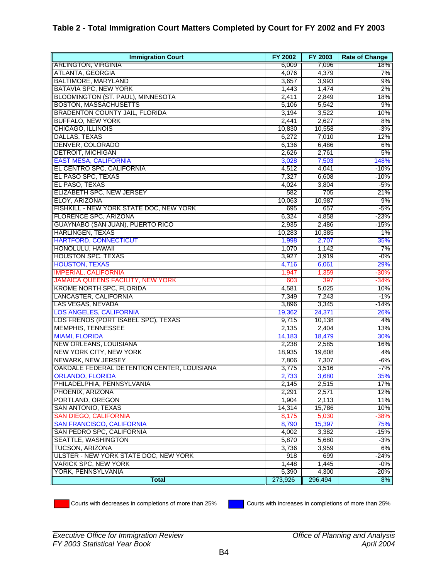#### <span id="page-11-0"></span>**Table 2 - Total Immigration Court Matters Completed by Court for FY 2002 and FY 2003**

| <b>Immigration Court</b>                    | FY 2002 | FY 2003 | <b>Rate of Change</b> |
|---------------------------------------------|---------|---------|-----------------------|
| <b>ARLINGTON, VIRGINIA</b>                  | 6,009   | 7,096   | 18%                   |
| <b>ATLANTA, GEORGIA</b>                     | 4,076   | 4,379   | 7%                    |
| <b>BALTIMORE, MARYLAND</b>                  | 3,657   | 3,993   | 9%                    |
| <b>BATAVIA SPC, NEW YORK</b>                | 1,443   | 1,474   | 2%                    |
| BLOOMINGTON (ST. PAUL), MINNESOTA           | 2,411   | 2,849   | 18%                   |
| <b>BOSTON, MASSACHUSETTS</b>                | 5,106   | 5,542   | 9%                    |
| <b>BRADENTON COUNTY JAIL, FLORIDA</b>       | 3,194   | 3,522   | 10%                   |
| <b>BUFFALO, NEW YORK</b>                    | 2,441   | 2,627   | 8%                    |
| <b>CHICAGO, ILLINOIS</b>                    | 10,830  | 10,558  | $-3%$                 |
| DALLAS, TEXAS                               | 6,272   | 7,010   | 12%                   |
| DENVER, COLORADO                            | 6,136   | 6,486   | 6%                    |
| <b>DETROIT, MICHIGAN</b>                    | 2,626   | 2,761   | 5%                    |
| <b>EAST MESA, CALIFORNIA</b>                | 3,028   | 7,503   | 148%                  |
| EL CENTRO SPC, CALIFORNIA                   | 4,512   | 4,041   | -10%                  |
| EL PASO SPC, TEXAS                          | 7,327   | 6,608   | $-10%$                |
| EL PASO, TEXAS                              | 4,024   | 3,804   | $-5%$                 |
| <b>ELIZABETH SPC, NEW JERSEY</b>            | 582     | 705     | 21%                   |
| ELOY, ARIZONA                               | 10,063  | 10,987  | 9%                    |
| FISHKILL - NEW YORK STATE DOC, NEW YORK     | 695     | 657     | $-5%$                 |
| FLORENCE SPC, ARIZONA                       | 6,324   | 4,858   | -23%                  |
| <b>GUAYNABO (SAN JUAN), PUERTO RICO</b>     | 2,935   | 2,486   | $-15%$                |
| <b>HARLINGEN, TEXAS</b>                     | 10,283  | 10,385  | 1%                    |
| <b>HARTFORD, CONNECTICUT</b>                | 1,998   | 2,707   | 35%                   |
| HONOLULU, HAWAII                            | 1,070   | 1,142   | 7%                    |
| <b>HOUSTON SPC, TEXAS</b>                   | 3,927   | 3,919   | $-0\%$                |
| <b>HOUSTON, TEXAS</b>                       | 4,716   | 6,061   | 29%                   |
| <b>IMPERIAL, CALIFORNIA</b>                 | 1,947   | 1,359   | $-30%$                |
| <b>JAMAICA QUEENS FACILITY, NEW YORK</b>    | 603     | 397     | -34%                  |
| <b>KROME NORTH SPC, FLORIDA</b>             | 4,581   | 5,025   | 10%                   |
| LANCASTER, CALIFORNIA                       | 7,349   | 7,243   | $-1%$                 |
| LAS VEGAS, NEVADA                           | 3,896   | 3,345   | $-14%$                |
| <b>LOS ANGELES, CALIFORNIA</b>              | 19,362  | 24,371  | 26%                   |
| LOS FRENOS (PORT ISABEL SPC), TEXAS         | 9,715   | 10,138  | 4%                    |
| <b>MEMPHIS, TENNESSEE</b>                   | 2,135   | 2,404   | 13%                   |
| <b>MIAMI, FLORIDA</b>                       | 14,183  | 18,479  | 30%                   |
| <b>NEW ORLEANS, LOUISIANA</b>               | 2,238   | 2,585   | 16%                   |
| NEW YORK CITY, NEW YORK                     | 18,935  | 19,608  | 4%                    |
| NEWARK, NEW JERSEY                          | 7,806   | 7,307   | $-6%$                 |
| OAKDALE FEDERAL DETENTION CENTER, LOUISIANA | 3,775   | 3,516   | $-7%$                 |
| <b>ORLANDO, FLORIDA</b>                     | 2,733   | 3,680   | 35%                   |
| PHILADELPHIA, PENNSYLVANIA                  | 2,145   | 2,515   | 17%                   |
| PHOENIX, ARIZONA                            | 2,291   | 2,571   | 12%                   |
| PORTLAND, OREGON                            | 1,904   | 2,113   | 11%                   |
| <b>SAN ANTONIO, TEXAS</b>                   | 14,314  | 15,786  | 10%                   |
| <b>SAN DIEGO, CALIFORNIA</b>                | 8,175   | 5,030   | -38%                  |
| <b>SAN FRANCISCO, CALIFORNIA</b>            | 8,790   | 15,397  | 75%                   |
| SAN PEDRO SPC, CALIFORNIA                   | 4,002   | 3,382   | -15%                  |
| SEATTLE, WASHINGTON                         | 5,870   | 5,680   | $-3%$                 |
| <b>TUCSON, ARIZONA</b>                      | 3,736   | 3,959   | 6%                    |
| ULSTER - NEW YORK STATE DOC, NEW YORK       | 918     | 699     | -24%                  |
| <b>VARICK SPC, NEW YORK</b>                 | 1,448   | 1,445   | $-0\%$                |
| YORK, PENNSYLVANIA                          | 5,390   | 4,300   | $-20%$                |
| <b>Total</b>                                | 273,926 | 296,494 | 8%                    |

Courts with decreases in completions of more than 25% Courts with increases in completions of more than 25%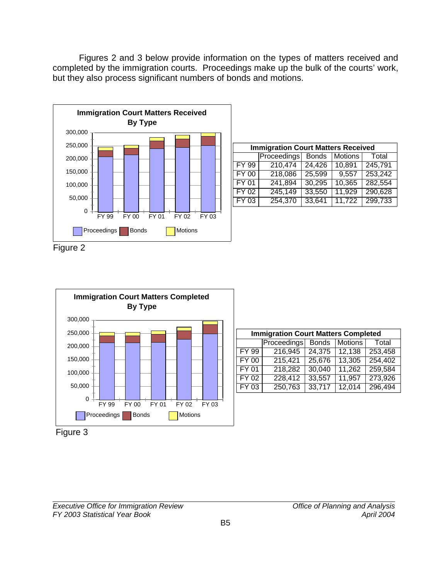<span id="page-12-0"></span>Figures 2 and 3 below provide information on the types of matters received and completed by the immigration courts. Proceedings make up the bulk of the courts' work, but they also process significant numbers of bonds and motions.



| <b>Immigration Court Matters Received</b> |                                                 |        |        |         |  |  |  |  |
|-------------------------------------------|-------------------------------------------------|--------|--------|---------|--|--|--|--|
|                                           | Proceedings<br><b>Bonds</b><br>Motions<br>Total |        |        |         |  |  |  |  |
| FY 99                                     | 210,474                                         | 24,426 | 10,891 | 245,791 |  |  |  |  |
| <b>FY 00</b>                              | 218,086                                         | 25,599 | 9,557  | 253,242 |  |  |  |  |
| <b>FY 01</b>                              | 241,894                                         | 30,295 | 10,365 | 282,554 |  |  |  |  |
| $\overline{FY}$ 02                        | 245,149                                         | 33,550 | 11,929 | 290,628 |  |  |  |  |
| $FY$ 03                                   | 254,370                                         | 33,641 | 11,722 | 299,733 |  |  |  |  |

Figure 2



| <b>Immigration Court Matters Completed</b> |                    |              |                |         |  |  |  |
|--------------------------------------------|--------------------|--------------|----------------|---------|--|--|--|
|                                            | <b>Proceedings</b> | <b>Bonds</b> | <b>Motions</b> | Total   |  |  |  |
| FY 99                                      | 216,945            | 24,375       | 12,138         | 253,458 |  |  |  |
| $FY$ 00                                    | 215,421            | 25,676       | 13,305         | 254,402 |  |  |  |
| FY 01                                      | 218,282            | 30,040       | 11,262         | 259,584 |  |  |  |
| $FY$ 02                                    | 228,412            | 33,557       | 11,957         | 273,926 |  |  |  |
| $FY$ 03                                    | 250,763            | 33,717       | 12,014         | 296,494 |  |  |  |

Figure 3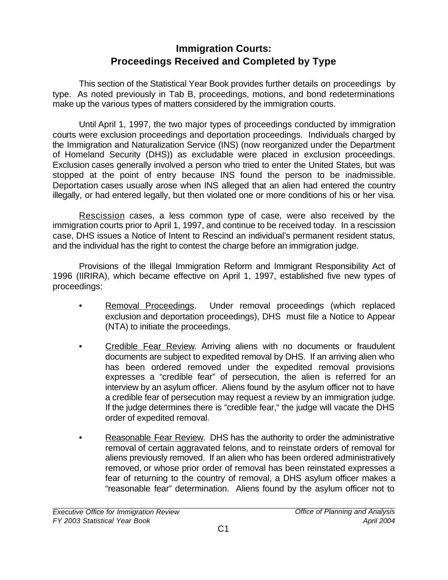# **Immigration Courts: Proceedings Received and Completed by Type**

<span id="page-13-0"></span>This section of the Statistical Year Book provides further details on proceedings by type. As noted previously in Tab B, proceedings, motions, and bond redeterminations make up the various types of matters considered by the immigration courts.

Until April 1, 1997, the two major types of proceedings conducted by immigration courts were exclusion proceedings and deportation proceedings. Individuals charged by the Immigration and Naturalization Service (INS) (now reorganized under the Department of Homeland Security (DHS)) as excludable were placed in exclusion proceedings. Exclusion cases generally involved a person who tried to enter the United States, but was stopped at the point of entry because INS found the person to be inadmissible. Deportation cases usually arose when INS alleged that an alien had entered the country illegally, or had entered legally, but then violated one or more conditions of his or her visa.

Rescission cases, a less common type of case, were also received by the immigration courts prior to April 1, 1997, and continue to be received today. In a rescission case, DHS issues a Notice of Intent to Rescind an individual's permanent resident status, and the individual has the right to contest the charge before an immigration judge.

Provisions of the Illegal Immigration Reform and Immigrant Responsibility Act of 1996 (IIRIRA), which became effective on April 1, 1997, established five new types of proceedings:

- Removal Proceedings. Under removal proceedings (which replaced exclusion and deportation proceedings), DHS must file a Notice to Appear (NTA) to initiate the proceedings.
- Credible Fear Review. Arriving aliens with no documents or fraudulent documents are subject to expedited removal by DHS. If an arriving alien who has been ordered removed under the expedited removal provisions expresses a "credible fear" of persecution, the alien is referred for an interview by an asylum officer. Aliens found by the asylum officer not to have a credible fear of persecution may request a review by an immigration judge. If the judge determines there is "credible fear," the judge will vacate the DHS order of expedited removal.
- Reasonable Fear Review. DHS has the authority to order the administrative removal of certain aggravated felons, and to reinstate orders of removal for aliens previously removed. If an alien who has been ordered administratively removed, or whose prior order of removal has been reinstated expresses a fear of returning to the country of removal, a DHS asylum officer makes a "reasonable fear" determination. Aliens found by the asylum officer not to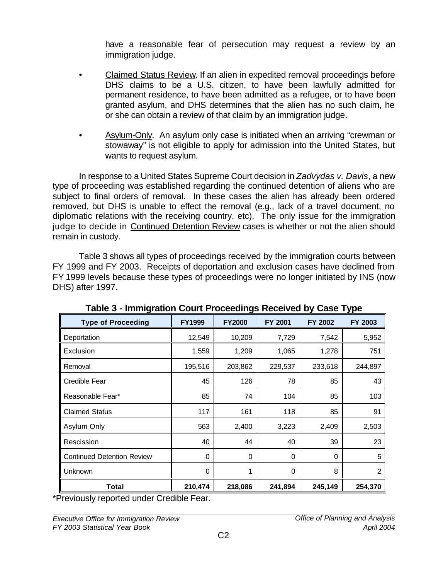have a reasonable fear of persecution may request a review by an immigration judge.

- <span id="page-14-0"></span>• Claimed Status Review. If an alien in expedited removal proceedings before DHS claims to be a U.S. citizen, to have been lawfully admitted for permanent residence, to have been admitted as a refugee, or to have been granted asylum, and DHS determines that the alien has no such claim, he or she can obtain a review of that claim by an immigration judge.
- Asylum-Only. An asylum only case is initiated when an arriving "crewman or stowaway" is not eligible to apply for admission into the United States, but wants to request asylum.

In response to a United States Supreme Court decision in *Zadvydas v. Davis*, a new type of proceeding was established regarding the continued detention of aliens who are subject to final orders of removal. In these cases the alien has already been ordered removed, but DHS is unable to effect the removal (e.g., lack of a travel document, no diplomatic relations with the receiving country, etc). The only issue for the immigration judge to decide in Continued Detention Review cases is whether or not the alien should remain in custody.

Table 3 shows all types of proceedings received by the immigration courts between FY 1999 and FY 2003. Receipts of deportation and exclusion cases have declined from FY 1999 levels because these types of proceedings were no longer initiated by INS (now DHS) after 1997.

| ∵.                                |               | יש:           |          |                | י ∽ו ע         |
|-----------------------------------|---------------|---------------|----------|----------------|----------------|
| <b>Type of Proceeding</b>         | <b>FY1999</b> | <b>FY2000</b> | FY 2001  | <b>FY 2002</b> | FY 2003        |
| Deportation                       | 12,549        | 10,209        | 7,729    | 7,542          | 5,952          |
| Exclusion                         | 1,559         | 1,209         | 1,065    | 1,278          | 751            |
| Removal                           | 195,516       | 203,862       | 229,537  | 233,618        | 244,897        |
| Credible Fear                     | 45            | 126           | 78       | 85             | 43             |
| Reasonable Fear*                  | 85            | 74            | 104      | 85             | 103            |
| <b>Claimed Status</b>             | 117           | 161           | 118      | 85             | 91             |
| Asylum Only                       | 563           | 2,400         | 3,223    | 2,409          | 2,503          |
| Rescission                        | 40            | 44            | 40       | 39             | 23             |
| <b>Continued Detention Review</b> | $\Omega$      | $\Omega$      | $\Omega$ | $\Omega$       | 5              |
| Unknown                           | $\Omega$      | 1             | $\Omega$ | 8              | $\overline{2}$ |
| Total                             | 210,474       | 218,086       | 241,894  | 245,149        | 254,370        |

**Table 3 - Immigration Court Proceedings Received by Case Type**

\*Previously reported under Credible Fear.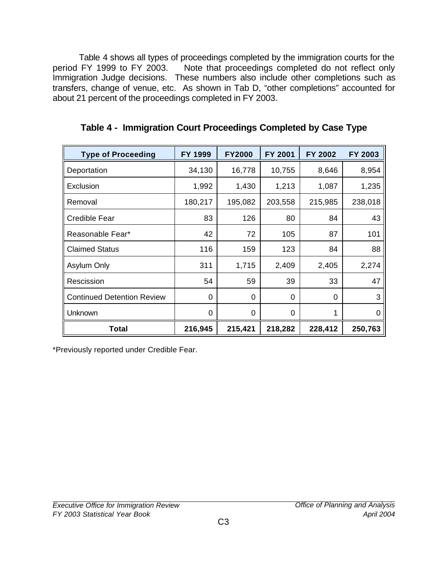<span id="page-15-0"></span>Table 4 shows all types of proceedings completed by the immigration courts for the period FY 1999 to FY 2003. Note that proceedings completed do not reflect only Note that proceedings completed do not reflect only Immigration Judge decisions. These numbers also include other completions such as transfers, change of venue, etc. As shown in Tab D, "other completions" accounted for about 21 percent of the proceedings completed in FY 2003.

| <b>Type of Proceeding</b>         | FY 1999 | <b>FY2000</b> | FY 2001  | FY 2002 | FY 2003  |
|-----------------------------------|---------|---------------|----------|---------|----------|
| Deportation                       | 34,130  | 16,778        | 10,755   | 8,646   | 8,954    |
| Exclusion                         | 1,992   | 1,430         | 1,213    | 1,087   | 1,235    |
| Removal                           | 180,217 | 195,082       | 203,558  | 215,985 | 238,018  |
| Credible Fear                     | 83      | 126           | 80       | 84      | 43       |
| Reasonable Fear*                  | 42      | 72            | 105      | 87      | 101      |
| <b>Claimed Status</b>             | 116     | 159           | 123      | 84      | 88       |
| <b>Asylum Only</b>                | 311     | 1,715         | 2,409    | 2,405   | 2,274    |
| Rescission                        | 54      | 59            | 39       | 33      | 47       |
| <b>Continued Detention Review</b> | 0       | 0             | 0        | 0       | 3        |
| Unknown                           | 0       | 0             | $\Omega$ | 1       | $\Omega$ |
| Total                             | 216,945 | 215,421       | 218,282  | 228,412 | 250,763  |

**Table 4 - Immigration Court Proceedings Completed by Case Type**

\*Previously reported under Credible Fear.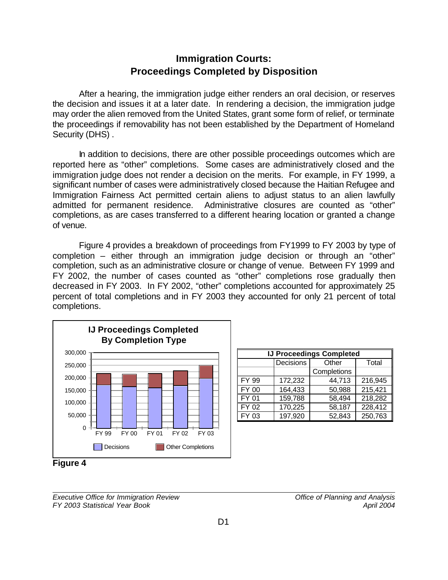#### **Immigration Courts: Proceedings Completed by Disposition**

<span id="page-16-0"></span>After a hearing, the immigration judge either renders an oral decision, or reserves the decision and issues it at a later date. In rendering a decision, the immigration judge may order the alien removed from the United States, grant some form of relief, or terminate the proceedings if removability has not been established by the Department of Homeland Security (DHS) .

In addition to decisions, there are other possible proceedings outcomes which are reported here as "other" completions. Some cases are administratively closed and the immigration judge does not render a decision on the merits. For example, in FY 1999, a significant number of cases were administratively closed because the Haitian Refugee and Immigration Fairness Act permitted certain aliens to adjust status to an alien lawfully admitted for permanent residence. Administrative closures are counted as "other" completions, as are cases transferred to a different hearing location or granted a change of venue.

Figure 4 provides a breakdown of proceedings from FY1999 to FY 2003 by type of completion – either through an immigration judge decision or through an "other" completion, such as an administrative closure or change of venue. Between FY 1999 and FY 2002, the number of cases counted as "other" completions rose gradually then decreased in FY 2003. In FY 2002, "other" completions accounted for approximately 25 percent of total completions and in FY 2003 they accounted for only 21 percent of total completions.



| <b>IJ Proceedings Completed</b> |                             |        |         |  |  |  |  |
|---------------------------------|-----------------------------|--------|---------|--|--|--|--|
|                                 | Decisions<br>Other<br>Total |        |         |  |  |  |  |
|                                 | Completions                 |        |         |  |  |  |  |
| <b>FY 99</b>                    | 172,232                     | 44,713 | 216,945 |  |  |  |  |
| <b>FY 00</b>                    | 164,433<br>50,988           |        |         |  |  |  |  |
| <b>FY 01</b>                    | 159,788<br>58,494           |        |         |  |  |  |  |
| FY 02                           | 170,225                     | 58,187 | 228,412 |  |  |  |  |
| FY 03                           | 197,920                     | 52,843 | 250,763 |  |  |  |  |



*Executive Office for Immigration Review Office of Planning and Analysis FY 2003 Statistical Year Book April 2004*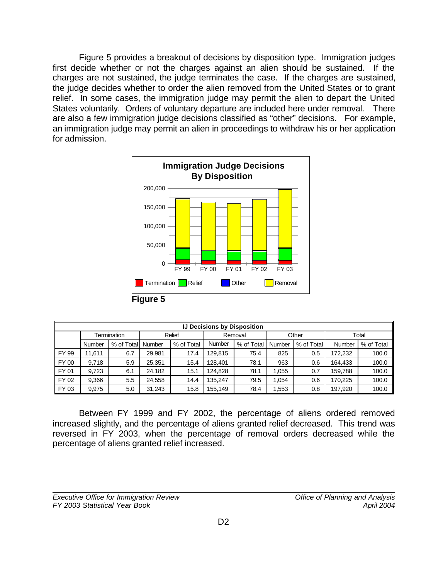<span id="page-17-0"></span>Figure 5 provides a breakout of decisions by disposition type. Immigration judges first decide whether or not the charges against an alien should be sustained. If the charges are not sustained, the judge terminates the case. If the charges are sustained, the judge decides whether to order the alien removed from the United States or to grant relief. In some cases, the immigration judge may permit the alien to depart the United States voluntarily. Orders of voluntary departure are included here under removal. There are also a few immigration judge decisions classified as "other" decisions. For example, an immigration judge may permit an alien in proceedings to withdraw his or her application for admission.



| <b>IJ Decisions by Disposition</b> |             |            |        |            |         |            |        |            |         |            |
|------------------------------------|-------------|------------|--------|------------|---------|------------|--------|------------|---------|------------|
|                                    | Termination |            |        | Relief     | Removal |            | Other  |            | Total   |            |
|                                    | Number      | % of Total | Number | % of Total | Number  | % of Total | Number | % of Total | Number  | % of Total |
| FY 99                              | 11.611      | 6.7        | 29.981 | 17.4       | 129.815 | 75.4       | 825    | 0.5        | 172,232 | 100.0      |
| FY 00                              | 9.718       | 5.9        | 25.351 | 15.4       | 128.401 | 78.1       | 963    | 0.6        | 164,433 | 100.0      |
| FY 01                              | 9.723       | 6.1        | 24.182 | 15.1       | 124.828 | 78.1       | ,055   | 0.7        | 159,788 | 100.0      |
| FY 02                              | 9.366       | 5.5        | 24.558 | 14.4       | 135.247 | 79.5       | .054   | 0.6        | 170.225 | 100.0      |
| FY 03                              | 9.975       | 5.0        | 31.243 | 15.8       | 155.149 | 78.4       | .553   | 0.8        | 197,920 | 100.0      |

Between FY 1999 and FY 2002, the percentage of aliens ordered removed increased slightly, and the percentage of aliens granted relief decreased. This trend was reversed in FY 2003, when the percentage of removal orders decreased while the percentage of aliens granted relief increased.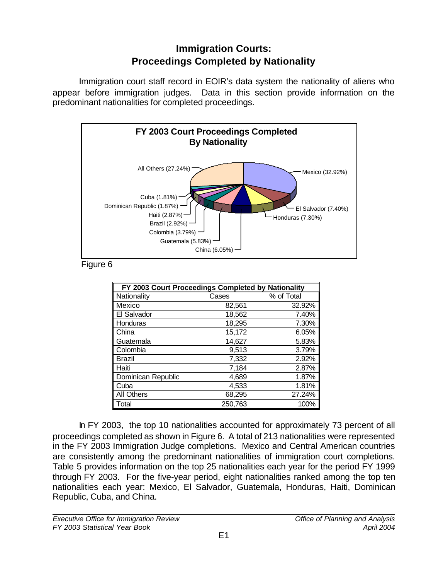# **Immigration Courts: Proceedings Completed by Nationality**

<span id="page-18-0"></span>Immigration court staff record in EOIR's data system the nationality of aliens who appear before immigration judges. Data in this section provide information on the predominant nationalities for completed proceedings.



Figure 6

| FY 2003 Court Proceedings Completed by Nationality |         |            |  |  |  |
|----------------------------------------------------|---------|------------|--|--|--|
| Nationality                                        | Cases   | % of Total |  |  |  |
| Mexico                                             | 82,561  | 32.92%     |  |  |  |
| El Salvador                                        | 18,562  | 7.40%      |  |  |  |
| Honduras                                           | 18,295  | 7.30%      |  |  |  |
| China                                              | 15,172  | 6.05%      |  |  |  |
| Guatemala                                          | 14,627  | 5.83%      |  |  |  |
| Colombia                                           | 9,513   | 3.79%      |  |  |  |
| <b>Brazil</b>                                      | 7,332   | 2.92%      |  |  |  |
| Haiti                                              | 7.184   | 2.87%      |  |  |  |
| Dominican Republic                                 | 4,689   | 1.87%      |  |  |  |
| Cuba                                               | 4,533   | 1.81%      |  |  |  |
| <b>All Others</b>                                  | 68,295  | 27.24%     |  |  |  |
| Total                                              | 250,763 | 100%       |  |  |  |

In FY 2003, the top 10 nationalities accounted for approximately 73 percent of all proceedings completed as shown in Figure 6. A total of 213 nationalities were represented in the FY 2003 Immigration Judge completions. Mexico and Central American countries are consistently among the predominant nationalities of immigration court completions. Table 5 provides information on the top 25 nationalities each year for the period FY 1999 through FY 2003. For the five-year period, eight nationalities ranked among the top ten nationalities each year: Mexico, El Salvador, Guatemala, Honduras, Haiti, Dominican Republic, Cuba, and China.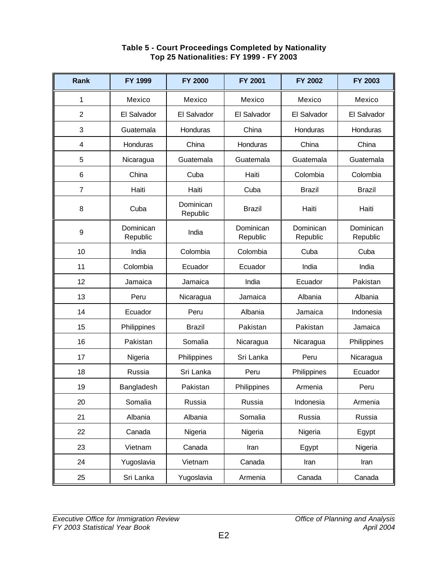<span id="page-19-0"></span>

| <b>Rank</b>      | FY 1999               | <b>FY 2000</b>        | <b>FY 2001</b>        | <b>FY 2002</b>        | <b>FY 2003</b>        |
|------------------|-----------------------|-----------------------|-----------------------|-----------------------|-----------------------|
| 1                | Mexico                | Mexico                | Mexico                | Mexico                | Mexico                |
| $\overline{2}$   | El Salvador           | El Salvador           | El Salvador           | El Salvador           | El Salvador           |
| 3                | Guatemala             | Honduras              | China                 | Honduras              | Honduras              |
| 4                | Honduras              | China                 | Honduras              | China                 | China                 |
| 5                | Nicaragua             | Guatemala             | Guatemala             | Guatemala             | Guatemala             |
| $\,6$            | China                 | Cuba                  | Haiti                 | Colombia              | Colombia              |
| $\overline{7}$   | Haiti                 | Haiti                 | Cuba                  | <b>Brazil</b>         | <b>Brazil</b>         |
| 8                | Cuba                  | Dominican<br>Republic | <b>Brazil</b>         | Haiti                 | Haiti                 |
| $\boldsymbol{9}$ | Dominican<br>Republic | India                 | Dominican<br>Republic | Dominican<br>Republic | Dominican<br>Republic |
| 10               | India                 | Colombia              | Colombia              | Cuba                  | Cuba                  |
| 11               | Colombia              | Ecuador               | Ecuador               | India                 | India                 |
| 12               | Jamaica               | Jamaica               | India                 | Ecuador               | Pakistan              |
| 13               | Peru                  | Nicaragua             | Jamaica               | Albania               | Albania               |
| 14               | Ecuador               | Peru                  | Albania               | Jamaica               | Indonesia             |
| 15               | Philippines           | <b>Brazil</b>         | Pakistan              | Pakistan              | Jamaica               |
| 16               | Pakistan              | Somalia               | Nicaragua             | Nicaragua             | Philippines           |
| 17               | Nigeria               | Philippines           | Sri Lanka             | Peru                  | Nicaragua             |
| 18               | Russia                | Sri Lanka             | Peru                  | Philippines           | Ecuador               |
| 19               | Bangladesh            | Pakistan              | Philippines           | Armenia               | Peru                  |
| 20               | Somalia               | Russia                | Russia                | Indonesia             | Armenia               |
| 21               | Albania               | Albania               | Somalia               | Russia                | Russia                |
| 22               | Canada                | Nigeria               | Nigeria               | Nigeria               | Egypt                 |
| 23               | Vietnam               | Canada                | Iran                  | Egypt                 | Nigeria               |
| 24               | Yugoslavia            | Vietnam               | Canada                | Iran                  | Iran                  |
| 25               | Sri Lanka             | Yugoslavia            | Armenia               | Canada                | Canada                |

#### **Table 5 - Court Proceedings Completed by Nationality Top 25 Nationalities: FY 1999 - FY 2003**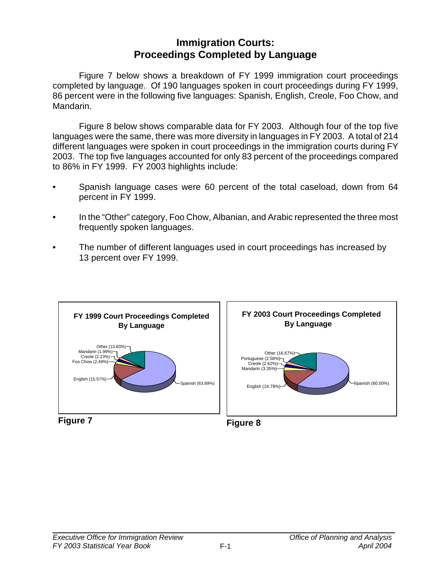# **Immigration Courts: Proceedings Completed by Language**

<span id="page-20-0"></span>Figure 7 below shows a breakdown of FY 1999 immigration court proceedings completed by language. Of 190 languages spoken in court proceedings during FY 1999, 86 percent were in the following five languages: Spanish, English, Creole, Foo Chow, and Mandarin.

Figure 8 below shows comparable data for FY 2003. Although four of the top five languages were the same, there was more diversity in languages in FY 2003. A total of 214 different languages were spoken in court proceedings in the immigration courts during FY 2003. The top five languages accounted for only 83 percent of the proceedings compared to 86% in FY 1999. FY 2003 highlights include:

- Spanish language cases were 60 percent of the total caseload, down from 64 percent in FY 1999.
- In the "Other" category, Foo Chow, Albanian, and Arabic represented the three most frequently spoken languages.
- The number of different languages used in court proceedings has increased by 13 percent over FY 1999.

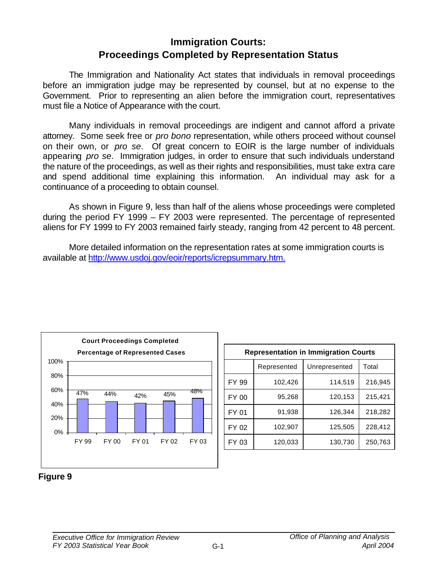# **Immigration Courts: Proceedings Completed by Representation Status**

<span id="page-21-0"></span>The Immigration and Nationality Act states that individuals in removal proceedings before an immigration judge may be represented by counsel, but at no expense to the Government. Prior to representing an alien before the immigration court, representatives must file a Notice of Appearance with the court.

Many individuals in removal proceedings are indigent and cannot afford a private attorney. Some seek free or *pro bono* representation, while others proceed without counsel on their own, or *pro se*. Of great concern to EOIR is the large number of individuals appearing *pro se*. Immigration judges, in order to ensure that such individuals understand the nature of the proceedings, as well as their rights and responsibilities, must take extra care and spend additional time explaining this information. An individual may ask for a continuance of a proceeding to obtain counsel.

As shown in Figure 9, less than half of the aliens whose proceedings were completed during the period FY 1999 – FY 2003 were represented. The percentage of represented aliens for FY 1999 to FY 2003 remained fairly steady, ranging from 42 percent to 48 percent.

More detailed information on the representation rates at some immigration courts is available at [http://www.usdoj.gov/eoir/reports/icrepsummary.htm.](#page-82-0)



| <b>Representation in Immigration Courts</b> |         |         |         |  |  |  |
|---------------------------------------------|---------|---------|---------|--|--|--|
| Unrepresented<br>Total<br>Represented       |         |         |         |  |  |  |
| FY 99                                       | 102,426 | 114,519 | 216,945 |  |  |  |
| FY 00                                       | 95,268  | 120,153 | 215,421 |  |  |  |
| FY 01                                       | 91,938  | 126,344 | 218,282 |  |  |  |
| FY 02                                       | 102,907 | 125,505 | 228,412 |  |  |  |
| FY 03                                       | 120,033 | 130,730 | 250,763 |  |  |  |

#### **Figure 9**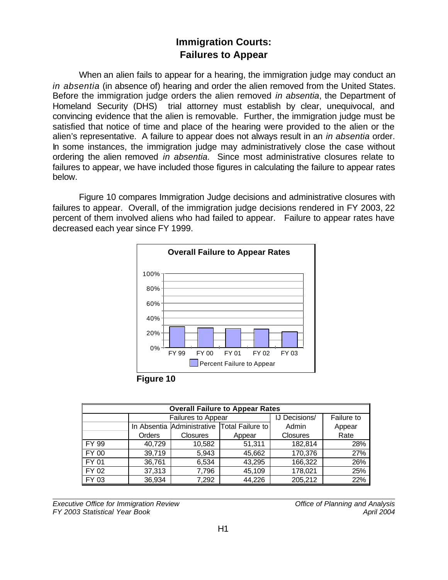# **Immigration Courts: Failures to Appear**

<span id="page-22-0"></span>When an alien fails to appear for a hearing, the immigration judge may conduct an *in absentia* (in absence of) hearing and order the alien removed from the United States. Before the immigration judge orders the alien removed *in absentia*, the Department of Homeland Security (DHS) trial attorney must establish by clear, unequivocal, and convincing evidence that the alien is removable. Further, the immigration judge must be satisfied that notice of time and place of the hearing were provided to the alien or the alien's representative. A failure to appear does not always result in an *in absentia* order. In some instances, the immigration judge may administratively close the case without ordering the alien removed *in absentia.* Since most administrative closures relate to failures to appear, we have included those figures in calculating the failure to appear rates below.

Figure 10 compares Immigration Judge decisions and administrative closures with failures to appear. Overall, of the immigration judge decisions rendered in FY 2003, 22 percent of them involved aliens who had failed to appear. Failure to appear rates have decreased each year since FY 1999.



**Figure 10**

| <b>Overall Failure to Appear Rates</b> |        |                    |                                             |                      |            |  |
|----------------------------------------|--------|--------------------|---------------------------------------------|----------------------|------------|--|
|                                        |        | Failures to Appear |                                             | <b>IJ Decisions/</b> | Failure to |  |
|                                        |        |                    | In Absentia Administrative Total Failure to | Admin                | Appear     |  |
|                                        | Orders | <b>Closures</b>    | Appear                                      | <b>Closures</b>      | Rate       |  |
| FY 99                                  | 40,729 | 10,582             | 51,311                                      | 182,814              | 28%        |  |
| FY 00                                  | 39,719 | 5,943              | 45,662                                      | 170,376              | 27%        |  |
| FY 01                                  | 36,761 | 6,534              | 43,295                                      | 166,322              | 26%        |  |
| FY 02                                  | 37,313 | 7,796              | 45,109                                      | 178,021              | 25%        |  |
| FY 03                                  | 36,934 | 7,292              | 44,226                                      | 205,212              | 22%        |  |

*Executive Office for Immigration Review Office of Planning and Analysis FY 2003 Statistical Year Book April 2004*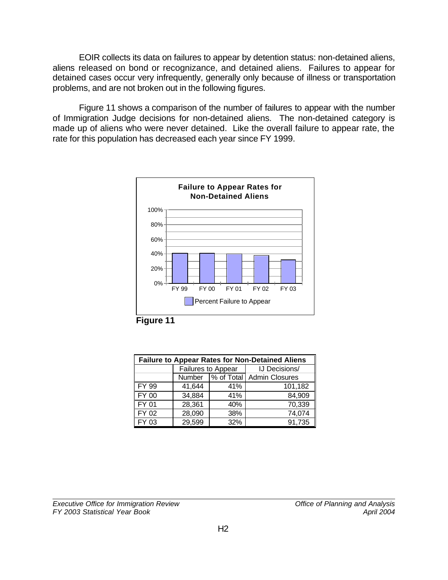<span id="page-23-0"></span>EOIR collects its data on failures to appear by detention status: non-detained aliens, aliens released on bond or recognizance, and detained aliens. Failures to appear for detained cases occur very infrequently, generally only because of illness or transportation problems, and are not broken out in the following figures.

Figure 11 shows a comparison of the number of failures to appear with the number of Immigration Judge decisions for non-detained aliens. The non-detained category is made up of aliens who were never detained. Like the overall failure to appear rate, the rate for this population has decreased each year since FY 1999.





| <b>Failure to Appear Rates for Non-Detained Aliens</b> |                    |     |                             |  |  |
|--------------------------------------------------------|--------------------|-----|-----------------------------|--|--|
|                                                        | Failures to Appear |     | <b>IJ Decisions/</b>        |  |  |
|                                                        | Number             |     | % of Total   Admin Closures |  |  |
| FY 99                                                  | 41,644<br>41%      |     | 101,182                     |  |  |
| <b>FY 00</b>                                           | 34,884<br>41%      |     | 84,909                      |  |  |
| <b>FY 01</b>                                           | 28,361<br>40%      |     | 70,339                      |  |  |
| FY 02                                                  | 28,090             | 38% | 74,074                      |  |  |
| $\overline{FY}$ 03                                     | 29,599             | 32% | 91,735                      |  |  |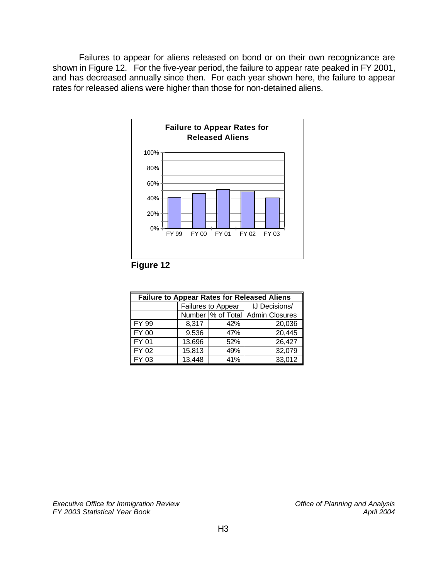<span id="page-24-0"></span>Failures to appear for aliens released on bond or on their own recognizance are shown in Figure 12. For the five-year period, the failure to appear rate peaked in FY 2001, and has decreased annually since then. For each year shown here, the failure to appear rates for released aliens were higher than those for non-detained aliens.



**Figure 12**

| <b>Failure to Appear Rates for Released Aliens</b> |        |                    |                                   |  |  |  |
|----------------------------------------------------|--------|--------------------|-----------------------------------|--|--|--|
|                                                    |        | Failures to Appear | IJ Decisions/                     |  |  |  |
|                                                    |        |                    | Number  % of Total Admin Closures |  |  |  |
| FY 99                                              | 8,317  | 42%                | 20,036                            |  |  |  |
| FY 00                                              | 9,536  | 47%                | 20,445                            |  |  |  |
| FY 01                                              | 13,696 | 52%                | 26,427                            |  |  |  |
| FY 02                                              | 15,813 | 49%                | 32,079                            |  |  |  |
| FY 03                                              | 13,448 | 41%                | 33,012                            |  |  |  |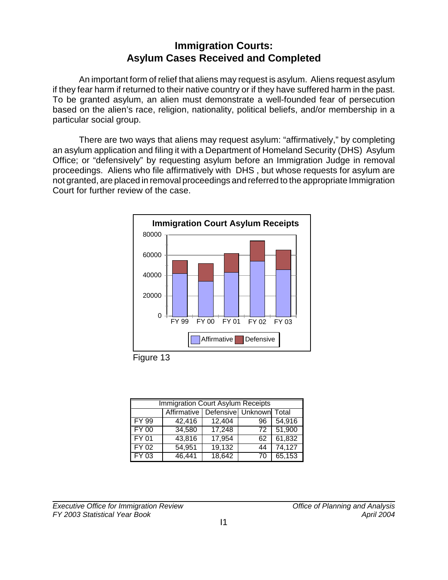# **Immigration Courts: Asylum Cases Received and Completed**

<span id="page-25-0"></span>An important form of relief that aliens may request is asylum. Aliens request asylum if they fear harm if returned to their native country or if they have suffered harm in the past. To be granted asylum, an alien must demonstrate a well-founded fear of persecution based on the alien's race, religion, nationality, political beliefs, and/or membership in a particular social group.

There are two ways that aliens may request asylum: "affirmatively," by completing an asylum application and filing it with a Department of Homeland Security (DHS) Asylum Office; or "defensively" by requesting asylum before an Immigration Judge in removal proceedings. Aliens who file affirmatively with DHS , but whose requests for asylum are not granted, are placed in removal proceedings and referred to the appropriate Immigration Court for further review of the case.



Figure 13

|                        | <b>Immigration Court Asylum Receipts</b> |                         |    |        |  |  |
|------------------------|------------------------------------------|-------------------------|----|--------|--|--|
|                        | Affirmative                              | Defensive Unknown Total |    |        |  |  |
| I FY 99                | 42,416                                   | 12,404                  | 96 | 54,916 |  |  |
| $\sqrt{\text{FY } 00}$ | 34,580                                   | 17,248                  | 72 | 51,900 |  |  |
| FY01                   | 43,816                                   | 17,954                  | 62 | 61,832 |  |  |
| FY02                   | 54,951                                   | 19,132                  | 44 | 74,127 |  |  |
| <b>FY 03</b>           | 46,441                                   | 18,642                  | 70 | 65,153 |  |  |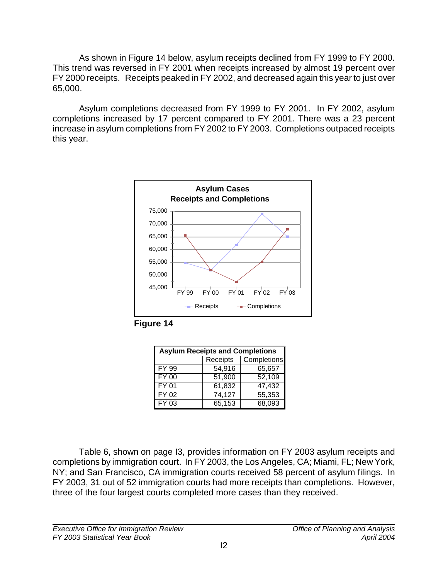<span id="page-26-0"></span>As shown in Figure 14 below, asylum receipts declined from FY 1999 to FY 2000. This trend was reversed in FY 2001 when receipts increased by almost 19 percent over FY 2000 receipts. Receipts peaked in FY 2002, and decreased again this year to just over 65,000.

Asylum completions decreased from FY 1999 to FY 2001. In FY 2002, asylum completions increased by 17 percent compared to FY 2001. There was a 23 percent increase in asylum completions from FY 2002 to FY 2003. Completions outpaced receipts this year.



**Figure 14**

| <b>Asylum Receipts and Completions</b> |        |        |  |  |  |
|----------------------------------------|--------|--------|--|--|--|
| Completions<br>Receipts                |        |        |  |  |  |
| FY 99                                  | 54,916 | 65,657 |  |  |  |
| <b>FY 00</b>                           | 51,900 | 52,109 |  |  |  |
| <b>FY 01</b>                           | 61,832 | 47,432 |  |  |  |
| <b>FY 02</b>                           | 74,127 | 55,353 |  |  |  |
| FY 03                                  | 65,153 | 68,093 |  |  |  |

Table 6, shown on page I3, provides information on FY 2003 asylum receipts and completions by immigration court. In FY 2003, the Los Angeles, CA; Miami, FL; New York, NY; and San Francisco, CA immigration courts received 58 percent of asylum filings. In FY 2003, 31 out of 52 immigration courts had more receipts than completions. However, three of the four largest courts completed more cases than they received.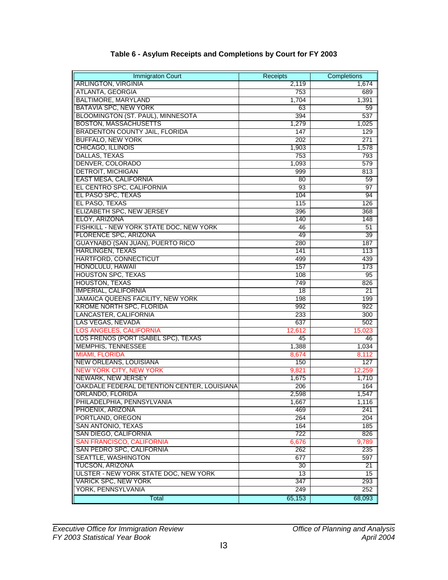<span id="page-27-0"></span>

| <b>Immigraton Court</b>                     | <b>Receipts</b> | Completions     |
|---------------------------------------------|-----------------|-----------------|
| <b>ARLINGTON, VIRGINIA</b>                  | 2,119           | 1,674           |
| <b>ATLANTA, GEORGIA</b>                     | 753             | 689             |
| <b>BALTIMORE, MARYLAND</b>                  | 1,704           | 1,391           |
| BATAVIA SPC, NEW YORK                       | 63              | 59              |
| BLOOMINGTON (ST. PAUL), MINNESOTA           | 394             | 537             |
| <b>BOSTON, MASSACHUSETTS</b>                | 1,279           | 1,025           |
| <b>BRADENTON COUNTY JAIL, FLORIDA</b>       | 147             | 129             |
| <b>BUFFALO, NEW YORK</b>                    | 202             | 271             |
| CHICAGO, ILLINOIS                           | 1,903           | 1,578           |
| DALLAS, TEXAS                               | 753             | 793             |
| DENVER, COLORADO                            | 1,093           | 579             |
| <b>DETROIT, MICHIGAN</b>                    | 999             | 813             |
| <b>EAST MESA, CALIFORNIA</b>                | 80              | 59              |
| EL CENTRO SPC, CALIFORNIA                   | 93              | 97              |
| EL PASO SPC, TEXAS                          | 104             | 94              |
| EL PASO, TEXAS                              | 115             | 126             |
| ELIZABETH SPC, NEW JERSEY                   | 396             | 368             |
| ELOY, ARIZONA                               | 140             | 148             |
| FISHKILL - NEW YORK STATE DOC, NEW YORK     | 46              | 51              |
| <b>FLORENCE SPC, ARIZONA</b>                | 49              | 39              |
| <b>GUAYNABO (SAN JUAN), PUERTO RICO</b>     | 280             | 187             |
| <b>HARLINGEN, TEXAS</b>                     | 141             | 113             |
| HARTFORD, CONNECTICUT                       | 499             | 439             |
| HONOLULU, HAWAII                            | 157             | 173             |
| <b>HOUSTON SPC, TEXAS</b>                   | 108             | 95              |
| <b>HOUSTON, TEXAS</b>                       | 749             | 826             |
| <b>IMPERIAL, CALIFORNIA</b>                 | 18              | 21              |
| <b>JAMAICA QUEENS FACILITY, NEW YORK</b>    | 198             | 199             |
| <b>KROME NORTH SPC, FLORIDA</b>             | 992             | 922             |
| LANCASTER, CALIFORNIA                       | 233             | 300             |
| LAS VEGAS, NEVADA                           | 637             | 502             |
| <b>LOS ANGELES, CALIFORNIA</b>              | 12,612          | 15,023          |
| LOS FRENOS (PORT ISABEL SPC), TEXAS         | 45              | 46              |
| <b>MEMPHIS, TENNESSEE</b>                   | 1,388           | 1,034           |
| <b>MIAMI, FLORIDA</b>                       | 8,674           | 8,112           |
| <b>NEW ORLEANS, LOUISIANA</b>               | 150             | 127             |
| <b>NEW YORK CITY, NEW YORK</b>              | 9,821           | 12,259          |
| NEWARK, NEW JERSEY                          | 1,675           | 1,710           |
| OAKDALE FEDERAL DETENTION CENTER, LOUISIANA | 206             | 164             |
| ORLANDO, FLORIDA                            | 2,598           | 1,547           |
| PHILADELPHIA, PENNSYLVANIA                  | 1,667           | 1,116           |
| PHOENIX, ARIZONA                            | 469             | 241             |
| PORTLAND, OREGON                            | 264             | 204             |
| <b>SAN ANTONIO, TEXAS</b>                   | 164             | 185             |
| SAN DIEGO, CALIFORNIA                       | 722             | 826             |
| <b>SAN FRANCISCO, CALIFORNIA</b>            | 6,676           | 9,789           |
| SAN PEDRO SPC, CALIFORNIA                   | 262             | 235             |
| <b>SEATTLE, WASHINGTON</b>                  | 677             | 597             |
| TUCSON, ARIZONA                             | 30              | $\overline{21}$ |
| ULSTER - NEW YORK STATE DOC, NEW YORK       | $\overline{13}$ | 15              |
| <b>VARICK SPC, NEW YORK</b>                 | 347             | 293             |
| YORK, PENNSYLVANIA                          | 249             | 252             |
| Total                                       | 65,153          | 68,093          |

#### **Table 6 - Asylum Receipts and Completions by Court for FY 2003**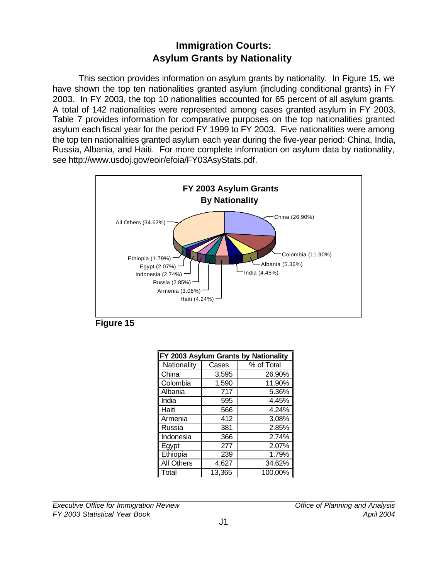# **Immigration Courts: Asylum Grants by Nationality**

<span id="page-28-0"></span>This section provides information on asylum grants by nationality. In Figure 15, we have shown the top ten nationalities granted asylum (including conditional grants) in FY 2003. In FY 2003, the top 10 nationalities accounted for 65 percent of all asylum grants. A total of 142 nationalities were represented among cases granted asylum in FY 2003. Table 7 provides information for comparative purposes on the top nationalities granted asylum each fiscal year for the period FY 1999 to FY 2003. Five nationalities were among the top ten nationalities granted asylum each year during the five-year period: China, India, Russia, Albania, and Haiti. For more complete information on asylum data by nationality, se[e http://www.usdoj.gov/eoir/efoia/FY03AsyStats.pdf.](#page-83-0)





| FY 2003 Asylum Grants by Nationality |        |            |  |  |  |
|--------------------------------------|--------|------------|--|--|--|
| Nationality                          | Cases  | % of Total |  |  |  |
| China                                | 3,595  | 26.90%     |  |  |  |
| Colombia                             | 1,590  | 11.90%     |  |  |  |
| Albania                              | 717    | 5.36%      |  |  |  |
| India                                | 595    | 4.45%      |  |  |  |
| Haiti                                | 566    | 4.24%      |  |  |  |
| Armenia                              | 412    | 3.08%      |  |  |  |
| Russia                               | 381    | 2.85%      |  |  |  |
| Indonesia                            | 366    | 2.74%      |  |  |  |
| Egypt                                | 277    | 2.07%      |  |  |  |
| Ethiopia                             | 239    | 1.79%      |  |  |  |
| <b>All Others</b>                    | 4,627  | 34.62%     |  |  |  |
| Total                                | 13,365 | 100.00%    |  |  |  |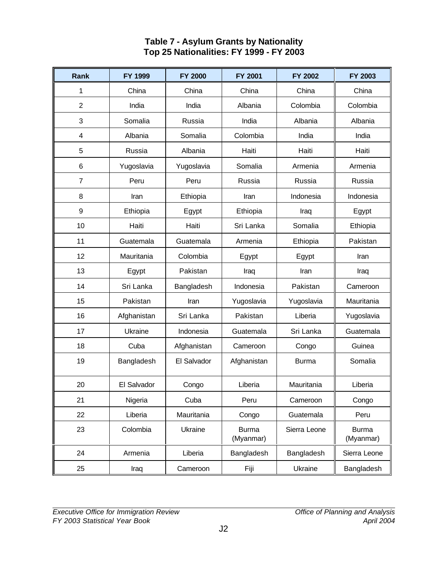#### **Table 7 - Asylum Grants by Nationality Top 25 Nationalities: FY 1999 - FY 2003**

<span id="page-29-0"></span>

| <b>Rank</b>      | FY 1999     | <b>FY 2000</b> | <b>FY 2001</b>            | <b>FY 2002</b> | <b>FY 2003</b>            |
|------------------|-------------|----------------|---------------------------|----------------|---------------------------|
| 1                | China       | China          | China                     | China          | China                     |
| $\overline{2}$   | India       | India          | Albania                   | Colombia       | Colombia                  |
| 3                | Somalia     | Russia         | India                     | Albania        | Albania                   |
| 4                | Albania     | Somalia        | Colombia                  | India          | India                     |
| 5                | Russia      | Albania        | Haiti                     | Haiti          | Haiti                     |
| 6                | Yugoslavia  | Yugoslavia     | Somalia                   | Armenia        | Armenia                   |
| $\overline{7}$   | Peru        | Peru           | Russia                    | Russia         | Russia                    |
| 8                | Iran        | Ethiopia       | Iran                      | Indonesia      | Indonesia                 |
| $\boldsymbol{9}$ | Ethiopia    | Egypt          | Ethiopia                  | Iraq           | Egypt                     |
| 10               | Haiti       | Haiti          | Sri Lanka                 | Somalia        | Ethiopia                  |
| 11               | Guatemala   | Guatemala      | Armenia                   | Ethiopia       | Pakistan                  |
| 12               | Mauritania  | Colombia       | Egypt                     | Egypt          | Iran                      |
| 13               | Egypt       | Pakistan       | Iraq                      | Iran           | Iraq                      |
| 14               | Sri Lanka   | Bangladesh     | Indonesia                 | Pakistan       | Cameroon                  |
| 15               | Pakistan    | Iran           | Yugoslavia                | Yugoslavia     | Mauritania                |
| 16               | Afghanistan | Sri Lanka      | Pakistan                  | Liberia        | Yugoslavia                |
| 17               | Ukraine     | Indonesia      | Guatemala                 | Sri Lanka      | Guatemala                 |
| 18               | Cuba        | Afghanistan    | Cameroon                  | Congo          | Guinea                    |
| 19               | Bangladesh  | El Salvador    | Afghanistan               | <b>Burma</b>   | Somalia                   |
| 20               | El Salvador | Congo          | Liberia                   | Mauritania     | Liberia                   |
| 21               | Nigeria     | Cuba           | Peru                      | Cameroon       | Congo                     |
| 22               | Liberia     | Mauritania     | Congo                     | Guatemala      | Peru                      |
| 23               | Colombia    | Ukraine        | <b>Burma</b><br>(Myanmar) | Sierra Leone   | <b>Burma</b><br>(Myanmar) |
| 24               | Armenia     | Liberia        | Bangladesh                | Bangladesh     | Sierra Leone              |
| 25               | Iraq        | Cameroon       | Fiji                      | Ukraine        | Bangladesh                |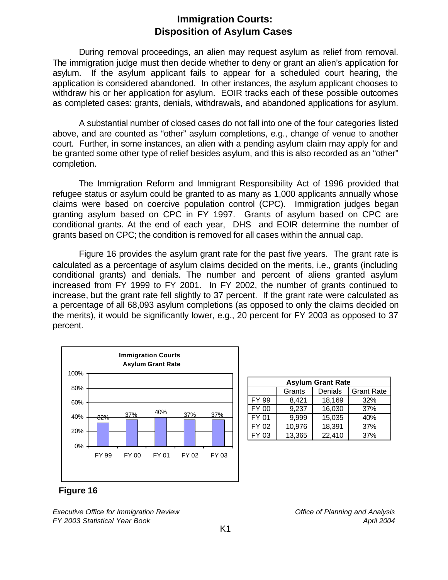# **Immigration Courts: Disposition of Asylum Cases**

<span id="page-30-0"></span>During removal proceedings, an alien may request asylum as relief from removal. The immigration judge must then decide whether to deny or grant an alien's application for asylum. If the asylum applicant fails to appear for a scheduled court hearing, the application is considered abandoned. In other instances, the asylum applicant chooses to withdraw his or her application for asylum. EOIR tracks each of these possible outcomes as completed cases: grants, denials, withdrawals, and abandoned applications for asylum.

A substantial number of closed cases do not fall into one of the four categories listed above, and are counted as "other" asylum completions, e.g., change of venue to another court. Further, in some instances, an alien with a pending asylum claim may apply for and be granted some other type of relief besides asylum, and this is also recorded as an "other" completion.

The Immigration Reform and Immigrant Responsibility Act of 1996 provided that refugee status or asylum could be granted to as many as 1,000 applicants annually whose claims were based on coercive population control (CPC). Immigration judges began granting asylum based on CPC in FY 1997. Grants of asylum based on CPC are conditional grants. At the end of each year, DHS and EOIR determine the number of grants based on CPC; the condition is removed for all cases within the annual cap.

Figure 16 provides the asylum grant rate for the past five years. The grant rate is calculated as a percentage of asylum claims decided on the merits, i.e., grants (including conditional grants) and denials. The number and percent of aliens granted asylum increased from FY 1999 to FY 2001. In FY 2002, the number of grants continued to increase, but the grant rate fell slightly to 37 percent. If the grant rate were calculated as a percentage of all 68,093 asylum completions (as opposed to only the claims decided on the merits), it would be significantly lower, e.g., 20 percent for FY 2003 as opposed to 37 percent.



| <b>Asylum Grant Rate</b> |        |         |                   |  |  |  |
|--------------------------|--------|---------|-------------------|--|--|--|
|                          | Grants | Denials | <b>Grant Rate</b> |  |  |  |
| FY 99                    | 8,421  | 18,169  | 32%               |  |  |  |
| <b>FY 00</b>             | 9,237  | 16,030  | 37%               |  |  |  |
| FY 01                    | 9,999  | 15,035  | 40%               |  |  |  |
| FY 02                    | 10,976 | 18,391  | 37%               |  |  |  |
| $FY$ 03                  | 13,365 | 22,410  | 37%               |  |  |  |

**Figure 16**

*Executive Office for Immigration Review Office of Planning and Analysis FY 2003 Statistical Year Book April 2004*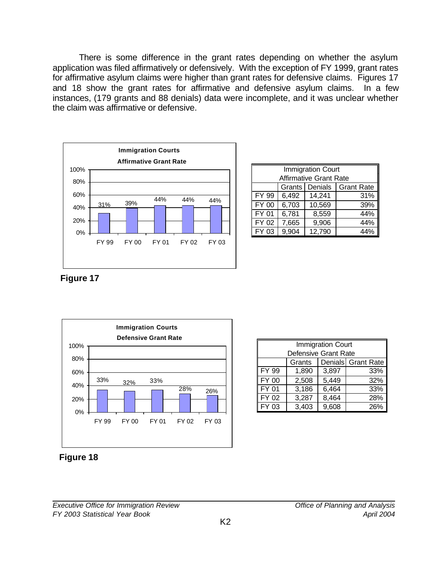<span id="page-31-0"></span>There is some difference in the grant rates depending on whether the asylum application was filed affirmatively or defensively. With the exception of FY 1999, grant rates for affirmative asylum claims were higher than grant rates for defensive claims. Figures 17 and 18 show the grant rates for affirmative and defensive asylum claims. In a few instances, (179 grants and 88 denials) data were incomplete, and it was unclear whether the claim was affirmative or defensive.



| <b>Immigration Court</b><br><b>Affirmative Grant Rate</b> |       |        |     |  |
|-----------------------------------------------------------|-------|--------|-----|--|
|                                                           |       |        |     |  |
| <b>Grant Rate</b><br>Grants   Denials                     |       |        |     |  |
| <b>FY 99</b>                                              | 6,492 | 14,241 | 31% |  |
| FY 00                                                     | 6,703 | 10,569 | 39% |  |
| <b>FY 01</b>                                              | 6,781 | 8,559  | 44% |  |
| FY 02                                                     | 7,665 | 9,906  | 44% |  |
| $\mathsf{I}$ FY 03                                        | 9,904 | 12,790 |     |  |

**Figure 17**



| <b>Immigration Court</b>     |       |       |     |  |
|------------------------------|-------|-------|-----|--|
| Defensive Grant Rate         |       |       |     |  |
| Denials Grant Rate<br>Grants |       |       |     |  |
| FY 99                        | 1,890 | 3,897 | 33% |  |
| <b>FY 00</b>                 | 2,508 | 5,449 | 32% |  |
| FY 01                        | 3,186 | 6,464 | 33% |  |
| FY 02                        | 3,287 | 8,464 | 28% |  |
| FY 03                        | 3,403 | 9,608 | 26% |  |

**Figure 18**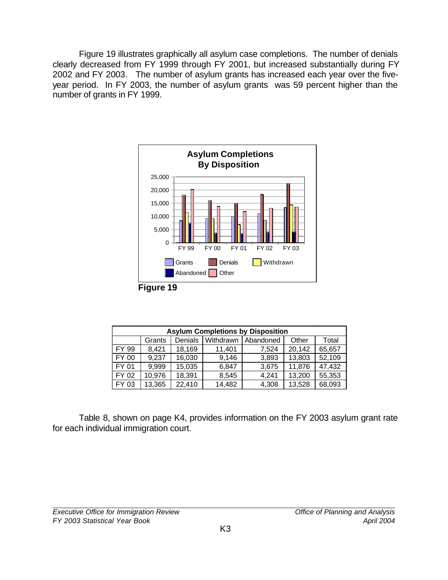<span id="page-32-0"></span>Figure 19 illustrates graphically all asylum case completions. The number of denials clearly decreased from FY 1999 through FY 2001, but increased substantially during FY 2002 and FY 2003. The number of asylum grants has increased each year over the fiveyear period. In FY 2003, the number of asylum grants was 59 percent higher than the number of grants in FY 1999.



| <b>Asylum Completions by Disposition</b> |        |         |           |           |        |        |
|------------------------------------------|--------|---------|-----------|-----------|--------|--------|
|                                          | Grants | Denials | Withdrawn | Abandoned | Other  | Total  |
| FY 99                                    | 8,421  | 18,169  | 11,401    | 7,524     | 20,142 | 65,657 |
| FY 00                                    | 9,237  | 16,030  | 9,146     | 3,893     | 13,803 | 52,109 |
| FY 01                                    | 9,999  | 15,035  | 6.847     | 3,675     | 11,876 | 47,432 |
| FY 02                                    | 10,976 | 18,391  | 8,545     | 4,241     | 13,200 | 55,353 |
| FY 03                                    | 13,365 | 22,410  | 14,482    | 4,308     | 13,528 | 68,093 |

Table 8, shown on page K4, provides information on the FY 2003 asylum grant rate for each individual immigration court.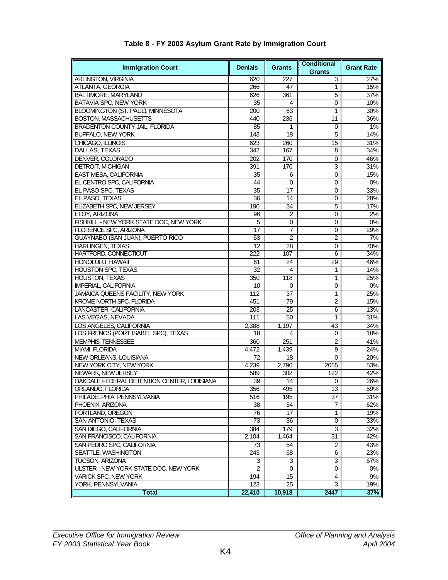<span id="page-33-0"></span>

| <b>Immigration Court</b>                    | <b>Denials</b> | <b>Grants</b>    | <b>Conditional</b><br><b>Grants</b> | <b>Grant Rate</b> |
|---------------------------------------------|----------------|------------------|-------------------------------------|-------------------|
| <b>ARLINGTON, VIRGINIA</b>                  | 620            | 227              | 3                                   | 27%               |
| ATLANTA, GEORGIA                            | 266            | 47               | 1                                   | 15%               |
| <b>BALTIMORE, MARYLAND</b>                  | 626            | 361              | 5                                   | 37%               |
| BATAVIA SPC, NEW YORK                       | 35             | 4                | 0                                   | 10%               |
| BLOOMINGTON (ST. PAUL), MINNESOTA           | 200            | 83               | 1                                   | 30%               |
| <b>BOSTON, MASSACHUSETTS</b>                | 440            | 236              | 11                                  | 36%               |
| <b>BRADENTON COUNTY JAIL, FLORIDA</b>       | 85             | 1                | 0                                   | 1%                |
| <b>BUFFALO, NEW YORK</b>                    | 143            | 18               | 5                                   | 14%               |
| CHICAGO, ILLINOIS                           | 623            | 260              | 15                                  | 31%               |
| DALLAS, TEXAS                               | 342            | 167              | 8                                   | 34%               |
| DENVER, COLORADO                            | 202            | 170              | 0                                   | 46%               |
| <b>DETROIT, MICHIGAN</b>                    | 391            | $\overline{170}$ | 3                                   | 31%               |
| EAST MESA, CALIFORNIA                       | 35             | 6                | 0                                   | 15%               |
| EL CENTRO SPC, CALIFORNIA                   | 44             | 0                | 0                                   | 0%                |
| EL PASO SPC, TEXAS                          | 35             | 17               | 0                                   | 33%               |
| EL PASO, TEXAS                              | 36             | 14               | 0                                   | 28%               |
|                                             |                |                  |                                     |                   |
| ELIZABETH SPC, NEW JERSEY                   | 190            | 34               | 5                                   | 17%               |
| ELOY, ARIZONA                               | 96             | 2                | 0                                   | 2%                |
| FISHKILL - NEW YORK STATE DOC, NEW YORK     | 5              | 0                | 0                                   | 0%                |
| FLORENCE SPC, ARIZONA                       | 17             | 7                | 0                                   | 29%               |
| GUAYNABO (SAN JUAN), PUERTO RICO            | 53             | 2                | 2                                   | 7%                |
| <b>HARLINGEN, TEXAS</b>                     | 12             | 28               | 0                                   | 70%               |
| HARTFORD, CONNECTICUT                       | 222            | 107              | 6                                   | 34%               |
| HONOLULU, HAWAII                            | 61             | 24               | 29                                  | 46%               |
| <b>HOUSTON SPC, TEXAS</b>                   | 32             | 4                | 1                                   | 14%               |
| <b>HOUSTON, TEXAS</b>                       | 350            | 118              | 1                                   | 25%               |
| <b>IMPERIAL, CALIFORNIA</b>                 | 10             | 0                | 0                                   | 0%                |
| JAMAICA QUEENS FACILITY, NEW YORK           | 112            | 37               | 1                                   | 25%               |
| KROME NORTH SPC, FLORIDA                    | 451            | 79               | $\overline{2}$                      | 15%               |
| LANCASTER, CALIFORNIA                       | 203            | 25               | 6                                   | 13%               |
| LAS VEGAS, NEVADA                           | 111            | 50               | 1                                   | 31%               |
| LOS ANGELES, CALIFORNIA                     | 2,388          | 1,197            | 43                                  | 34%               |
| LOS FRENOS (PORT ISABEL SPC), TEXAS         | 18             | 4                | 0                                   | 18%               |
| <b>MEMPHIS, TENNESSEE</b>                   | 360            | 251              | 2                                   | 41%               |
| MIAMI, FLORIDA                              | 4,472          | 1,439            | 9                                   | 24%               |
| NEW ORLEANS, LOUISIANA                      | 72             | 18               | $\mathbf{0}$                        | 20%               |
| NEW YORK CITY, NEW YORK                     | 4.239          | 2,790            | 2055                                | 53%               |
| NEWARK, NEW JERSEY                          | 589            | 302              | 122                                 | 42%               |
| OAKDALE FEDERAL DETENTION CENTER, LOUISIANA | 39             | 14               | 0                                   | 26%               |
| ORLANDO, FLORIDA                            | 356            | 495              | 13                                  | 59%               |
| PHILADELPHIA, PENNSYLVANIA                  | 516            | 195              | 37                                  | 31%               |
| PHOENIX, ARIZONA                            | 38             | 54               | 7                                   | 62%               |
| PORTLAND, OREGON                            | 76             | 17               | $\mathbf{1}$                        | 19%               |
| SAN ANTONIO, TEXAS                          | 73             | 36               | 0                                   | 33%               |
| SAN DIEGO, CALIFORNIA                       | 384            | 179              | 3                                   | 32%               |
| SAN FRANCISCO, CALIFORNIA                   | 2,104          | 1,464            | 31                                  | 42%               |
| SAN PEDRO SPC, CALIFORNIA                   | 73             | 54               | $\overline{2}$                      | 43%               |
| SEATTLE, WASHINGTON                         | 243            | 68               | 6                                   | 23%               |
| TUCSON, ARIZONA                             | 3              | 3                | 3                                   | 67%               |
| ULSTER - NEW YORK STATE DOC, NEW YORK       | 2              | 0                | 0                                   | 0%                |
| <b>VARICK SPC, NEW YORK</b>                 | 194            | 15               | 4                                   | 9%                |
| YORK, PENNSYLVANIA                          | 123            | 25               | 3                                   | 19%               |
| <b>Total</b>                                | 22,410         | 10,918           | 2447                                | 37%               |

#### **Table 8 - FY 2003 Asylum Grant Rate by Immigration Court**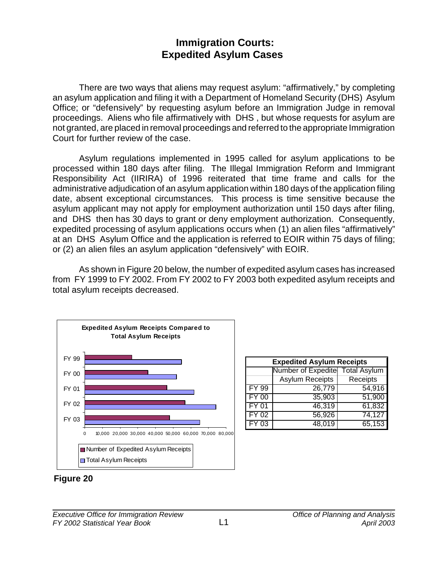# **Immigration Courts: Expedited Asylum Cases**

<span id="page-34-0"></span>There are two ways that aliens may request asylum: "affirmatively," by completing an asylum application and filing it with a Department of Homeland Security (DHS) Asylum Office; or "defensively" by requesting asylum before an Immigration Judge in removal proceedings. Aliens who file affirmatively with DHS , but whose requests for asylum are not granted, are placed in removal proceedings and referred to the appropriate Immigration Court for further review of the case.

Asylum regulations implemented in 1995 called for asylum applications to be processed within 180 days after filing. The Illegal Immigration Reform and Immigrant Responsibility Act (IIRIRA) of 1996 reiterated that time frame and calls for the administrative adjudication of an asylum application within 180 days of the application filing date, absent exceptional circumstances. This process is time sensitive because the asylum applicant may not apply for employment authorization until 150 days after filing, and DHS then has 30 days to grant or deny employment authorization. Consequently, expedited processing of asylum applications occurs when (1) an alien files "affirmatively" at an DHS Asylum Office and the application is referred to EOIR within 75 days of filing; or (2) an alien files an asylum application "defensively" with EOIR.

As shown in Figure 20 below, the number of expedited asylum cases has increased from FY 1999 to FY 2002. From FY 2002 to FY 2003 both expedited asylum receipts and total asylum receipts decreased.



| <b>Expedited Asylum Receipts</b> |                                 |          |  |  |
|----------------------------------|---------------------------------|----------|--|--|
|                                  | Number of Expedite Total Asylum |          |  |  |
|                                  | <b>Asylum Receipts</b>          | Receipts |  |  |
| <b>FY 99</b>                     | 26,779                          | 54,916   |  |  |
| <b>FY 00</b>                     | 35,903                          | 51,900   |  |  |
| <b>FY 01</b>                     | 46,319                          | 61,832   |  |  |
| $FY$ 02                          | 56,926                          | 74,127   |  |  |
| $FY$ 03                          | 48,019                          | 65,153   |  |  |

**Figure 20**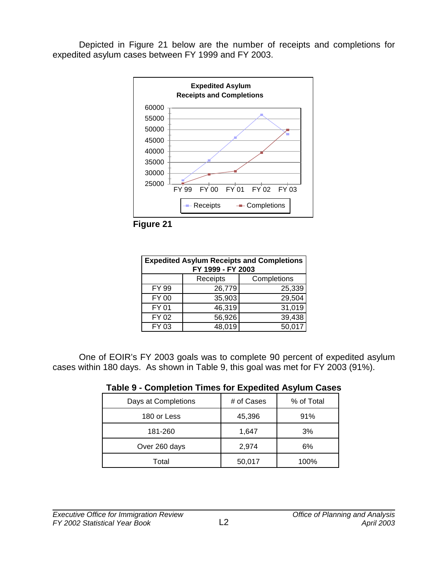<span id="page-35-0"></span>Depicted in Figure 21 below are the number of receipts and completions for expedited asylum cases between FY 1999 and FY 2003.





| <b>Expedited Asylum Receipts and Completions</b><br>FY 1999 - FY 2003 |        |        |  |
|-----------------------------------------------------------------------|--------|--------|--|
| Completions<br>Receipts                                               |        |        |  |
| FY 99                                                                 | 26,779 | 25,339 |  |
| <b>FY 00</b>                                                          | 35,903 | 29,504 |  |
| <b>FY 01</b>                                                          | 46,319 | 31,019 |  |
| FY 02                                                                 | 56,926 | 39,438 |  |
| FY 03                                                                 | 48,019 | 50,017 |  |

One of EOIR's FY 2003 goals was to complete 90 percent of expedited asylum cases within 180 days. As shown in Table 9, this goal was met for FY 2003 (91%).

| Table 9 - Completion Times for Expedited Asylum Cases |  |  |  |
|-------------------------------------------------------|--|--|--|
|-------------------------------------------------------|--|--|--|

| Days at Completions | # of Cases | % of Total |
|---------------------|------------|------------|
| 180 or Less         | 45,396     | 91%        |
| 181-260             | 1,647      | 3%         |
| Over 260 days       | 2,974      | 6%         |
| Total               | 50,017     | 100%       |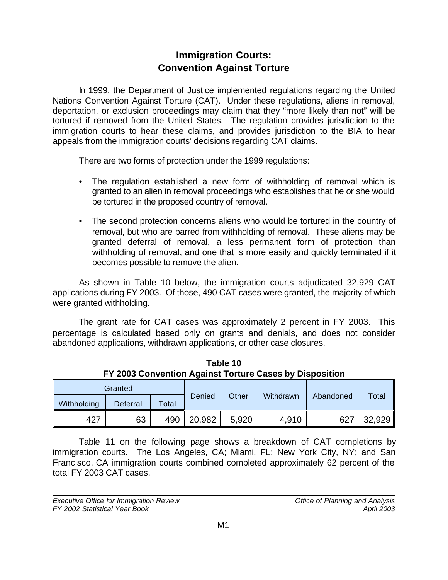# **Immigration Courts: Convention Against Torture**

In 1999, the Department of Justice implemented regulations regarding the United Nations Convention Against Torture (CAT). Under these regulations, aliens in removal, deportation, or exclusion proceedings may claim that they "more likely than not" will be tortured if removed from the United States. The regulation provides jurisdiction to the immigration courts to hear these claims, and provides jurisdiction to the BIA to hear appeals from the immigration courts' decisions regarding CAT claims.

There are two forms of protection under the 1999 regulations:

- The regulation established a new form of withholding of removal which is granted to an alien in removal proceedings who establishes that he or she would be tortured in the proposed country of removal.
- The second protection concerns aliens who would be tortured in the country of removal, but who are barred from withholding of removal. These aliens may be granted deferral of removal, a less permanent form of protection than withholding of removal, and one that is more easily and quickly terminated if it becomes possible to remove the alien.

As shown in Table 10 below, the immigration courts adjudicated 32,929 CAT applications during FY 2003. Of those, 490 CAT cases were granted, the majority of which were granted withholding.

The grant rate for CAT cases was approximately 2 percent in FY 2003. This percentage is calculated based only on grants and denials, and does not consider abandoned applications, withdrawn applications, or other case closures.

| Granted     |          |       |        |       |           |           |        |
|-------------|----------|-------|--------|-------|-----------|-----------|--------|
| Withholding | Deferral | Total | Denied | Other | Withdrawn | Abandoned | Total  |
| 427         | 63       | 490   | 20,982 | 5.920 | 4,910     | 627       | 32,929 |

**Table 10 FY 2003 Convention Against Torture Cases by Disposition**

Table 11 on the following page shows a breakdown of CAT completions by immigration courts. The Los Angeles, CA; Miami, FL; New York City, NY; and San Francisco, CA immigration courts combined completed approximately 62 percent of the total FY 2003 CAT cases.

*Executive Office for Immigration Review Office of Planning and Analysis FY 2002 Statistical Year Book April 2003*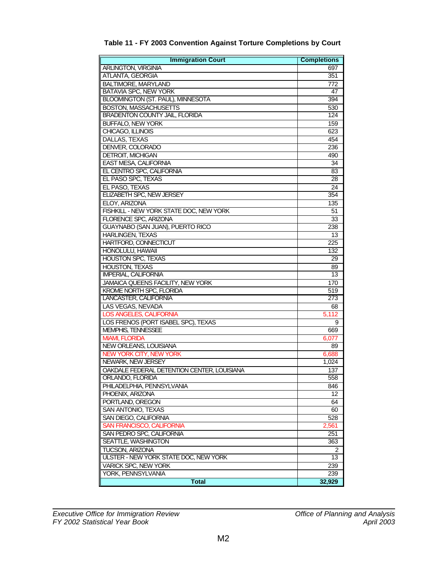| <b>Immigration Court</b>                    | <b>Completions</b> |
|---------------------------------------------|--------------------|
| ARLINGTON, VIRGINIA                         | 697                |
| ATLANTA, GEORGIA                            | 351                |
| <b>BALTIMORE, MARYLAND</b>                  | 772                |
| <b>BATAVIA SPC, NEW YORK</b>                | 47                 |
| BLOOMINGTON (ST. PAUL), MINNESOTA           | 394                |
| <b>BOSTON, MASSACHUSETTS</b>                | 530                |
| <b>BRADENTON COUNTY JAIL, FLORIDA</b>       | 124                |
| <b>BUFFALO, NEW YORK</b>                    | 159                |
| CHICAGO, ILLINOIS                           | 623                |
| DALLAS, TEXAS                               | 454                |
| DENVER, COLORADO                            | 236                |
| <b>DETROIT, MICHIGAN</b>                    | 490                |
| <b>EAST MESA, CALIFORNIA</b>                | 34                 |
| EL CENTRO SPC, CALIFORNIA                   | 83                 |
| EL PASO SPC, TEXAS                          | 28                 |
| EL PASO, TEXAS                              | $\overline{24}$    |
| ELIZABETH SPC, NEW JERSEY                   | 354                |
| ELOY, ARIZONA                               | 135                |
| FISHKILL - NEW YORK STATE DOC, NEW YORK     | 51                 |
| <b>FLORENCE SPC, ARIZONA</b>                | 33                 |
| GUAYNABO (SAN JUAN), PUERTO RICO            | 238                |
| <b>HARLINGEN, TEXAS</b>                     | 13                 |
| HARTFORD, CONNECTICUT                       | 225                |
| <b>HONOLULU, HAWAII</b>                     | 132                |
| <b>HOUSTON SPC, TEXAS</b>                   | 29                 |
| <b>HOUSTON, TEXAS</b>                       | 89                 |
| <b>IMPERIAL, CALIFORNIA</b>                 | 13                 |
| JAMAICA QUEENS FACILITY, NEW YORK           | 170                |
| <b>KROME NORTH SPC, FLORIDA</b>             | 519                |
| LANCASTER, CALIFORNIA                       | 273                |
| LAS VEGAS, NEVADA                           | 68                 |
| <b>LOS ANGELES, CALIFORNIA</b>              | 5,112              |
| LOS FRENOS (PORT ISABEL SPC), TEXAS         | 9                  |
| MEMPHIS, TENNESSEE                          | 669                |
| <b>MIAMI, FLORIDA</b>                       | 6,077              |
| <b>NEW ORLEANS, LOUISIANA</b>               | 89                 |
| NEW YORK CITY, NEW YORK                     | 6,688              |
| NEWARK, NEW JERSEY                          | 1,024              |
| OAKDALE FEDERAL DETENTION CENTER, LOUISIANA | 137                |
| ORLANDO, FLORIDA                            | 558                |
| PHILADELPHIA, PENNSYLVANIA                  | 846                |
| PHOENIX, ARIZONA                            | 12                 |
| PORTLAND, OREGON                            | 64                 |
| SAN ANTONIO, TEXAS                          | 60                 |
| SAN DIEGO, CALIFORNIA                       | 528                |
| SAN FRANCISCO, CALIFORNIA                   | 2,561              |
| SAN PEDRO SPC, CALIFORNIA                   | 251                |
| SEATTLE, WASHINGTON                         | 363                |
| TUCSON, ARIZONA                             | 2                  |
| ULSTER - NEW YORK STATE DOC, NEW YORK       | 13                 |
| <b>VARICK SPC, NEW YORK</b>                 | 239                |
| YORK, PENNSYLVANIA                          | 239                |
| <b>Total</b>                                | 32,929             |

#### **Table 11 - FY 2003 Convention Against Torture Completions by Court**

*Executive Office for Immigration Review Office of Planning and Analysis FY 2002 Statistical Year Book April 2003*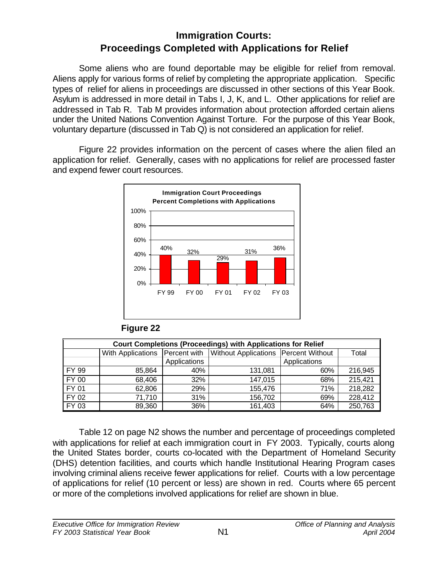# **Immigration Courts: Proceedings Completed with Applications for Relief**

Some aliens who are found deportable may be eligible for relief from removal. Aliens apply for various forms of relief by completing the appropriate application. Specific types of relief for aliens in proceedings are discussed in other sections of this Year Book. Asylum is addressed in more detail in Tabs I, J, K, and L. Other applications for relief are addressed in Tab R. Tab M provides information about protection afforded certain aliens under the United Nations Convention Against Torture. For the purpose of this Year Book, voluntary departure (discussed in Tab Q) is not considered an application for relief.

Figure 22 provides information on the percent of cases where the alien filed an application for relief. Generally, cases with no applications for relief are processed faster and expend fewer court resources.



| Figure 22 |  |
|-----------|--|
|-----------|--|

| <b>Court Completions (Proceedings) with Applications for Relief</b> |                   |              |                                                              |              |         |  |
|---------------------------------------------------------------------|-------------------|--------------|--------------------------------------------------------------|--------------|---------|--|
|                                                                     | With Applications |              | <b>Percent with   Without Applications   Percent Without</b> |              | Total   |  |
|                                                                     |                   | Applications |                                                              | Applications |         |  |
| FY 99                                                               | 85.864            | 40%          | 131.081                                                      | 60%          | 216,945 |  |
| FY 00                                                               | 68,406            | 32%          | 147,015                                                      | 68%          | 215,421 |  |
| FY 01                                                               | 62,806            | 29%          | 155,476                                                      | 71%          | 218,282 |  |
| FY 02                                                               | 71,710            | 31%          | 156,702                                                      | 69%          | 228,412 |  |
| FY 03                                                               | 89,360            | 36%          | 161,403                                                      | 64%          | 250,763 |  |

Table 12 on page N2 shows the number and percentage of proceedings completed with applications for relief at each immigration court in FY 2003. Typically, courts along the United States border, courts co-located with the Department of Homeland Security (DHS) detention facilities, and courts which handle Institutional Hearing Program cases involving criminal aliens receive fewer applications for relief. Courts with a low percentage of applications for relief (10 percent or less) are shown in red. Courts where 65 percent or more of the completions involved applications for relief are shown in blue.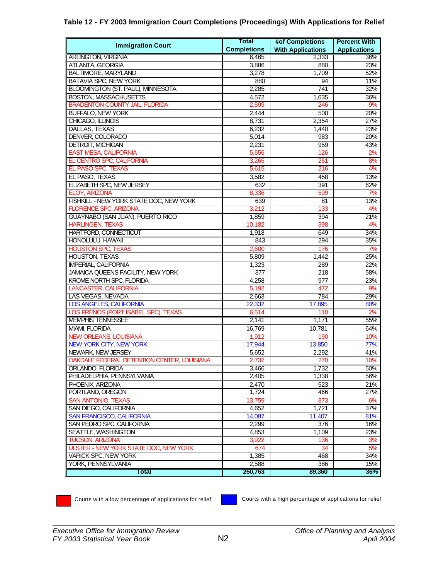|  |  |  |  | Table 12 - FY 2003 Immigration Court Completions (Proceedings) With Applications for Relief |
|--|--|--|--|---------------------------------------------------------------------------------------------|
|--|--|--|--|---------------------------------------------------------------------------------------------|

| <b>Immigration Court</b>                     | Total              | #of Completions          | <b>Percent With</b> |
|----------------------------------------------|--------------------|--------------------------|---------------------|
|                                              | <b>Completions</b> | <b>With Applications</b> | <b>Applications</b> |
| <b>ARLINGTON, VIRGINIA</b>                   | 6,465              | 2,333                    | 36%                 |
| ATLANTA, GEORGIA                             | 3,886              | 880                      | 23%                 |
| <b>BALTIMORE, MARYLAND</b>                   | 3,278              | 1,709                    | 52%                 |
| BATAVIA SPC, NEW YORK                        | 880                | 94                       | 11%                 |
| <b>BLOOMINGTON (ST. PAUL), MINNESOTA</b>     | 2,285              | 741                      | 32%                 |
| <b>BOSTON, MASSACHUSETTS</b>                 | 4,572              | 1,635                    | 36%                 |
| <b>BRADENTON COUNTY JAIL, FLORIDA</b>        | 2,599              | 246                      | 9%                  |
| <b>BUFFALO, NEW YORK</b>                     | 2,444              | 500                      | 20%                 |
| CHICAGO, ILLINOIS                            | 8,731              | 2,354                    | 27%                 |
| DALLAS, TEXAS                                | 6,232              | 1,440                    | 23%                 |
| DENVER, COLORADO                             | 5,014              | 983                      | 20%                 |
| <b>DETROIT, MICHIGAN</b>                     | 2,231              | 959                      | 43%                 |
| <b>EAST MESA, CALIFORNIA</b>                 | 5,556              | 126                      | 2%                  |
| EL CENTRO SPC, CALIFORNIA                    | 3,265              | 261                      | 8%                  |
| EL PASO SPC, TEXAS                           | 5,615              | 216                      | 4%                  |
| EL PASO, TEXAS                               | 3,582              | 458                      | 13%                 |
| <b>ELIZABETH SPC, NEW JERSEY</b>             | 632                | 391                      | 62%                 |
| ELOY, ARIZONA                                | 8,336              | 599                      | 7%                  |
| FISHKILL - NEW YORK STATE DOC, NEW YORK      | 639                | 81                       | 13%                 |
| <b>FLORENCE SPC, ARIZONA</b>                 | 3,212              | 133                      | 4%                  |
| GUAYNABO (SAN JUAN), PUERTO RICO             | 1,859              | 394                      | 21%                 |
| <b>HARLINGEN, TEXAS</b>                      | 10,182             | 398                      | 4%                  |
| <b>HARTFORD, CONNECTICUT</b>                 | 1,918              | 649                      | 34%                 |
| HONOLULU, HAWAII                             | 843                | 294                      | 35%                 |
| <b>HOUSTON SPC, TEXAS</b>                    | 2,600              | 176                      | 7%                  |
| <b>HOUSTON, TEXAS</b>                        | 5,809              | 1,442                    | 25%                 |
| <b>IMPERIAL, CALIFORNIA</b>                  | 1,323              | 289                      | 22%                 |
| JAMAICA QUEENS FACILITY, NEW YORK            | 377                | 218                      | 58%                 |
| KROME NORTH SPC, FLORIDA                     | 4,258              | 977                      | 23%                 |
| <b>LANCASTER, CALIFORNIA</b>                 | 5,192              | 472                      | 9%                  |
| LAS VEGAS, NEVADA                            | 2,663              | 784                      | 29%                 |
| <b>LOS ANGELES, CALIFORNIA</b>               | 22,332             | 17,895                   | 80%                 |
| LOS FRENOS (PORT ISABEL SPC), TEXAS          | 6,514              | 110                      | 2%                  |
| <b>MEMPHIS, TENNESSEE</b>                    | 2,141              | 1,171                    | 55%                 |
| MIAMI, FLORIDA                               | 16,769             | 10,781                   | 64%                 |
| <b>NEW ORLEANS, LOUISIANA</b>                | 1,912              | 190                      | 10%                 |
| <b>NEW YORK CITY, NEW YORK</b>               | 17,944             | 13,850                   | 77%                 |
| <b>NEWARK, NEW JERSEY</b>                    | 5,652              | 2,292                    | 41%                 |
| OAKDALE FEDERAL DETENTION CENTER, LOUISIANA  | 2,737              | 270                      | 10%                 |
| ORLANDO, FLORIDA                             | 3,466              | 1,732                    | 50%                 |
| PHILADELPHIA, PENNSYLVANIA                   | 2,405              | 1,338                    | 56%                 |
| PHOENIX, ARIZONA                             | 2,470              | 523                      | 21%                 |
| PORTLAND, OREGON                             | 1,724              | 466                      | 27%                 |
| <b>SAN ANTONIO, TEXAS</b>                    | 13,759             | 873                      | 6%                  |
| SAN DIEGO, CALIFORNIA                        | 4,652              | 1.721                    | 37%                 |
| <b>SAN FRANCISCO, CALIFORNIA</b>             | 14,087             | 11.407                   | 81%                 |
| SAN PEDRO SPC, CALIFORNIA                    | 2,299              | 376                      | 16%                 |
| SEATTLE, WASHINGTON                          | 4,853              | 1,109                    | 23%                 |
| <b>TUCSON, ARIZONA</b>                       | 3,922              | 136                      | 3%                  |
| <b>ULSTER - NEW YORK STATE DOC, NEW YORK</b> | 674                | 34                       | 5%                  |
| VARICK SPC, NEW YORK                         | 1,385              | 468                      | 34%                 |
| YORK, PENNSYLVANIA                           | 2,588              | 386                      | 15%                 |
| <b>Total</b>                                 | 250,763            | 89,360                   | $36\%$              |

**Courts with a low percentage of applications for relief Courts with a high percentage of applications for relief**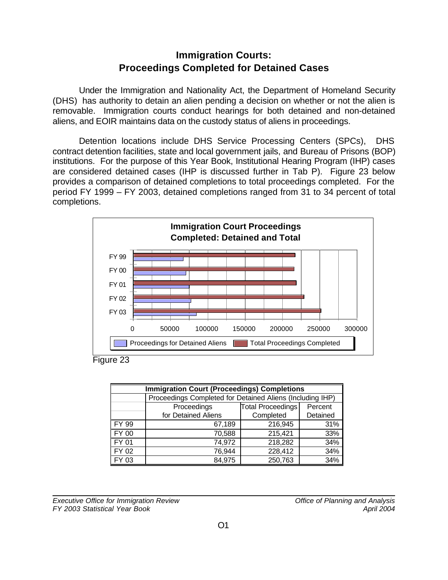# **Immigration Courts: Proceedings Completed for Detained Cases**

Under the Immigration and Nationality Act, the Department of Homeland Security (DHS) has authority to detain an alien pending a decision on whether or not the alien is removable. Immigration courts conduct hearings for both detained and non-detained aliens, and EOIR maintains data on the custody status of aliens in proceedings.

Detention locations include DHS Service Processing Centers (SPCs), DHS contract detention facilities, state and local government jails, and Bureau of Prisons (BOP) institutions. For the purpose of this Year Book, Institutional Hearing Program (IHP) cases are considered detained cases (IHP is discussed further in Tab P). Figure 23 below provides a comparison of detained completions to total proceedings completed. For the period FY 1999 – FY 2003, detained completions ranged from 31 to 34 percent of total completions.



Figure 23

| <b>Immigration Court (Proceedings) Completions</b> |                                                           |                          |          |  |  |
|----------------------------------------------------|-----------------------------------------------------------|--------------------------|----------|--|--|
|                                                    | Proceedings Completed for Detained Aliens (Including IHP) |                          |          |  |  |
|                                                    | Proceedings                                               | <b>Total Proceedings</b> | Percent  |  |  |
|                                                    | for Detained Aliens                                       | Completed                | Detained |  |  |
| FY 99                                              | 67,189                                                    | 216,945                  | 31%      |  |  |
| FY 00                                              | 70,588                                                    | 215,421                  | 33%      |  |  |
| FY 01                                              | 74,972                                                    | 218,282                  | 34%      |  |  |
| FY 02                                              | 76,944                                                    | 228,412                  | 34%      |  |  |
| FY 03                                              | 84,975                                                    | 250,763                  | 34%      |  |  |

*Executive Office for Immigration Review Office of Planning and Analysis FY 2003 Statistical Year Book April 2004*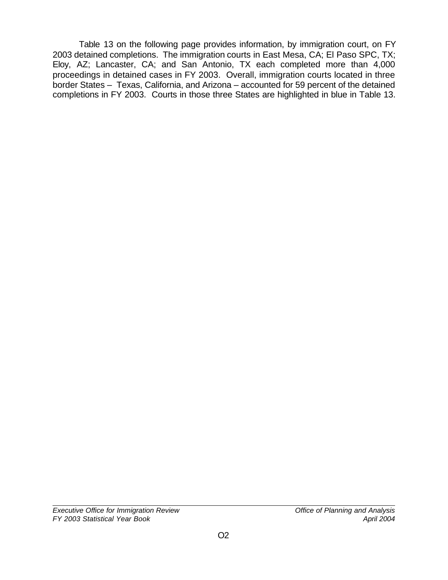Table 13 on the following page provides information, by immigration court, on FY 2003 detained completions. The immigration courts in East Mesa, CA; El Paso SPC, TX; Eloy, AZ; Lancaster, CA; and San Antonio, TX each completed more than 4,000 proceedings in detained cases in FY 2003. Overall, immigration courts located in three border States – Texas, California, and Arizona – accounted for 59 percent of the detained completions in FY 2003. Courts in those three States are highlighted in blue in Table 13.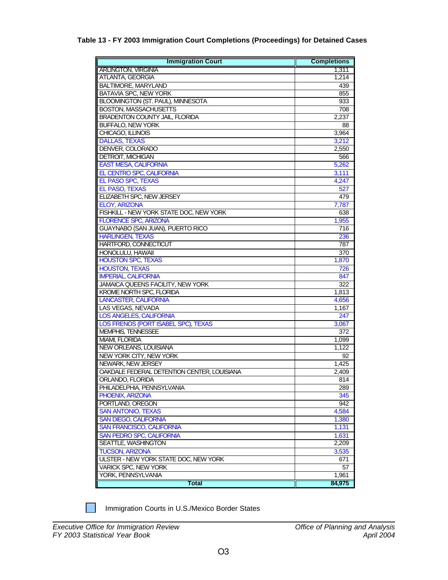#### **Table 13 - FY 2003 Immigration Court Completions (Proceedings) for Detained Cases**

| <b>Immigration Court</b>                    | <b>Completions</b> |
|---------------------------------------------|--------------------|
| <b>ARLINGTON, VIRGINIA</b>                  | 1,311              |
| ATLANTA, GEORGIA                            | 1,214              |
| <b>BALTIMORE, MARYLAND</b>                  | 439                |
| BATAVIA SPC, NEW YORK                       | 855                |
| BLOOMINGTON (ST. PAUL), MINNESOTA           | 933                |
| <b>BOSTON, MASSACHUSETTS</b>                | 708                |
| <b>BRADENTON COUNTY JAIL, FLORIDA</b>       | 2,237              |
| <b>BUFFALO, NEW YORK</b>                    | 88                 |
| CHICAGO, ILLINOIS                           | 3,964              |
| <b>DALLAS, TEXAS</b>                        | 3,212              |
| DENVER, COLORADO                            | 2,550              |
| <b>DETROIT, MICHIGAN</b>                    | 566                |
| <b>EAST MESA, CALIFORNIA</b>                | 5,262              |
| EL CENTRO SPC, CALIFORNIA                   | 3,111              |
| EL PASO SPC, TEXAS                          | 4,247              |
| <b>EL PASO, TEXAS</b>                       | 527                |
| ELIZABETH SPC, NEW JERSEY                   | 479                |
| <b>ELOY, ARIZONA</b>                        | 7,787              |
| FISHKILL - NEW YORK STATE DOC, NEW YORK     | 638                |
| <b>FLORENCE SPC, ARIZONA</b>                | 1,955              |
| GUAYNABO (SAN JUAN), PUERTO RICO            | 716                |
| <b>HARLINGEN, TEXAS</b>                     | 236                |
| HARTFORD, CONNECTICUT                       | 787                |
| HONOLULU, HAWAII                            | 370                |
| <b>HOUSTON SPC, TEXAS</b>                   | 1,870              |
| <b>HOUSTON, TEXAS</b>                       | 726                |
| <b>IMPERIAL, CALIFORNIA</b>                 | 847                |
| JAMAICA QUEENS FACILITY, NEW YORK           | 322                |
| <b>KROME NORTH SPC, FLORIDA</b>             | $\overline{1,813}$ |
| <b>LANCASTER, CALIFORNIA</b>                | 4,656              |
| LAS VEGAS, NEVADA                           | 1,167              |
| <b>LOS ANGELES, CALIFORNIA</b>              | 247                |
| LOS FRENOS (PORT ISABEL SPC), TEXAS         | 3,067              |
| MEMPHIS, TENNESSEE                          | 372                |
| MIAMI, FLORIDA                              | 1.099              |
| NEW ORLEANS, LOUISIANA                      | 1,122              |
| NEW YORK CITY. NEW YORK                     | 92                 |
| NEWARK, NEW JERSEY                          | 1,425              |
| OAKDALE FEDERAL DETENTION CENTER, LOUISIANA | 2,409              |
| ORLANDO, FLORIDA                            | 814                |
| PHILADELPHIA, PENNSYLVANIA                  | 289                |
| PHOENIX, ARIZONA                            | 345                |
| PORTLAND, OREGON                            | 942                |
| <b>SAN ANTONIO, TEXAS</b>                   | 4,584              |
| <b>SAN DIEGO, CALIFORNIA</b>                | 1,380              |
| <b>SAN FRANCISCO, CALIFORNIA</b>            | 1,131              |
| SAN PEDRO SPC, CALIFORNIA                   | 1,631              |
| SEATTLE, WASHINGTON                         | 2,209              |
| <b>TUCSON, ARIZONA</b>                      | 3.535              |
| ULSTER - NEW YORK STATE DOC, NEW YORK       | 671                |
| <b>VARICK SPC, NEW YORK</b>                 | 57                 |
| YORK, PENNSYLVANIA                          | 1,961              |
| Total                                       | 84,975             |

Immigration Courts in U.S./Mexico Border States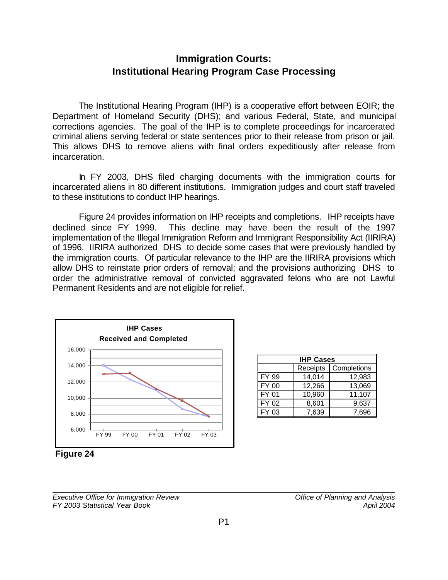# **Immigration Courts: Institutional Hearing Program Case Processing**

The Institutional Hearing Program (IHP) is a cooperative effort between EOIR; the Department of Homeland Security (DHS); and various Federal, State, and municipal corrections agencies. The goal of the IHP is to complete proceedings for incarcerated criminal aliens serving federal or state sentences prior to their release from prison or jail. This allows DHS to remove aliens with final orders expeditiously after release from incarceration.

In FY 2003, DHS filed charging documents with the immigration courts for incarcerated aliens in 80 different institutions. Immigration judges and court staff traveled to these institutions to conduct IHP hearings.

Figure 24 provides information on IHP receipts and completions. IHP receipts have declined since FY 1999. This decline may have been the result of the 1997 implementation of the Illegal Immigration Reform and Immigrant Responsibility Act (IIRIRA) of 1996. IIRIRA authorized DHS to decide some cases that were previously handled by the immigration courts. Of particular relevance to the IHP are the IIRIRA provisions which allow DHS to reinstate prior orders of removal; and the provisions authorizing DHS to order the administrative removal of convicted aggravated felons who are not Lawful Permanent Residents and are not eligible for relief.



| <b>IHP Cases</b> |          |             |  |  |  |
|------------------|----------|-------------|--|--|--|
|                  | Receipts | Completions |  |  |  |
| FY 99            | 14,014   | 12,983      |  |  |  |
| <b>FY 00</b>     | 12,266   | 13,069      |  |  |  |
| FY 01            | 10,960   | 11,107      |  |  |  |
| FY 02            | 8,601    | 9,637       |  |  |  |
| FY 03            | 7,639    | 7.696       |  |  |  |

**Figure 24**

*Executive Office for Immigration Review Office of Planning and Analysis FY 2003 Statistical Year Book April 2004*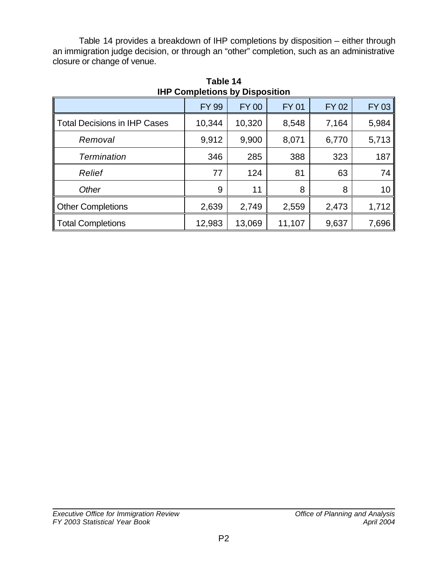Table 14 provides a breakdown of IHP completions by disposition – either through an immigration judge decision, or through an "other" completion, such as an administrative closure or change of venue.

|                                     | <b>FY 99</b> | <b>FY 00</b> | <b>FY 01</b> | <b>FY 02</b> | <b>FY 03</b> |
|-------------------------------------|--------------|--------------|--------------|--------------|--------------|
| <b>Total Decisions in IHP Cases</b> | 10,344       | 10,320       | 8,548        | 7,164        | 5,984        |
| Removal                             | 9,912        | 9,900        | 8,071        | 6,770        | 5,713        |
| <b>Termination</b>                  | 346          | 285          | 388          | 323          | 187          |
| Relief                              | 77           | 124          | 81           | 63           | 74           |
| Other                               | 9            | 11           | 8            | 8            | 10           |
| <b>Other Completions</b>            | 2,639        | 2,749        | 2,559        | 2,473        | 1,712        |
| <b>Total Completions</b>            | 12,983       | 13,069       | 11,107       | 9,637        | 7,696        |

**Table 14 IHP Completions by Disposition**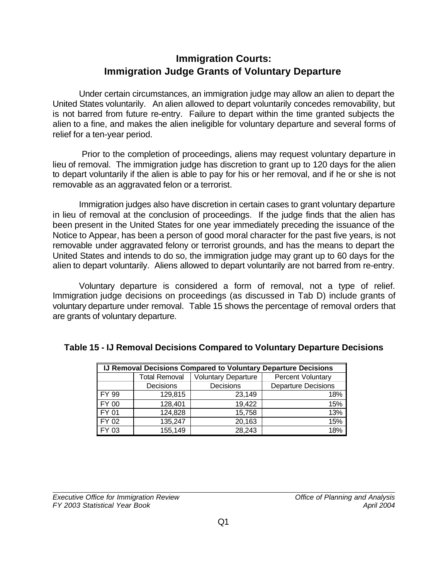# **Immigration Courts: Immigration Judge Grants of Voluntary Departure**

Under certain circumstances, an immigration judge may allow an alien to depart the United States voluntarily. An alien allowed to depart voluntarily concedes removability, but is not barred from future re-entry. Failure to depart within the time granted subjects the alien to a fine, and makes the alien ineligible for voluntary departure and several forms of relief for a ten-year period.

 Prior to the completion of proceedings, aliens may request voluntary departure in lieu of removal. The immigration judge has discretion to grant up to 120 days for the alien to depart voluntarily if the alien is able to pay for his or her removal, and if he or she is not removable as an aggravated felon or a terrorist.

Immigration judges also have discretion in certain cases to grant voluntary departure in lieu of removal at the conclusion of proceedings. If the judge finds that the alien has been present in the United States for one year immediately preceding the issuance of the Notice to Appear, has been a person of good moral character for the past five years, is not removable under aggravated felony or terrorist grounds, and has the means to depart the United States and intends to do so, the immigration judge may grant up to 60 days for the alien to depart voluntarily. Aliens allowed to depart voluntarily are not barred from re-entry.

Voluntary departure is considered a form of removal, not a type of relief. Immigration judge decisions on proceedings (as discussed in Tab D) include grants of voluntary departure under removal. Table 15 shows the percentage of removal orders that are grants of voluntary departure.

| IJ Removal Decisions Compared to Voluntary Departure Decisions |                                                    |           |                            |  |  |
|----------------------------------------------------------------|----------------------------------------------------|-----------|----------------------------|--|--|
|                                                                | <b>Voluntary Departure</b><br><b>Total Removal</b> |           | <b>Percent Voluntary</b>   |  |  |
|                                                                | Decisions                                          | Decisions | <b>Departure Decisions</b> |  |  |
| FY 99                                                          | 129,815                                            | 23,149    | 18%                        |  |  |
| FY 00                                                          | 128,401                                            | 19,422    | 15%                        |  |  |
| FY 01                                                          | 124,828                                            | 15,758    | 13%                        |  |  |
| FY 02                                                          | 135,247                                            | 20,163    | 15%                        |  |  |
| FY 03                                                          | 155,149                                            | 28,243    | 18%                        |  |  |

#### **Table 15 - IJ Removal Decisions Compared to Voluntary Departure Decisions**

*Executive Office for Immigration Review Office of Planning and Analysis FY 2003 Statistical Year Book April 2004*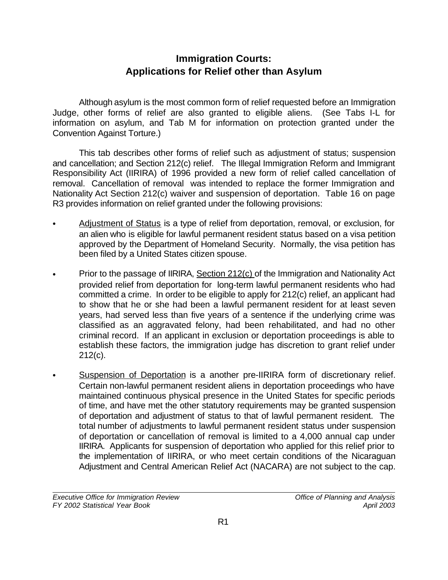# **Immigration Courts: Applications for Relief other than Asylum**

Although asylum is the most common form of relief requested before an Immigration Judge, other forms of relief are also granted to eligible aliens. (See Tabs I-L for information on asylum, and Tab M for information on protection granted under the Convention Against Torture.)

This tab describes other forms of relief such as adjustment of status; suspension and cancellation; and Section 212(c) relief. The Illegal Immigration Reform and Immigrant Responsibility Act (IIRIRA) of 1996 provided a new form of relief called cancellation of removal. Cancellation of removal was intended to replace the former Immigration and Nationality Act Section 212(c) waiver and suspension of deportation. Table 16 on page R3 provides information on relief granted under the following provisions:

- Adjustment of Status is a type of relief from deportation, removal, or exclusion, for an alien who is eligible for lawful permanent resident status based on a visa petition approved by the Department of Homeland Security. Normally, the visa petition has been filed by a United States citizen spouse.
- Prior to the passage of IIRIRA, Section 212(c) of the Immigration and Nationality Act provided relief from deportation for long-term lawful permanent residents who had committed a crime. In order to be eligible to apply for 212(c) relief, an applicant had to show that he or she had been a lawful permanent resident for at least seven years, had served less than five years of a sentence if the underlying crime was classified as an aggravated felony, had been rehabilitated, and had no other criminal record. If an applicant in exclusion or deportation proceedings is able to establish these factors, the immigration judge has discretion to grant relief under 212(c).
- Suspension of Deportation is a another pre-IIRIRA form of discretionary relief. Certain non-lawful permanent resident aliens in deportation proceedings who have maintained continuous physical presence in the United States for specific periods of time, and have met the other statutory requirements may be granted suspension of deportation and adjustment of status to that of lawful permanent resident. The total number of adjustments to lawful permanent resident status under suspension of deportation or cancellation of removal is limited to a 4,000 annual cap under IIRIRA. Applicants for suspension of deportation who applied for this relief prior to the implementation of IIRIRA, or who meet certain conditions of the Nicaraguan Adjustment and Central American Relief Act (NACARA) are not subject to the cap.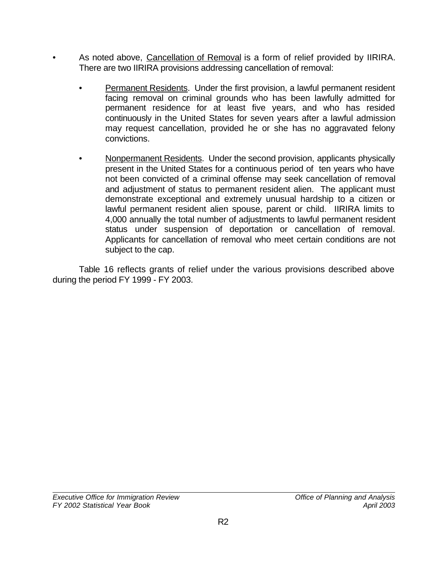- As noted above, Cancellation of Removal is a form of relief provided by IIRIRA. There are two IIRIRA provisions addressing cancellation of removal:
	- Permanent Residents. Under the first provision, a lawful permanent resident facing removal on criminal grounds who has been lawfully admitted for permanent residence for at least five years, and who has resided continuously in the United States for seven years after a lawful admission may request cancellation, provided he or she has no aggravated felony convictions.
	- Nonpermanent Residents. Under the second provision, applicants physically present in the United States for a continuous period of ten years who have not been convicted of a criminal offense may seek cancellation of removal and adjustment of status to permanent resident alien. The applicant must demonstrate exceptional and extremely unusual hardship to a citizen or lawful permanent resident alien spouse, parent or child. IIRIRA limits to 4,000 annually the total number of adjustments to lawful permanent resident status under suspension of deportation or cancellation of removal. Applicants for cancellation of removal who meet certain conditions are not subject to the cap.

 Table 16 reflects grants of relief under the various provisions described above during the period FY 1999 - FY 2003.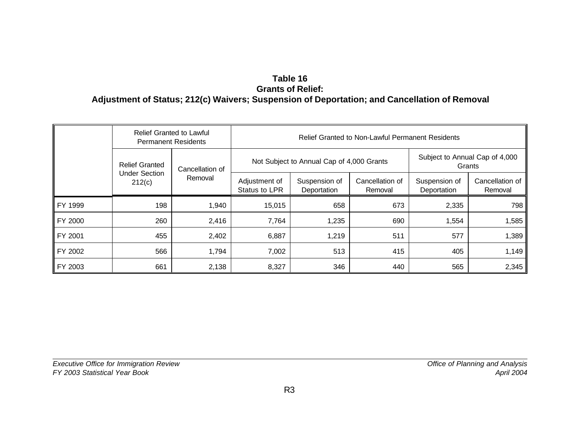## **Table 16 Grants of Relief: Adjustment of Status; 212(c) Waivers; Suspension of Deportation; and Cancellation of Removal**

|         | <b>Relief Granted to Lawful</b><br><b>Permanent Residents</b> |                 | <b>Relief Granted to Non-Lawful Permanent Residents</b> |                                           |                            |                              |                                          |
|---------|---------------------------------------------------------------|-----------------|---------------------------------------------------------|-------------------------------------------|----------------------------|------------------------------|------------------------------------------|
|         | <b>Relief Granted</b><br><b>Under Section</b><br>212(c)       | Cancellation of |                                                         | Not Subject to Annual Cap of 4,000 Grants |                            |                              | Subject to Annual Cap of 4,000<br>Grants |
|         |                                                               | Removal         | Adjustment of<br>Status to LPR                          | Suspension of<br>Deportation              | Cancellation of<br>Removal | Suspension of<br>Deportation | Cancellation of<br>Removal               |
| FY 1999 | 198                                                           | 1,940           | 15,015                                                  | 658                                       | 673                        | 2,335                        | 798                                      |
| FY 2000 | 260                                                           | 2,416           | 7,764                                                   | 1,235                                     | 690                        | 1,554                        | 1,585                                    |
| FY 2001 | 455                                                           | 2,402           | 6,887                                                   | 1,219                                     | 511                        | 577                          | 1,389                                    |
| FY 2002 | 566                                                           | 1,794           | 7,002                                                   | 513                                       | 415                        | 405                          | 1,149                                    |
| FY 2003 | 661                                                           | 2,138           | 8,327                                                   | 346                                       | 440                        | 565                          | 2,345                                    |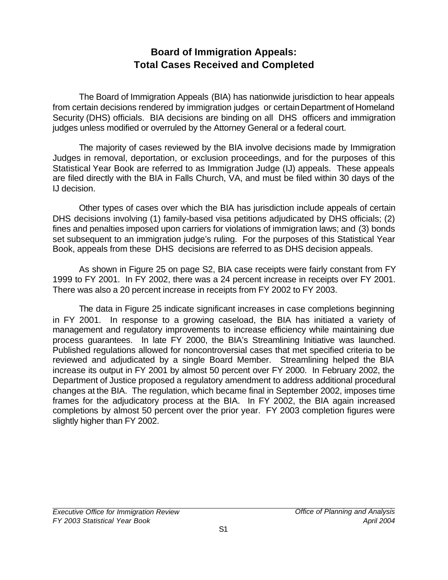# **Board of Immigration Appeals: Total Cases Received and Completed**

The Board of Immigration Appeals (BIA) has nationwide jurisdiction to hear appeals from certain decisions rendered by immigration judges or certain Department of Homeland Security (DHS) officials. BIA decisions are binding on all DHS officers and immigration judges unless modified or overruled by the Attorney General or a federal court.

The majority of cases reviewed by the BIA involve decisions made by Immigration Judges in removal, deportation, or exclusion proceedings, and for the purposes of this Statistical Year Book are referred to as Immigration Judge (IJ) appeals. These appeals are filed directly with the BIA in Falls Church, VA, and must be filed within 30 days of the IJ decision.

Other types of cases over which the BIA has jurisdiction include appeals of certain DHS decisions involving (1) family-based visa petitions adjudicated by DHS officials; (2) fines and penalties imposed upon carriers for violations of immigration laws; and (3) bonds set subsequent to an immigration judge's ruling. For the purposes of this Statistical Year Book, appeals from these DHS decisions are referred to as DHS decision appeals.

As shown in Figure 25 on page S2, BIA case receipts were fairly constant from FY 1999 to FY 2001. In FY 2002, there was a 24 percent increase in receipts over FY 2001. There was also a 20 percent increase in receipts from FY 2002 to FY 2003.

The data in Figure 25 indicate significant increases in case completions beginning in FY 2001. In response to a growing caseload, the BIA has initiated a variety of management and regulatory improvements to increase efficiency while maintaining due process guarantees. In late FY 2000, the BIA's Streamlining Initiative was launched. Published regulations allowed for noncontroversial cases that met specified criteria to be reviewed and adjudicated by a single Board Member. Streamlining helped the BIA increase its output in FY 2001 by almost 50 percent over FY 2000. In February 2002, the Department of Justice proposed a regulatory amendment to address additional procedural changes at the BIA. The regulation, which became final in September 2002, imposes time frames for the adjudicatory process at the BIA. In FY 2002, the BIA again increased completions by almost 50 percent over the prior year. FY 2003 completion figures were slightly higher than FY 2002.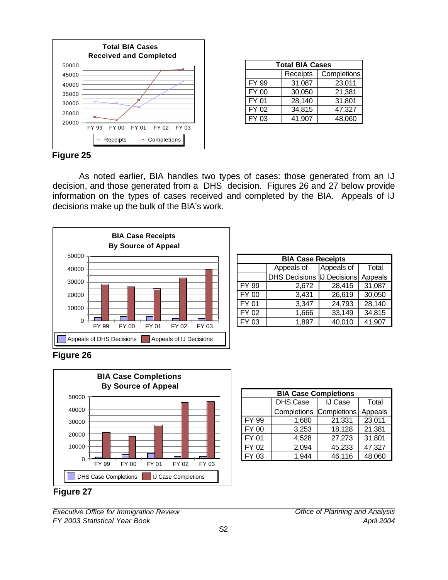

| <b>Total BIA Cases</b> |          |             |  |  |  |
|------------------------|----------|-------------|--|--|--|
|                        | Receipts | Completions |  |  |  |
| FY 99                  | 31,087   | 23,011      |  |  |  |
| FY 00                  | 30,050   | 21,381      |  |  |  |
| FY 01                  | 28,140   | 31,801      |  |  |  |
| FY 02                  | 34,815   | 47,327      |  |  |  |
| FY 03                  | 41,907   | 48,060      |  |  |  |

#### **Figure 25**

As noted earlier, BIA handles two types of cases: those generated from an IJ decision, and those generated from a DHS decision. Figures 26 and 27 below provide information on the types of cases received and completed by the BIA. Appeals of IJ decisions make up the bulk of the BIA's work.



| <b>BIA Case Receipts</b> |                      |                     |         |  |  |
|--------------------------|----------------------|---------------------|---------|--|--|
|                          | Appeals of           | Appeals of          | Total   |  |  |
|                          | <b>DHS Decisions</b> | <b>IJ Decisions</b> | Appeals |  |  |
| <b>FY 99</b>             | 2,672                | 28,415              | 31,087  |  |  |
| <b>FY 00</b>             | 3,431                | 26,619              | 30,050  |  |  |
| FY 01                    | 3,347                | 24,793              | 28,140  |  |  |
| <b>FY 02</b>             | 1,666                | 33,149              | 34,815  |  |  |
| FY 03                    | 1,897                | 40,010              | 41,907  |  |  |

#### **Figure 26**



| <b>BIA Case Completions</b> |                 |             |         |  |  |
|-----------------------------|-----------------|-------------|---------|--|--|
|                             | <b>DHS Case</b> | IJ Case     | Total   |  |  |
|                             | Completions     | Completions | Appeals |  |  |
| <b>FY 99</b>                | 1,680           | 21,331      | 23,011  |  |  |
| FY 00                       | 3,253           | 18,128      | 21,381  |  |  |
| FY 01                       | 4,528           | 27,273      | 31,801  |  |  |
| FY 02                       | 2,094           | 45,233      | 47,327  |  |  |
| FY 03                       | 1,944           | 46,116      | 48,060  |  |  |

#### **Figure 27**

*Executive Office for Immigration Review Office of Planning and Analysis FY 2003 Statistical Year Book April 2004*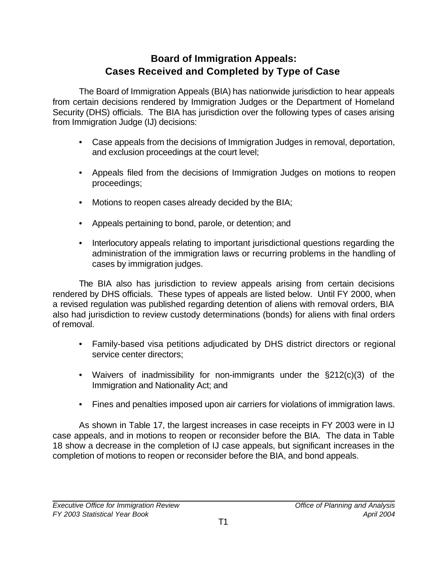# **Board of Immigration Appeals: Cases Received and Completed by Type of Case**

The Board of Immigration Appeals (BIA) has nationwide jurisdiction to hear appeals from certain decisions rendered by Immigration Judges or the Department of Homeland Security (DHS) officials. The BIA has jurisdiction over the following types of cases arising from Immigration Judge (IJ) decisions:

- Case appeals from the decisions of Immigration Judges in removal, deportation, and exclusion proceedings at the court level;
- Appeals filed from the decisions of Immigration Judges on motions to reopen proceedings;
- Motions to reopen cases already decided by the BIA;
- Appeals pertaining to bond, parole, or detention; and
- Interlocutory appeals relating to important jurisdictional questions regarding the administration of the immigration laws or recurring problems in the handling of cases by immigration judges.

The BIA also has jurisdiction to review appeals arising from certain decisions rendered by DHS officials. These types of appeals are listed below. Until FY 2000, when a revised regulation was published regarding detention of aliens with removal orders, BIA also had jurisdiction to review custody determinations (bonds) for aliens with final orders of removal.

- Family-based visa petitions adjudicated by DHS district directors or regional service center directors;
- Waivers of inadmissibility for non-immigrants under the §212(c)(3) of the Immigration and Nationality Act; and
- Fines and penalties imposed upon air carriers for violations of immigration laws.

As shown in Table 17, the largest increases in case receipts in FY 2003 were in IJ case appeals, and in motions to reopen or reconsider before the BIA. The data in Table 18 show a decrease in the completion of IJ case appeals, but significant increases in the completion of motions to reopen or reconsider before the BIA, and bond appeals.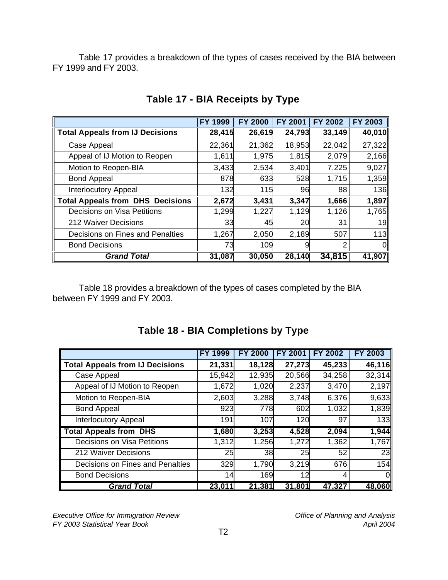Table 17 provides a breakdown of the types of cases received by the BIA between FY 1999 and FY 2003.

|                                         | FY 1999 | <b>FY 2000</b> | <b>FY 2001</b> | <b>FY 2002</b> | FY 2003 |
|-----------------------------------------|---------|----------------|----------------|----------------|---------|
| <b>Total Appeals from IJ Decisions</b>  | 28,415  | 26,619         | 24,793         | 33,149         | 40,010  |
| Case Appeal                             | 22,361  | 21,362         | 18,953         | 22,042         | 27,322  |
| Appeal of IJ Motion to Reopen           | 1,611   | 1,975          | 1,815          | 2,079          | 2,166   |
| Motion to Reopen-BIA                    | 3,433   | 2,534          | 3,401          | 7,225          | 9,027   |
| <b>Bond Appeal</b>                      | 878     | 633            | 528            | 1,715          | 1,359   |
| <b>Interlocutory Appeal</b>             | 132     | 115            | 96             | 88             | 136     |
| <b>Total Appeals from DHS Decisions</b> | 2,672   | 3,431          | 3,347          | 1,666          | 1,897   |
| Decisions on Visa Petitions             | 1,299   | 1,227          | 1,129          | 1,126          | 1,765   |
| 212 Waiver Decisions                    | 33      | 45             | 20             | 31             | 19      |
| Decisions on Fines and Penalties        | 1,267   | 2,050          | 2,189          | 507            | 113     |
| <b>Bond Decisions</b>                   | 73      | 109            | 9              | 2              | 0       |
| <b>Grand Total</b>                      | 31,087  | 30,050         | 28,140         | 34,815         | 41,907  |

# **Table 17 - BIA Receipts by Type**

Table 18 provides a breakdown of the types of cases completed by the BIA between FY 1999 and FY 2003.

|                                        | <b>FY 1999</b> | <b>FY 2000</b> | <b>FY 2001</b> | <b>FY 2002</b> | <b>FY 2003</b> |
|----------------------------------------|----------------|----------------|----------------|----------------|----------------|
| <b>Total Appeals from IJ Decisions</b> | 21,331         | 18,128         | 27,273         | 45,233         | 46,116         |
| Case Appeal                            | 15,942         | 12,935         | 20,566         | 34,258         | 32,314         |
| Appeal of IJ Motion to Reopen          | 1,672          | 1,020          | 2,237          | 3,470          | 2,197          |
| Motion to Reopen-BIA                   | 2,603          | 3,288          | 3,748          | 6,376          | 9,633          |
| <b>Bond Appeal</b>                     | 923            | 778            | 602            | 1,032          | 1,839          |
| <b>Interlocutory Appeal</b>            | 191            | 107            | 120            | 97             | 133            |
| <b>Total Appeals from DHS</b>          | 1,680          | 3,253          | 4,528          | 2,094          | 1,944          |
| Decisions on Visa Petitions            | 1,312          | 1,256          | 1,272          | 1,362          | 1,767          |
| 212 Waiver Decisions                   | 25             | 38             | 25             | 52             | 23             |
| Decisions on Fines and Penalties       | 329            | 1,790          | 3,219          | 676            | 154            |
| <b>Bond Decisions</b>                  | 14             | 169            | 12             | 4              | 0              |
| <b>Grand Total</b>                     | 23,011         | 21,381         | 31,801         | 47,327         | 48,060         |

# **Table 18 - BIA Completions by Type**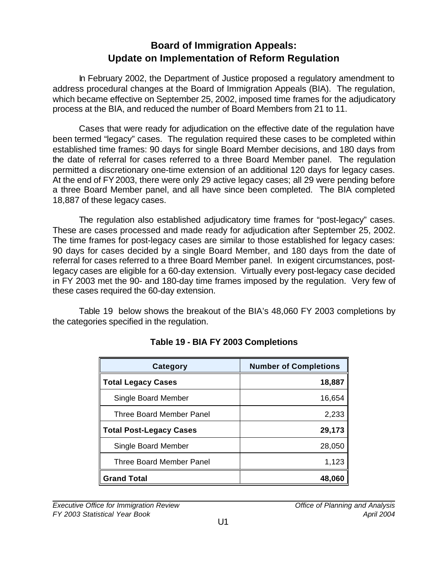# **Board of Immigration Appeals: Update on Implementation of Reform Regulation**

In February 2002, the Department of Justice proposed a regulatory amendment to address procedural changes at the Board of Immigration Appeals (BIA). The regulation, which became effective on September 25, 2002, imposed time frames for the adjudicatory process at the BIA, and reduced the number of Board Members from 21 to 11.

Cases that were ready for adjudication on the effective date of the regulation have been termed "legacy" cases. The regulation required these cases to be completed within established time frames: 90 days for single Board Member decisions, and 180 days from the date of referral for cases referred to a three Board Member panel. The regulation permitted a discretionary one-time extension of an additional 120 days for legacy cases. At the end of FY 2003, there were only 29 active legacy cases; all 29 were pending before a three Board Member panel, and all have since been completed. The BIA completed 18,887 of these legacy cases.

The regulation also established adjudicatory time frames for "post-legacy" cases. These are cases processed and made ready for adjudication after September 25, 2002. The time frames for post-legacy cases are similar to those established for legacy cases: 90 days for cases decided by a single Board Member, and 180 days from the date of referral for cases referred to a three Board Member panel. In exigent circumstances, postlegacy cases are eligible for a 60-day extension. Virtually every post-legacy case decided in FY 2003 met the 90- and 180-day time frames imposed by the regulation. Very few of these cases required the 60-day extension.

Table 19 below shows the breakout of the BIA's 48,060 FY 2003 completions by the categories specified in the regulation.

| Category                       | <b>Number of Completions</b> |
|--------------------------------|------------------------------|
| <b>Total Legacy Cases</b>      | 18,887                       |
| Single Board Member            | 16,654                       |
| Three Board Member Panel       | 2,233                        |
| <b>Total Post-Legacy Cases</b> | 29,173                       |
| Single Board Member            | 28,050                       |
| Three Board Member Panel       | 1,123                        |
| <b>Grand Total</b>             | 48.060                       |

# **Table 19 - BIA FY 2003 Completions**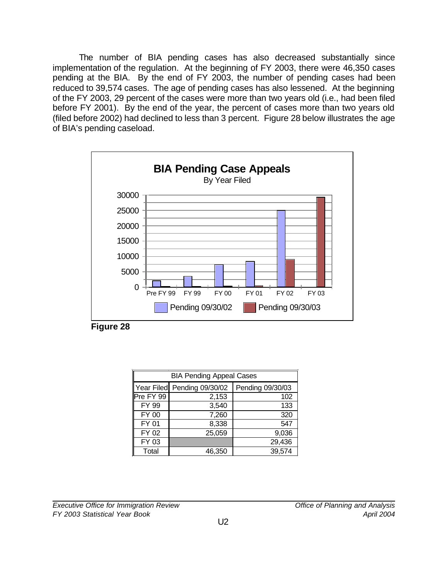The number of BIA pending cases has also decreased substantially since implementation of the regulation. At the beginning of FY 2003, there were 46,350 cases pending at the BIA. By the end of FY 2003, the number of pending cases had been reduced to 39,574 cases. The age of pending cases has also lessened. At the beginning of the FY 2003, 29 percent of the cases were more than two years old (i.e., had been filed before FY 2001). By the end of the year, the percent of cases more than two years old (filed before 2002) had declined to less than 3 percent. Figure 28 below illustrates the age of BIA's pending caseload.



| <b>BIA Pending Appeal Cases</b> |                             |                  |  |  |
|---------------------------------|-----------------------------|------------------|--|--|
|                                 | Year Filed Pending 09/30/02 | Pending 09/30/03 |  |  |
| Pre FY 99                       | 2,153                       | 102              |  |  |
| FY 99                           | 3,540                       | 133              |  |  |
| <b>FY 00</b>                    | 7,260                       | 320              |  |  |
| FY 01                           | 8,338                       | 547              |  |  |
| FY 02                           | 25,059                      | 9,036            |  |  |
| FY 03                           |                             | 29,436           |  |  |
| Total                           | 46,350                      | 39,574           |  |  |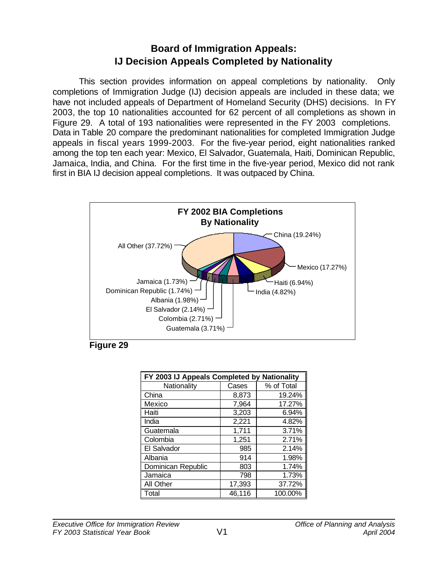# **Board of Immigration Appeals: IJ Decision Appeals Completed by Nationality**

This section provides information on appeal completions by nationality. Only completions of Immigration Judge (IJ) decision appeals are included in these data; we have not included appeals of Department of Homeland Security (DHS) decisions. In FY 2003, the top 10 nationalities accounted for 62 percent of all completions as shown in Figure 29. A total of 193 nationalities were represented in the FY 2003 completions. Data in Table 20 compare the predominant nationalities for completed Immigration Judge appeals in fiscal years 1999-2003.For the five-year period, eight nationalities ranked among the top ten each year: Mexico, El Salvador, Guatemala, Haiti, Dominican Republic, Jamaica, India, and China. For the first time in the five-year period, Mexico did not rank first in BIA IJ decision appeal completions. It was outpaced by China.





| FY 2003 IJ Appeals Completed by Nationality |        |            |  |  |  |
|---------------------------------------------|--------|------------|--|--|--|
| Nationality                                 | Cases  | % of Total |  |  |  |
| China                                       | 8,873  | 19.24%     |  |  |  |
| Mexico                                      | 7,964  | 17.27%     |  |  |  |
| Haiti                                       | 3,203  | 6.94%      |  |  |  |
| India                                       | 2,221  | 4.82%      |  |  |  |
| Guatemala                                   | 1,711  | 3.71%      |  |  |  |
| Colombia                                    | 1,251  | 2.71%      |  |  |  |
| El Salvador                                 | 985    | 2.14%      |  |  |  |
| Albania                                     | 914    | 1.98%      |  |  |  |
| Dominican Republic                          | 803    | 1.74%      |  |  |  |
| Jamaica                                     | 798    | 1.73%      |  |  |  |
| All Other                                   | 17,393 | 37.72%     |  |  |  |
| Total                                       | 46,116 | 100.00%    |  |  |  |
|                                             |        |            |  |  |  |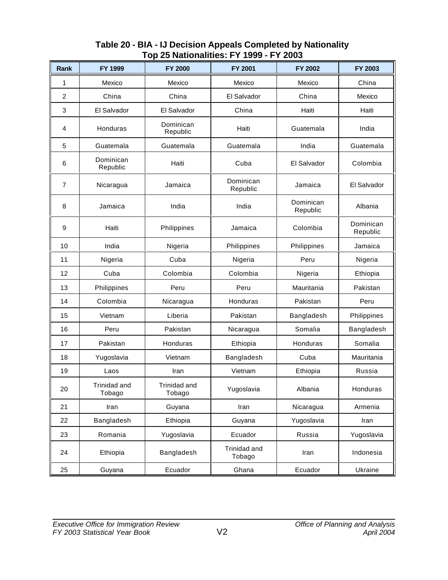| Rank                    | FY 1999                | <b>FY 2000</b>         | FY 2001                | FY 2002               | FY 2003               |
|-------------------------|------------------------|------------------------|------------------------|-----------------------|-----------------------|
| 1                       | Mexico                 | Mexico                 | Mexico                 | Mexico                | China                 |
| $\overline{\mathbf{c}}$ | China                  | China                  | El Salvador            | China                 | Mexico                |
| 3                       | El Salvador            | El Salvador            | China                  | Haiti                 | Haiti                 |
| $\overline{4}$          | Honduras               | Dominican<br>Republic  | Haiti                  | Guatemala             | India                 |
| 5                       | Guatemala              | Guatemala              | Guatemala              | India                 | Guatemala             |
| 6                       | Dominican<br>Republic  | Haiti                  | Cuba                   | El Salvador           | Colombia              |
| 7                       | Nicaragua              | Jamaica                | Dominican<br>Republic  | Jamaica               | El Salvador           |
| 8                       | Jamaica                | India                  | India                  | Dominican<br>Republic | Albania               |
| 9                       | Haiti                  | Philippines            | Jamaica                | Colombia              | Dominican<br>Republic |
| 10                      | India                  | Nigeria                | Philippines            | Philippines           | Jamaica               |
| 11                      | Nigeria                | Cuba                   | Nigeria                | Peru                  | Nigeria               |
| 12                      | Cuba                   | Colombia               | Colombia               | Nigeria               | Ethiopia              |
| 13                      | Philippines            | Peru                   | Peru                   | Mauritania            | Pakistan              |
| 14                      | Colombia               | Nicaragua              | Honduras               | Pakistan              | Peru                  |
| 15                      | Vietnam                | Liberia                | Pakistan               | Bangladesh            | Philippines           |
| 16                      | Peru                   | Pakistan               | Nicaragua              | Somalia               | Bangladesh            |
| 17                      | Pakistan               | Honduras               | Ethiopia               | Honduras              | Somalia               |
| 18                      | Yugoslavia             | Vietnam                | Bangladesh             | Cuba                  | Mauritania            |
| 19                      | Laos                   | Iran                   | Vietnam                | Ethiopia              | Russia                |
| 20                      | Trinidad and<br>Tobago | Trinidad and<br>Tobago | Yugoslavia             | Albania               | Honduras              |
| 21                      | Iran                   | Guyana                 | Iran                   | Nicaragua             | Armenia               |
| 22                      | Bangladesh             | Ethiopia               | Guyana                 | Yugoslavia            | Iran                  |
| 23                      | Romania                | Yugoslavia             | Ecuador                | Russia                | Yugoslavia            |
| 24                      | Ethiopia               | Bangladesh             | Trinidad and<br>Tobago | Iran                  | Indonesia             |
| 25                      | Guyana                 | Ecuador                | Ghana                  | Ecuador               | Ukraine               |

## **Table 20 - BIA - IJ Decision Appeals Completed by Nationality Top 25 Nationalities: FY 1999 - FY 2003**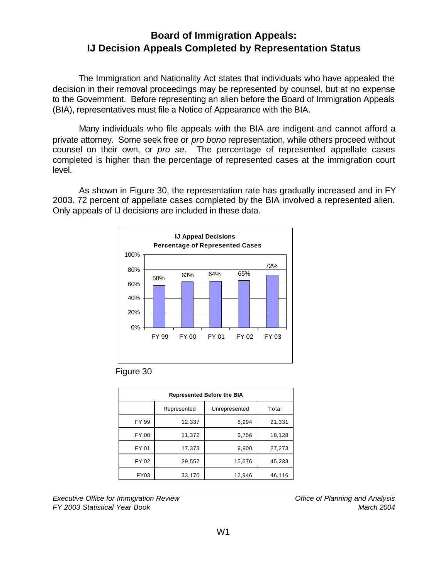# **Board of Immigration Appeals: IJ Decision Appeals Completed by Representation Status**

The Immigration and Nationality Act states that individuals who have appealed the decision in their removal proceedings may be represented by counsel, but at no expense to the Government. Before representing an alien before the Board of Immigration Appeals (BIA), representatives must file a Notice of Appearance with the BIA.

Many individuals who file appeals with the BIA are indigent and cannot afford a private attorney. Some seek free or *pro bono* representation, while others proceed without counsel on their own, or *pro se*. The percentage of represented appellate cases completed is higher than the percentage of represented cases at the immigration court level.

As shown in Figure 30, the representation rate has gradually increased and in FY 2003, 72 percent of appellate cases completed by the BIA involved a represented alien. Only appeals of IJ decisions are included in these data.





| <b>Represented Before the BIA</b> |             |               |        |  |  |
|-----------------------------------|-------------|---------------|--------|--|--|
|                                   | Represented | Unrepresented | Total  |  |  |
| FY 99                             | 12,337      | 8,994         | 21,331 |  |  |
| FY 00                             | 11,372      | 6,756         | 18,128 |  |  |
| FY 01                             | 17,373      | 9,900         | 27,273 |  |  |
| FY 02                             | 29,557      | 15,676        | 45,233 |  |  |
| FY03                              | 33,170      | 12,946        | 46,116 |  |  |

*Executive Office for Immigration Review Office of Planning and Analysis FY 2003 Statistical Year Book March 2004*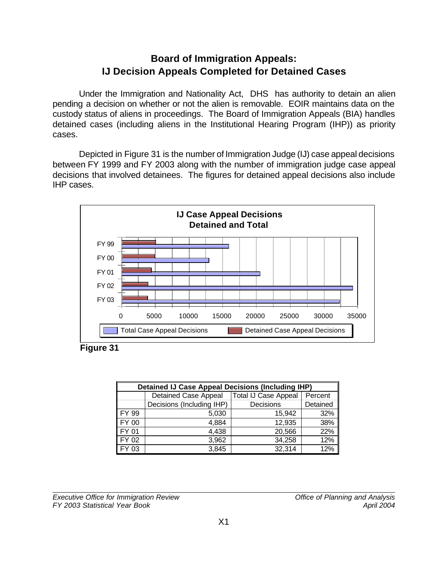# **Board of Immigration Appeals: IJ Decision Appeals Completed for Detained Cases**

Under the Immigration and Nationality Act, DHS has authority to detain an alien pending a decision on whether or not the alien is removable. EOIR maintains data on the custody status of aliens in proceedings. The Board of Immigration Appeals (BIA) handles detained cases (including aliens in the Institutional Hearing Program (IHP)) as priority cases.

Depicted in Figure 31 is the number of Immigration Judge (IJ) case appeal decisions between FY 1999 and FY 2003 along with the number of immigration judge case appeal decisions that involved detainees. The figures for detained appeal decisions also include IHP cases.



**Figure 31**

| <b>Detained IJ Case Appeal Decisions (Including IHP)</b> |                             |                      |          |  |  |
|----------------------------------------------------------|-----------------------------|----------------------|----------|--|--|
|                                                          | <b>Detained Case Appeal</b> | Total IJ Case Appeal | Percent  |  |  |
|                                                          | Decisions (Including IHP)   | Decisions            | Detained |  |  |
| FY 99                                                    | 5,030                       | 15.942               | 32%      |  |  |
| FY 00                                                    | 4,884                       | 12,935               | 38%      |  |  |
| FY 01                                                    | 4,438                       | 20,566               | 22%      |  |  |
| FY 02                                                    | 3,962                       | 34,258               | 12%      |  |  |
| 03                                                       | 3,845                       | 32,314               | 12%      |  |  |

*Executive Office for Immigration Review Office of Planning and Analysis FY 2003 Statistical Year Book April 2004*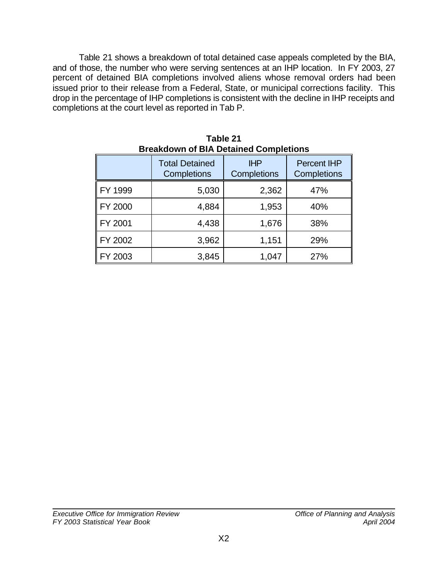Table 21 shows a breakdown of total detained case appeals completed by the BIA, and of those, the number who were serving sentences at an IHP location. In FY 2003, 27 percent of detained BIA completions involved aliens whose removal orders had been issued prior to their release from a Federal, State, or municipal corrections facility. This drop in the percentage of IHP completions is consistent with the decline in IHP receipts and completions at the court level as reported in Tab P.

| Breakdown of BIA Detained Completions |                                      |                           |                                   |  |  |
|---------------------------------------|--------------------------------------|---------------------------|-----------------------------------|--|--|
|                                       | <b>Total Detained</b><br>Completions | <b>IHP</b><br>Completions | <b>Percent IHP</b><br>Completions |  |  |
| FY 1999                               | 5,030                                | 2,362                     | 47%                               |  |  |
| FY 2000                               | 4,884                                | 1,953                     | 40%                               |  |  |
| FY 2001                               | 4,438                                | 1,676                     | 38%                               |  |  |
| FY 2002                               | 3,962                                | 1,151                     | 29%                               |  |  |
| FY 2003                               | 3,845                                | 1,047                     | 27%                               |  |  |

**Table 21 Breakdown of BIA Detained Completions**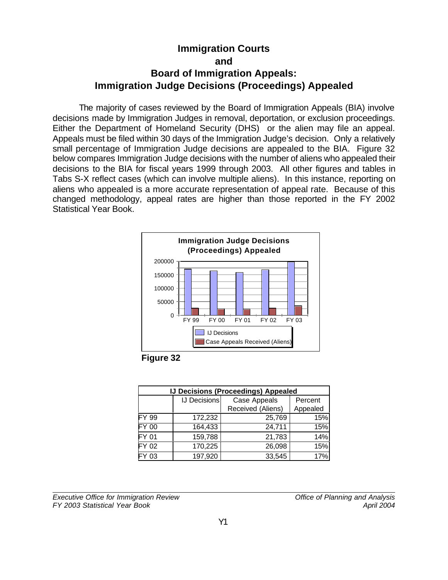# **Immigration Courts and Board of Immigration Appeals: Immigration Judge Decisions (Proceedings) Appealed**

The majority of cases reviewed by the Board of Immigration Appeals (BIA) involve decisions made by Immigration Judges in removal, deportation, or exclusion proceedings. Either the Department of Homeland Security (DHS) or the alien may file an appeal. Appeals must be filed within 30 days of the Immigration Judge's decision. Only a relatively small percentage of Immigration Judge decisions are appealed to the BIA. Figure 32 below compares Immigration Judge decisions with the number of aliens who appealed their decisions to the BIA for fiscal years 1999 through 2003. All other figures and tables in Tabs S-X reflect cases (which can involve multiple aliens). In this instance, reporting on aliens who appealed is a more accurate representation of appeal rate. Because of this changed methodology, appeal rates are higher than those reported in the FY 2002 Statistical Year Book.



**Figure 32**

| <b>IJ Decisions (Proceedings) Appealed</b> |                     |                   |          |  |
|--------------------------------------------|---------------------|-------------------|----------|--|
|                                            | <b>IJ Decisions</b> | Case Appeals      | Percent  |  |
|                                            |                     | Received (Aliens) | Appealed |  |
| FY 99                                      | 172,232             | 25,769            | 15%      |  |
| FY 00                                      | 164,433             | 24,711            | 15%      |  |
| FY 01                                      | 159,788             | 21,783            | 14%      |  |
| FY 02                                      | 170,225             | 26,098            | 15%      |  |
| Y 03                                       | 197,920             | 33,545            | 17%      |  |

*Executive Office for Immigration Review Office of Planning and Analysis FY 2003 Statistical Year Book April 2004*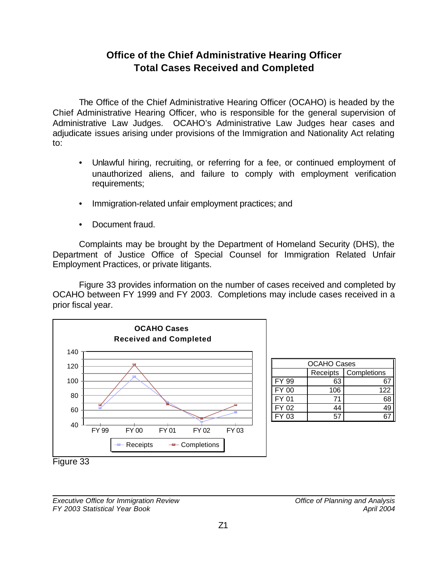# **Office of the Chief Administrative Hearing Officer Total Cases Received and Completed**

The Office of the Chief Administrative Hearing Officer (OCAHO) is headed by the Chief Administrative Hearing Officer, who is responsible for the general supervision of Administrative Law Judges. OCAHO's Administrative Law Judges hear cases and adjudicate issues arising under provisions of the Immigration and Nationality Act relating to:

- Unlawful hiring, recruiting, or referring for a fee, or continued employment of unauthorized aliens, and failure to comply with employment verification requirements;
- Immigration-related unfair employment practices; and
- Document fraud.

Complaints may be brought by the Department of Homeland Security (DHS), the Department of Justice Office of Special Counsel for Immigration Related Unfair Employment Practices, or private litigants.

Figure 33 provides information on the number of cases received and completed by OCAHO between FY 1999 and FY 2003. Completions may include cases received in a prior fiscal year.



| <b>OCAHO Cases</b> |          |             |  |  |
|--------------------|----------|-------------|--|--|
|                    | Receipts | Completions |  |  |
| FY 99              | 63       |             |  |  |
| FY 00              | 106      | 122         |  |  |
| FY 01              | 71       |             |  |  |
| FY 02              |          |             |  |  |
| FY 03              |          |             |  |  |

Figure 33

*Executive Office for Immigration Review Office of Planning and Analysis FY 2003 Statistical Year Book April 2004*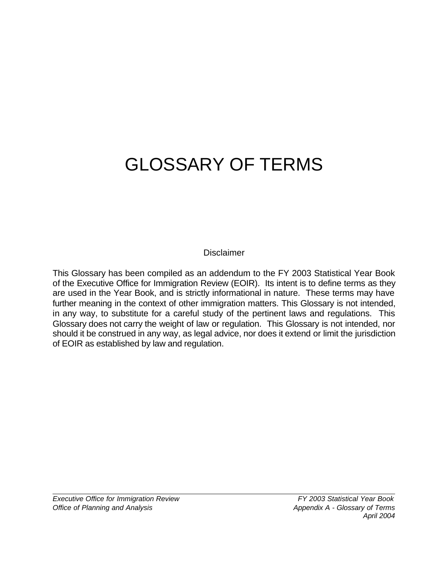# GLOSSARY OF TERMS

## **Disclaimer**

This Glossary has been compiled as an addendum to the FY 2003 Statistical Year Book of the Executive Office for Immigration Review (EOIR). Its intent is to define terms as they are used in the Year Book, and is strictly informational in nature. These terms may have further meaning in the context of other immigration matters. This Glossary is not intended, in any way, to substitute for a careful study of the pertinent laws and regulations. This Glossary does not carry the weight of law or regulation. This Glossary is not intended, nor should it be construed in any way, as legal advice, nor does it extend or limit the jurisdiction of EOIR as established by law and regulation.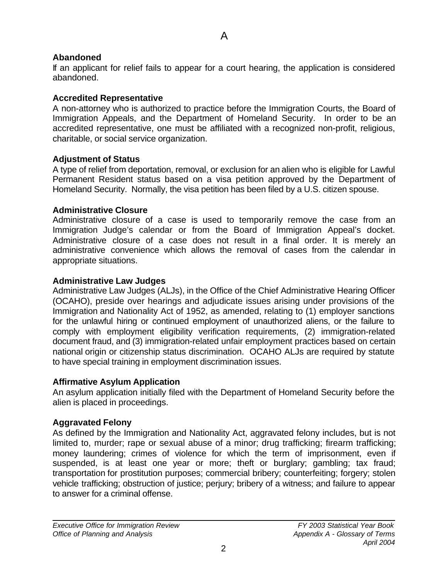A

## **Abandoned**

If an applicant for relief fails to appear for a court hearing, the application is considered abandoned.

## **Accredited Representative**

A non-attorney who is authorized to practice before the Immigration Courts, the Board of Immigration Appeals, and the Department of Homeland Security. In order to be an accredited representative, one must be affiliated with a recognized non-profit, religious, charitable, or social service organization.

## **Adjustment of Status**

A type of relief from deportation, removal, or exclusion for an alien who is eligible for Lawful Permanent Resident status based on a visa petition approved by the Department of Homeland Security. Normally, the visa petition has been filed by a U.S. citizen spouse.

## **Administrative Closure**

Administrative closure of a case is used to temporarily remove the case from an Immigration Judge's calendar or from the Board of Immigration Appeal's docket. Administrative closure of a case does not result in a final order. It is merely an administrative convenience which allows the removal of cases from the calendar in appropriate situations.

## **Administrative Law Judges**

Administrative Law Judges (ALJs), in the Office of the Chief Administrative Hearing Officer (OCAHO), preside over hearings and adjudicate issues arising under provisions of the Immigration and Nationality Act of 1952, as amended, relating to (1) employer sanctions for the unlawful hiring or continued employment of unauthorized aliens, or the failure to comply with employment eligibility verification requirements, (2) immigration-related document fraud, and (3) immigration-related unfair employment practices based on certain national origin or citizenship status discrimination. OCAHO ALJs are required by statute to have special training in employment discrimination issues.

# **Affirmative Asylum Application**

An asylum application initially filed with the Department of Homeland Security before the alien is placed in proceedings.

# **Aggravated Felony**

As defined by the Immigration and Nationality Act, aggravated felony includes, but is not limited to, murder; rape or sexual abuse of a minor; drug trafficking; firearm trafficking; money laundering; crimes of violence for which the term of imprisonment, even if suspended, is at least one year or more; theft or burglary; gambling; tax fraud; transportation for prostitution purposes; commercial bribery; counterfeiting; forgery; stolen vehicle trafficking; obstruction of justice; perjury; bribery of a witness; and failure to appear to answer for a criminal offense.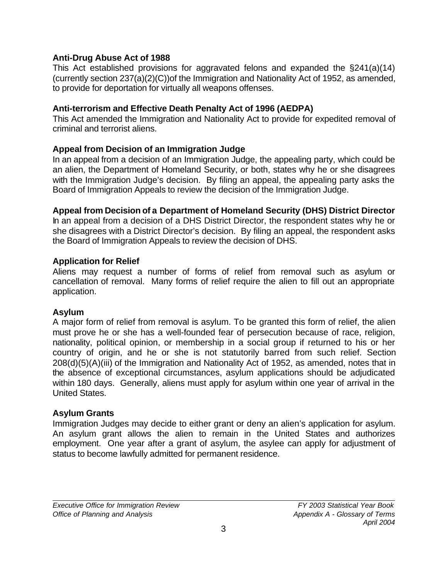#### **Anti-Drug Abuse Act of 1988**

This Act established provisions for aggravated felons and expanded the §241(a)(14) (currently section 237(a)(2)(C))of the Immigration and Nationality Act of 1952, as amended, to provide for deportation for virtually all weapons offenses.

#### **Anti-terrorism and Effective Death Penalty Act of 1996 (AEDPA)**

This Act amended the Immigration and Nationality Act to provide for expedited removal of criminal and terrorist aliens.

#### **Appeal from Decision of an Immigration Judge**

In an appeal from a decision of an Immigration Judge, the appealing party, which could be an alien, the Department of Homeland Security, or both, states why he or she disagrees with the Immigration Judge's decision. By filing an appeal, the appealing party asks the Board of Immigration Appeals to review the decision of the Immigration Judge.

#### **Appeal from Decision of a Department of Homeland Security (DHS) District Director**

In an appeal from a decision of a DHS District Director, the respondent states why he or she disagrees with a District Director's decision. By filing an appeal, the respondent asks the Board of Immigration Appeals to review the decision of DHS.

#### **Application for Relief**

Aliens may request a number of forms of relief from removal such as asylum or cancellation of removal. Many forms of relief require the alien to fill out an appropriate application.

#### **Asylum**

A major form of relief from removal is asylum. To be granted this form of relief, the alien must prove he or she has a well-founded fear of persecution because of race, religion, nationality, political opinion, or membership in a social group if returned to his or her country of origin, and he or she is not statutorily barred from such relief. Section 208(d)(5)(A)(iii) of the Immigration and Nationality Act of 1952, as amended, notes that in the absence of exceptional circumstances, asylum applications should be adjudicated within 180 days. Generally, aliens must apply for asylum within one year of arrival in the United States.

#### **Asylum Grants**

Immigration Judges may decide to either grant or deny an alien's application for asylum. An asylum grant allows the alien to remain in the United States and authorizes employment. One year after a grant of asylum, the asylee can apply for adjustment of status to become lawfully admitted for permanent residence.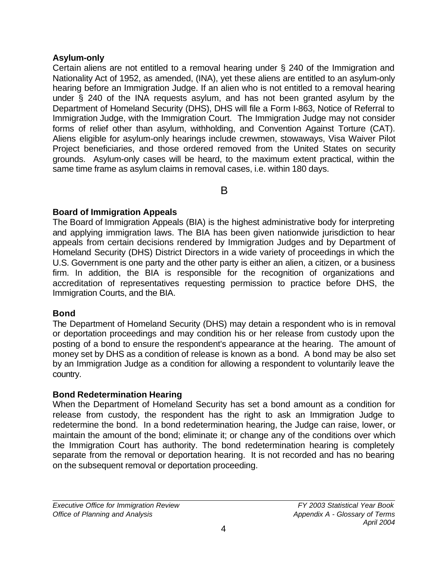#### **Asylum-only**

Certain aliens are not entitled to a removal hearing under § 240 of the Immigration and Nationality Act of 1952, as amended, (INA), yet these aliens are entitled to an asylum-only hearing before an Immigration Judge. If an alien who is not entitled to a removal hearing under § 240 of the INA requests asylum, and has not been granted asylum by the Department of Homeland Security (DHS), DHS will file a Form I-863, Notice of Referral to Immigration Judge, with the Immigration Court. The Immigration Judge may not consider forms of relief other than asylum, withholding, and Convention Against Torture (CAT). Aliens eligible for asylum-only hearings include crewmen, stowaways, Visa Waiver Pilot Project beneficiaries, and those ordered removed from the United States on security grounds. Asylum-only cases will be heard, to the maximum extent practical, within the same time frame as asylum claims in removal cases, i.e. within 180 days.

B

#### **Board of Immigration Appeals**

The Board of Immigration Appeals (BIA) is the highest administrative body for interpreting and applying immigration laws. The BIA has been given nationwide jurisdiction to hear appeals from certain decisions rendered by Immigration Judges and by Department of Homeland Security (DHS) District Directors in a wide variety of proceedings in which the U.S. Government is one party and the other party is either an alien, a citizen, or a business firm. In addition, the BIA is responsible for the recognition of organizations and accreditation of representatives requesting permission to practice before DHS, the Immigration Courts, and the BIA.

#### **Bond**

The Department of Homeland Security (DHS) may detain a respondent who is in removal or deportation proceedings and may condition his or her release from custody upon the posting of a bond to ensure the respondent's appearance at the hearing. The amount of money set by DHS as a condition of release is known as a bond. A bond may be also set by an Immigration Judge as a condition for allowing a respondent to voluntarily leave the country.

#### **Bond Redetermination Hearing**

When the Department of Homeland Security has set a bond amount as a condition for release from custody, the respondent has the right to ask an Immigration Judge to redetermine the bond. In a bond redetermination hearing, the Judge can raise, lower, or maintain the amount of the bond; eliminate it; or change any of the conditions over which the Immigration Court has authority. The bond redetermination hearing is completely separate from the removal or deportation hearing. It is not recorded and has no bearing on the subsequent removal or deportation proceeding.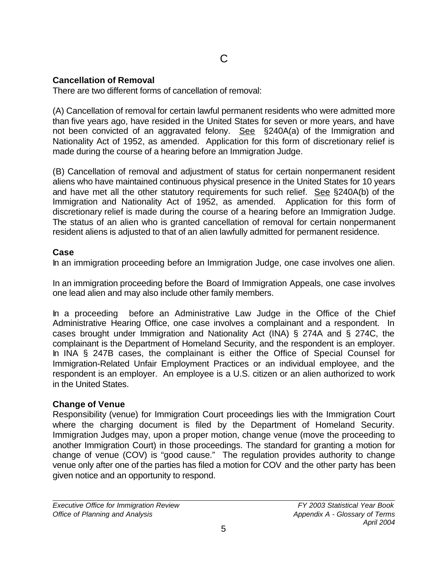#### **Cancellation of Removal**

There are two different forms of cancellation of removal:

(A) Cancellation of removal for certain lawful permanent residents who were admitted more than five years ago, have resided in the United States for seven or more years, and have not been convicted of an aggravated felony. See §240A(a) of the Immigration and Nationality Act of 1952, as amended. Application for this form of discretionary relief is made during the course of a hearing before an Immigration Judge.

(B) Cancellation of removal and adjustment of status for certain nonpermanent resident aliens who have maintained continuous physical presence in the United States for 10 years and have met all the other statutory requirements for such relief. See §240A(b) of the Immigration and Nationality Act of 1952, as amended. Application for this form of discretionary relief is made during the course of a hearing before an Immigration Judge. The status of an alien who is granted cancellation of removal for certain nonpermanent resident aliens is adjusted to that of an alien lawfully admitted for permanent residence.

#### **Case**

In an immigration proceeding before an Immigration Judge, one case involves one alien.

In an immigration proceeding before the Board of Immigration Appeals, one case involves one lead alien and may also include other family members.

In a proceeding before an Administrative Law Judge in the Office of the Chief Administrative Hearing Office, one case involves a complainant and a respondent. In cases brought under Immigration and Nationality Act (INA) § 274A and § 274C, the complainant is the Department of Homeland Security, and the respondent is an employer. In INA § 247B cases, the complainant is either the Office of Special Counsel for Immigration-Related Unfair Employment Practices or an individual employee, and the respondent is an employer. An employee is a U.S. citizen or an alien authorized to work in the United States.

#### **Change of Venue**

Responsibility (venue) for Immigration Court proceedings lies with the Immigration Court where the charging document is filed by the Department of Homeland Security. Immigration Judges may, upon a proper motion, change venue (move the proceeding to another Immigration Court) in those proceedings. The standard for granting a motion for change of venue (COV) is "good cause." The regulation provides authority to change venue only after one of the parties has filed a motion for COV and the other party has been given notice and an opportunity to respond.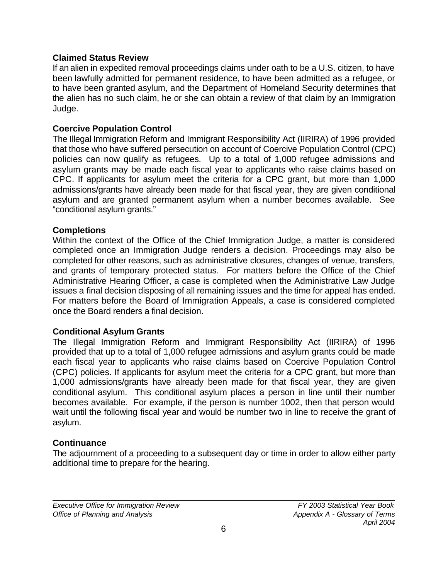#### **Claimed Status Review**

If an alien in expedited removal proceedings claims under oath to be a U.S. citizen, to have been lawfully admitted for permanent residence, to have been admitted as a refugee, or to have been granted asylum, and the Department of Homeland Security determines that the alien has no such claim, he or she can obtain a review of that claim by an Immigration Judge.

#### **Coercive Population Control**

The Illegal Immigration Reform and Immigrant Responsibility Act (IIRIRA) of 1996 provided that those who have suffered persecution on account of Coercive Population Control (CPC) policies can now qualify as refugees. Up to a total of 1,000 refugee admissions and asylum grants may be made each fiscal year to applicants who raise claims based on CPC. If applicants for asylum meet the criteria for a CPC grant, but more than 1,000 admissions/grants have already been made for that fiscal year, they are given conditional asylum and are granted permanent asylum when a number becomes available. See "conditional asylum grants."

#### **Completions**

Within the context of the Office of the Chief Immigration Judge, a matter is considered completed once an Immigration Judge renders a decision. Proceedings may also be completed for other reasons, such as administrative closures, changes of venue, transfers, and grants of temporary protected status. For matters before the Office of the Chief Administrative Hearing Officer, a case is completed when the Administrative Law Judge issues a final decision disposing of all remaining issues and the time for appeal has ended. For matters before the Board of Immigration Appeals, a case is considered completed once the Board renders a final decision.

#### **Conditional Asylum Grants**

The Illegal Immigration Reform and Immigrant Responsibility Act (IIRIRA) of 1996 provided that up to a total of 1,000 refugee admissions and asylum grants could be made each fiscal year to applicants who raise claims based on Coercive Population Control (CPC) policies. If applicants for asylum meet the criteria for a CPC grant, but more than 1,000 admissions/grants have already been made for that fiscal year, they are given conditional asylum. This conditional asylum places a person in line until their number becomes available. For example, if the person is number 1002, then that person would wait until the following fiscal year and would be number two in line to receive the grant of asylum.

#### **Continuance**

The adjournment of a proceeding to a subsequent day or time in order to allow either party additional time to prepare for the hearing.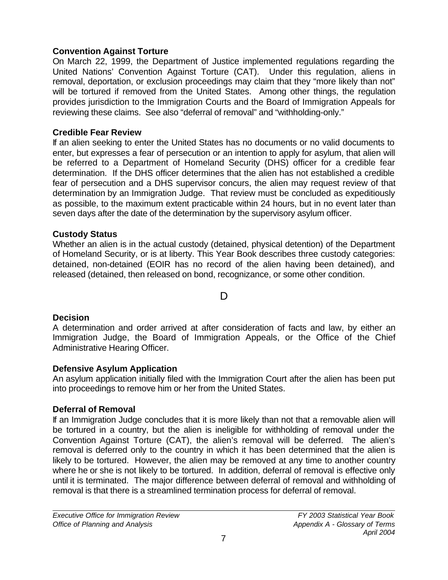## **Convention Against Torture**

On March 22, 1999, the Department of Justice implemented regulations regarding the United Nations' Convention Against Torture (CAT). Under this regulation, aliens in removal, deportation, or exclusion proceedings may claim that they "more likely than not" will be tortured if removed from the United States. Among other things, the regulation provides jurisdiction to the Immigration Courts and the Board of Immigration Appeals for reviewing these claims.See also "deferral of removal" and "withholding-only."

# **Credible Fear Review**

If an alien seeking to enter the United States has no documents or no valid documents to enter, but expresses a fear of persecution or an intention to apply for asylum, that alien will be referred to a Department of Homeland Security (DHS) officer for a credible fear determination. If the DHS officer determines that the alien has not established a credible fear of persecution and a DHS supervisor concurs, the alien may request review of that determination by an Immigration Judge. That review must be concluded as expeditiously as possible, to the maximum extent practicable within 24 hours, but in no event later than seven days after the date of the determination by the supervisory asylum officer.

# **Custody Status**

Whether an alien is in the actual custody (detained, physical detention) of the Department of Homeland Security, or is at liberty. This Year Book describes three custody categories: detained, non-detained (EOIR has no record of the alien having been detained), and released (detained, then released on bond, recognizance, or some other condition.

# D

# **Decision**

A determination and order arrived at after consideration of facts and law, by either an Immigration Judge, the Board of Immigration Appeals, or the Office of the Chief Administrative Hearing Officer.

# **Defensive Asylum Application**

An asylum application initially filed with the Immigration Court after the alien has been put into proceedings to remove him or her from the United States.

# **Deferral of Removal**

If an Immigration Judge concludes that it is more likely than not that a removable alien will be tortured in a country, but the alien is ineligible for withholding of removal under the Convention Against Torture (CAT), the alien's removal will be deferred.The alien's removal is deferred only to the country in which it has been determined that the alien is likely to be tortured. However, the alien may be removed at any time to another country where he or she is not likely to be tortured. In addition, deferral of removal is effective only until it is terminated. The major difference between deferral of removal and withholding of removal is that there is a streamlined termination process for deferral of removal.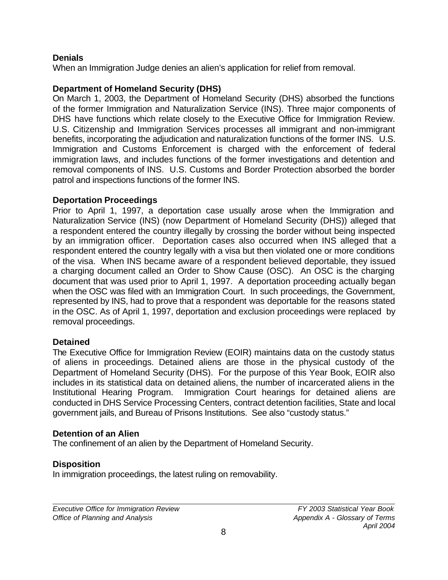#### **Denials**

When an Immigration Judge denies an alien's application for relief from removal.

#### **Department of Homeland Security (DHS)**

On March 1, 2003, the Department of Homeland Security (DHS) absorbed the functions of the former Immigration and Naturalization Service (INS). Three major components of DHS have functions which relate closely to the Executive Office for Immigration Review. U.S. Citizenship and Immigration Services processes all immigrant and non-immigrant benefits, incorporating the adjudication and naturalization functions of the former INS. U.S. Immigration and Customs Enforcement is charged with the enforcement of federal immigration laws, and includes functions of the former investigations and detention and removal components of INS. U.S. Customs and Border Protection absorbed the border patrol and inspections functions of the former INS.

#### **Deportation Proceedings**

Prior to April 1, 1997, a deportation case usually arose when the Immigration and Naturalization Service (INS) (now Department of Homeland Security (DHS)) alleged that a respondent entered the country illegally by crossing the border without being inspected by an immigration officer. Deportation cases also occurred when INS alleged that a respondent entered the country legally with a visa but then violated one or more conditions of the visa. When INS became aware of a respondent believed deportable, they issued a charging document called an Order to Show Cause (OSC). An OSC is the charging document that was used prior to April 1, 1997. A deportation proceeding actually began when the OSC was filed with an Immigration Court. In such proceedings, the Government, represented by INS, had to prove that a respondent was deportable for the reasons stated in the OSC. As of April 1, 1997, deportation and exclusion proceedings were replaced by removal proceedings.

#### **Detained**

The Executive Office for Immigration Review (EOIR) maintains data on the custody status of aliens in proceedings. Detained aliens are those in the physical custody of the Department of Homeland Security (DHS). For the purpose of this Year Book, EOIR also includes in its statistical data on detained aliens, the number of incarcerated aliens in the Institutional Hearing Program. Immigration Court hearings for detained aliens are conducted in DHS Service Processing Centers, contract detention facilities, State and local government jails, and Bureau of Prisons Institutions. See also "custody status."

#### **Detention of an Alien**

The confinement of an alien by the Department of Homeland Security.

#### **Disposition**

In immigration proceedings, the latest ruling on removability.

*Executive Office for Immigration Review FY 2003 Statistical Year Book Office of Planning and Analysis Appendix A - Glossary of Terms*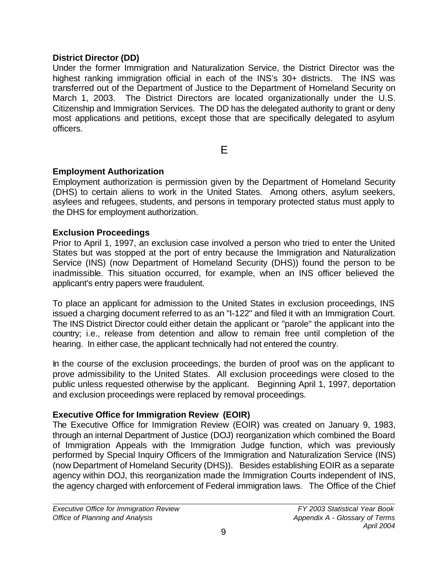#### **District Director (DD)**

Under the former Immigration and Naturalization Service, the District Director was the highest ranking immigration official in each of the INS's 30+ districts. The INS was transferred out of the Department of Justice to the Department of Homeland Security on March 1, 2003. The District Directors are located organizationally under the U.S. Citizenship and Immigration Services. The DD has the delegated authority to grant or deny most applications and petitions, except those that are specifically delegated to asylum officers.

E

## **Employment Authorization**

Employment authorization is permission given by the Department of Homeland Security (DHS) to certain aliens to work in the United States. Among others, asylum seekers, asylees and refugees, students, and persons in temporary protected status must apply to the DHS for employment authorization.

#### **Exclusion Proceedings**

Prior to April 1, 1997, an exclusion case involved a person who tried to enter the United States but was stopped at the port of entry because the Immigration and Naturalization Service (INS) (now Department of Homeland Security (DHS)) found the person to be inadmissible. This situation occurred, for example, when an INS officer believed the applicant's entry papers were fraudulent.

To place an applicant for admission to the United States in exclusion proceedings, INS issued a charging document referred to as an "I-122" and filed it with an Immigration Court. The INS District Director could either detain the applicant or "parole" the applicant into the country; i.e., release from detention and allow to remain free until completion of the hearing. In either case, the applicant technically had not entered the country.

In the course of the exclusion proceedings, the burden of proof was on the applicant to prove admissibility to the United States. All exclusion proceedings were closed to the public unless requested otherwise by the applicant. Beginning April 1, 1997, deportation and exclusion proceedings were replaced by removal proceedings.

#### **Executive Office for Immigration Review (EOIR)**

The Executive Office for Immigration Review (EOIR) was created on January 9, 1983, through an internal Department of Justice (DOJ) reorganization which combined the Board of Immigration Appeals with the Immigration Judge function, which was previously performed by Special Inquiry Officers of the Immigration and Naturalization Service (INS) (now Department of Homeland Security (DHS)). Besides establishing EOIR as a separate agency within DOJ, this reorganization made the Immigration Courts independent of INS, the agency charged with enforcement of Federal immigration laws. The Office of the Chief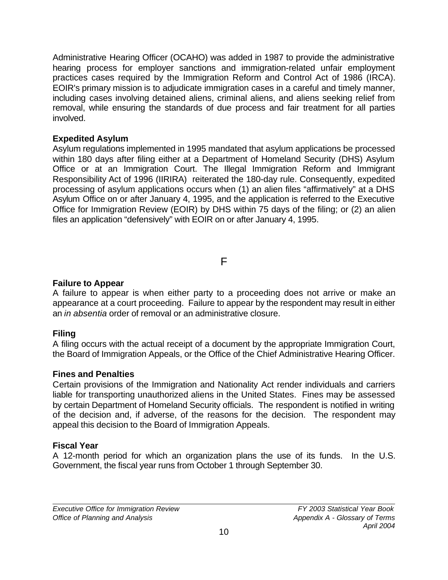Administrative Hearing Officer (OCAHO) was added in 1987 to provide the administrative hearing process for employer sanctions and immigration-related unfair employment practices cases required by the Immigration Reform and Control Act of 1986 (IRCA). EOIR's primary mission is to adjudicate immigration cases in a careful and timely manner, including cases involving detained aliens, criminal aliens, and aliens seeking relief from removal, while ensuring the standards of due process and fair treatment for all parties involved.

#### **Expedited Asylum**

Asylum regulations implemented in 1995 mandated that asylum applications be processed within 180 days after filing either at a Department of Homeland Security (DHS) Asylum Office or at an Immigration Court. The Illegal Immigration Reform and Immigrant Responsibility Act of 1996 (IIRIRA) reiterated the 180-day rule. Consequently, expedited processing of asylum applications occurs when (1) an alien files "affirmatively" at a DHS Asylum Office on or after January 4, 1995, and the application is referred to the Executive Office for Immigration Review (EOIR) by DHS within 75 days of the filing; or (2) an alien files an application "defensively" with EOIR on or after January 4, 1995.

F

## **Failure to Appear**

A failure to appear is when either party to a proceeding does not arrive or make an appearance at a court proceeding. Failure to appear by the respondent may result in either an *in absentia* order of removal or an administrative closure.

# **Filing**

A filing occurs with the actual receipt of a document by the appropriate Immigration Court, the Board of Immigration Appeals, or the Office of the Chief Administrative Hearing Officer.

# **Fines and Penalties**

Certain provisions of the Immigration and Nationality Act render individuals and carriers liable for transporting unauthorized aliens in the United States. Fines may be assessed by certain Department of Homeland Security officials. The respondent is notified in writing of the decision and, if adverse, of the reasons for the decision. The respondent may appeal this decision to the Board of Immigration Appeals.

# **Fiscal Year**

A 12-month period for which an organization plans the use of its funds. In the U.S. Government, the fiscal year runs from October 1 through September 30.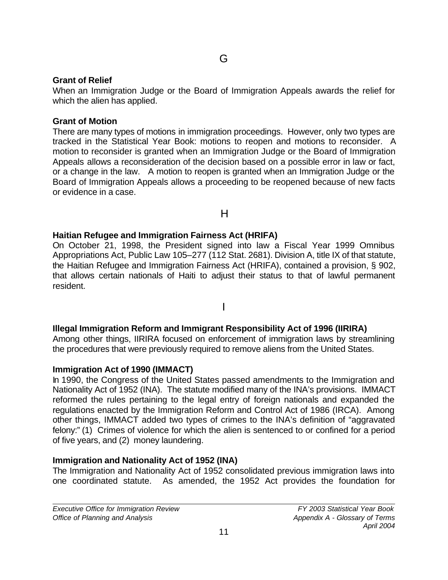#### **Grant of Relief**

When an Immigration Judge or the Board of Immigration Appeals awards the relief for which the alien has applied.

#### **Grant of Motion**

There are many types of motions in immigration proceedings. However, only two types are tracked in the Statistical Year Book: motions to reopen and motions to reconsider. A motion to reconsider is granted when an Immigration Judge or the Board of Immigration Appeals allows a reconsideration of the decision based on a possible error in law or fact, or a change in the law. A motion to reopen is granted when an Immigration Judge or the Board of Immigration Appeals allows a proceeding to be reopened because of new facts or evidence in a case.

H

#### **Haitian Refugee and Immigration Fairness Act (HRIFA)**

On October 21, 1998, the President signed into law a Fiscal Year 1999 Omnibus Appropriations Act, Public Law 105-277 (112 Stat. 2681). Division A, title IX of that statute, the Haitian Refugee and Immigration Fairness Act (HRIFA), contained a provision, § 902, that allows certain nationals of Haiti to adjust their status to that of lawful permanent resident.

#### I

# **Illegal Immigration Reform and Immigrant Responsibility Act of 1996 (IIRIRA)**

Among other things, IIRIRA focused on enforcement of immigration laws by streamlining the procedures that were previously required to remove aliens from the United States.

#### **Immigration Act of 1990 (IMMACT)**

In 1990, the Congress of the United States passed amendments to the Immigration and Nationality Act of 1952 (INA). The statute modified many of the INA's provisions. IMMACT reformed the rules pertaining to the legal entry of foreign nationals and expanded the regulations enacted by the Immigration Reform and Control Act of 1986 (IRCA). Among other things, IMMACT added two types of crimes to the INA's definition of "aggravated felony:" (1) Crimes of violence for which the alien is sentenced to or confined for a period of five years, and (2) money laundering.

# **Immigration and Nationality Act of 1952 (INA)**

The Immigration and Nationality Act of 1952 consolidated previous immigration laws into one coordinated statute. As amended, the 1952 Act provides the foundation for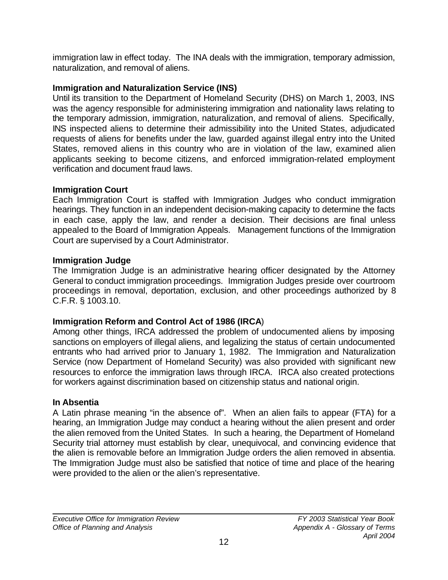immigration law in effect today. The INA deals with the immigration, temporary admission, naturalization, and removal of aliens.

# **Immigration and Naturalization Service (INS)**

Until its transition to the Department of Homeland Security (DHS) on March 1, 2003, INS was the agency responsible for administering immigration and nationality laws relating to the temporary admission, immigration, naturalization, and removal of aliens. Specifically, INS inspected aliens to determine their admissibility into the United States, adjudicated requests of aliens for benefits under the law, guarded against illegal entry into the United States, removed aliens in this country who are in violation of the law, examined alien applicants seeking to become citizens, and enforced immigration-related employment verification and document fraud laws.

# **Immigration Court**

Each Immigration Court is staffed with Immigration Judges who conduct immigration hearings. They function in an independent decision-making capacity to determine the facts in each case, apply the law, and render a decision. Their decisions are final unless appealed to the Board of Immigration Appeals. Management functions of the Immigration Court are supervised by a Court Administrator.

# **Immigration Judge**

The Immigration Judge is an administrative hearing officer designated by the Attorney General to conduct immigration proceedings. Immigration Judges preside over courtroom proceedings in removal, deportation, exclusion, and other proceedings authorized by 8 C.F.R. § 1003.10.

# **Immigration Reform and Control Act of 1986 (IRCA**)

Among other things, IRCA addressed the problem of undocumented aliens by imposing sanctions on employers of illegal aliens, and legalizing the status of certain undocumented entrants who had arrived prior to January 1, 1982. The Immigration and Naturalization Service (now Department of Homeland Security) was also provided with significant new resources to enforce the immigration laws through IRCA. IRCA also created protections for workers against discrimination based on citizenship status and national origin.

# **In Absentia**

A Latin phrase meaning "in the absence of". When an alien fails to appear (FTA) for a hearing, an Immigration Judge may conduct a hearing without the alien present and order the alien removed from the United States. In such a hearing, the Department of Homeland Security trial attorney must establish by clear, unequivocal, and convincing evidence that the alien is removable before an Immigration Judge orders the alien removed in absentia. The Immigration Judge must also be satisfied that notice of time and place of the hearing were provided to the alien or the alien's representative.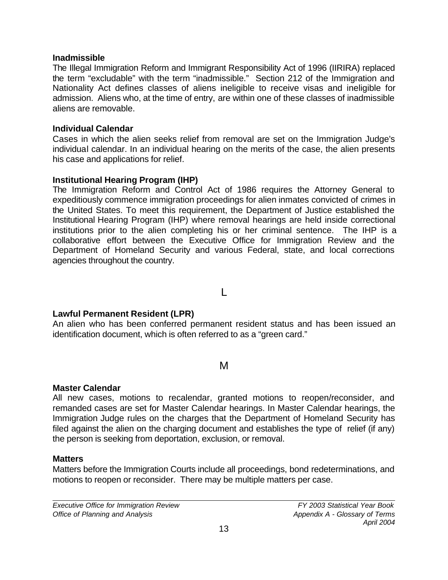#### **Inadmissible**

The Illegal Immigration Reform and Immigrant Responsibility Act of 1996 (IIRIRA) replaced the term "excludable" with the term "inadmissible." Section 212 of the Immigration and Nationality Act defines classes of aliens ineligible to receive visas and ineligible for admission. Aliens who, at the time of entry, are within one of these classes of inadmissible aliens are removable.

#### **Individual Calendar**

Cases in which the alien seeks relief from removal are set on the Immigration Judge's individual calendar. In an individual hearing on the merits of the case, the alien presents his case and applications for relief.

#### **Institutional Hearing Program (IHP)**

The Immigration Reform and Control Act of 1986 requires the Attorney General to expeditiously commence immigration proceedings for alien inmates convicted of crimes in the United States. To meet this requirement, the Department of Justice established the Institutional Hearing Program (IHP) where removal hearings are held inside correctional institutions prior to the alien completing his or her criminal sentence. The IHP is a collaborative effort between the Executive Office for Immigration Review and the Department of Homeland Security and various Federal, state, and local corrections agencies throughout the country.

## $\mathbf{L}$

#### **Lawful Permanent Resident (LPR)**

An alien who has been conferred permanent resident status and has been issued an identification document, which is often referred to as a "green card."

# M

#### **Master Calendar**

All new cases, motions to recalendar, granted motions to reopen/reconsider, and remanded cases are set for Master Calendar hearings. In Master Calendar hearings, the Immigration Judge rules on the charges that the Department of Homeland Security has filed against the alien on the charging document and establishes the type of relief (if any) the person is seeking from deportation, exclusion, or removal.

#### **Matters**

Matters before the Immigration Courts include all proceedings, bond redeterminations, and motions to reopen or reconsider. There may be multiple matters per case.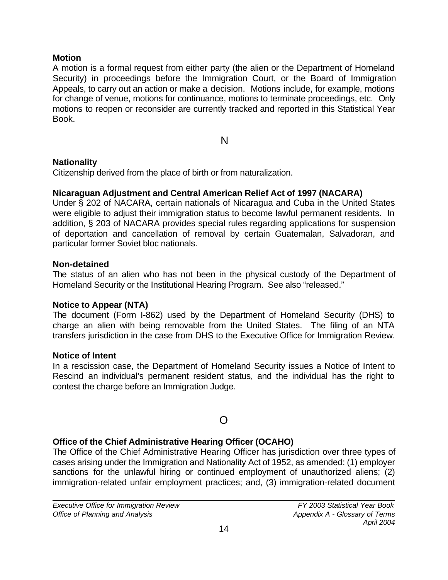#### **Motion**

A motion is a formal request from either party (the alien or the Department of Homeland Security) in proceedings before the Immigration Court, or the Board of Immigration Appeals, to carry out an action or make a decision.Motions include, for example, motions for change of venue, motions for continuance, motions to terminate proceedings, etc.Only motions to reopen or reconsider are currently tracked and reported in this Statistical Year Book.

N

#### **Nationality**

Citizenship derived from the place of birth or from naturalization.

#### **Nicaraguan Adjustment and Central American Relief Act of 1997 (NACARA)**

Under § 202 of NACARA, certain nationals of Nicaragua and Cuba in the United States were eligible to adjust their immigration status to become lawful permanent residents. In addition, § 203 of NACARA provides special rules regarding applications for suspension of deportation and cancellation of removal by certain Guatemalan, Salvadoran, and particular former Soviet bloc nationals.

#### **Non-detained**

The status of an alien who has not been in the physical custody of the Department of Homeland Security or the Institutional Hearing Program. See also "released."

#### **Notice to Appear (NTA)**

The document (Form I-862) used by the Department of Homeland Security (DHS) to charge an alien with being removable from the United States. The filing of an NTA transfers jurisdiction in the case from DHS to the Executive Office for Immigration Review.

#### **Notice of Intent**

In a rescission case, the Department of Homeland Security issues a Notice of Intent to Rescind an individual's permanent resident status, and the individual has the right to contest the charge before an Immigration Judge.

# O

# **Office of the Chief Administrative Hearing Officer (OCAHO)**

The Office of the Chief Administrative Hearing Officer has jurisdiction over three types of cases arising under the Immigration and Nationality Act of 1952, as amended: (1) employer sanctions for the unlawful hiring or continued employment of unauthorized aliens; (2) immigration-related unfair employment practices; and, (3) immigration-related document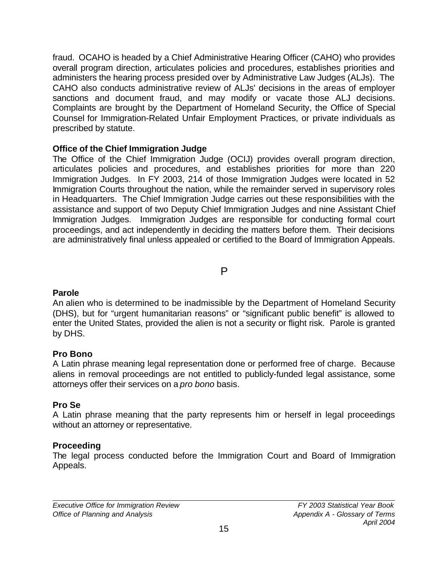fraud. OCAHO is headed by a Chief Administrative Hearing Officer (CAHO) who provides overall program direction, articulates policies and procedures, establishes priorities and administers the hearing process presided over by Administrative Law Judges (ALJs). The CAHO also conducts administrative review of ALJs' decisions in the areas of employer sanctions and document fraud, and may modify or vacate those ALJ decisions. Complaints are brought by the Department of Homeland Security, the Office of Special Counsel for Immigration-Related Unfair Employment Practices, or private individuals as prescribed by statute.

## **Office of the Chief Immigration Judge**

The Office of the Chief Immigration Judge (OCIJ) provides overall program direction, articulates policies and procedures, and establishes priorities for more than 220 Immigration Judges. In FY 2003, 214 of those Immigration Judges were located in 52 Immigration Courts throughout the nation, while the remainder served in supervisory roles in Headquarters. The Chief Immigration Judge carries out these responsibilities with the assistance and support of two Deputy Chief Immigration Judges and nine Assistant Chief Immigration Judges. Immigration Judges are responsible for conducting formal court proceedings, and act independently in deciding the matters before them. Their decisions are administratively final unless appealed or certified to the Board of Immigration Appeals.

P

#### **Parole**

An alien who is determined to be inadmissible by the Department of Homeland Security (DHS), but for "urgent humanitarian reasons" or "significant public benefit" is allowed to enter the United States, provided the alien is not a security or flight risk. Parole is granted by DHS.

#### **Pro Bono**

A Latin phrase meaning legal representation done or performed free of charge. Because aliens in removal proceedings are not entitled to publicly-funded legal assistance, some attorneys offer their services on a *pro bono* basis.

# **Pro Se**

A Latin phrase meaning that the party represents him or herself in legal proceedings without an attorney or representative.

# **Proceeding**

The legal process conducted before the Immigration Court and Board of Immigration Appeals.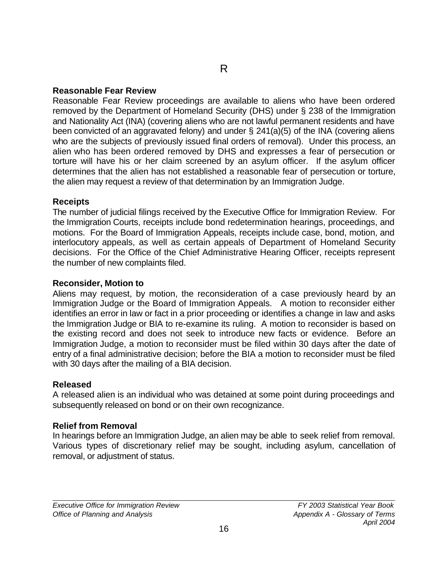#### **Reasonable Fear Review**

Reasonable Fear Review proceedings are available to aliens who have been ordered removed by the Department of Homeland Security (DHS) under § 238 of the Immigration and Nationality Act (INA) (covering aliens who are not lawful permanent residents and have been convicted of an aggravated felony) and under § 241(a)(5) of the INA (covering aliens who are the subjects of previously issued final orders of removal). Under this process, an alien who has been ordered removed by DHS and expresses a fear of persecution or torture will have his or her claim screened by an asylum officer. If the asylum officer determines that the alien has not established a reasonable fear of persecution or torture, the alien may request a review of that determination by an Immigration Judge.

#### **Receipts**

The number of judicial filings received by the Executive Office for Immigration Review. For the Immigration Courts, receipts include bond redetermination hearings, proceedings, and motions. For the Board of Immigration Appeals, receipts include case, bond, motion, and interlocutory appeals, as well as certain appeals of Department of Homeland Security decisions. For the Office of the Chief Administrative Hearing Officer, receipts represent the number of new complaints filed.

#### **Reconsider, Motion to**

Aliens may request, by motion, the reconsideration of a case previously heard by an Immigration Judge or the Board of Immigration Appeals. A motion to reconsider either identifies an error in law or fact in a prior proceeding or identifies a change in law and asks the Immigration Judge or BIA to re-examine its ruling. A motion to reconsider is based on the existing record and does not seek to introduce new facts or evidence. Before an Immigration Judge, a motion to reconsider must be filed within 30 days after the date of entry of a final administrative decision; before the BIA a motion to reconsider must be filed with 30 days after the mailing of a BIA decision.

#### **Released**

A released alien is an individual who was detained at some point during proceedings and subsequently released on bond or on their own recognizance.

#### **Relief from Removal**

In hearings before an Immigration Judge, an alien may be able to seek relief from removal. Various types of discretionary relief may be sought, including asylum, cancellation of removal, or adjustment of status.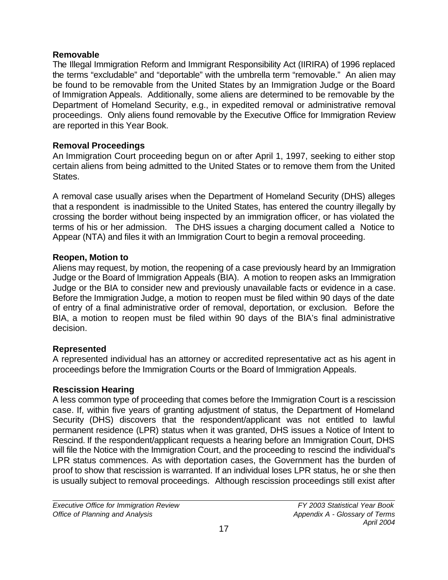#### **Removable**

The Illegal Immigration Reform and Immigrant Responsibility Act (IIRIRA) of 1996 replaced the terms "excludable" and "deportable" with the umbrella term "removable." An alien may be found to be removable from the United States by an Immigration Judge or the Board of Immigration Appeals. Additionally, some aliens are determined to be removable by the Department of Homeland Security, e.g., in expedited removal or administrative removal proceedings. Only aliens found removable by the Executive Office for Immigration Review are reported in this Year Book.

# **Removal Proceedings**

An Immigration Court proceeding begun on or after April 1, 1997, seeking to either stop certain aliens from being admitted to the United States or to remove them from the United States.

A removal case usually arises when the Department of Homeland Security (DHS) alleges that a respondent is inadmissible to the United States, has entered the country illegally by crossing the border without being inspected by an immigration officer, or has violated the terms of his or her admission. The DHS issues a charging document called a Notice to Appear (NTA) and files it with an Immigration Court to begin a removal proceeding.

# **Reopen, Motion to**

Aliens may request, by motion, the reopening of a case previously heard by an Immigration Judge or the Board of Immigration Appeals (BIA). A motion to reopen asks an Immigration Judge or the BIA to consider new and previously unavailable facts or evidence in a case. Before the Immigration Judge, a motion to reopen must be filed within 90 days of the date of entry of a final administrative order of removal, deportation, or exclusion. Before the BIA, a motion to reopen must be filed within 90 days of the BIA's final administrative decision.

# **Represented**

A represented individual has an attorney or accredited representative act as his agent in proceedings before the Immigration Courts or the Board of Immigration Appeals.

# **Rescission Hearing**

A less common type of proceeding that comes before the Immigration Court is a rescission case. If, within five years of granting adjustment of status, the Department of Homeland Security (DHS) discovers that the respondent/applicant was not entitled to lawful permanent residence (LPR) status when it was granted, DHS issues a Notice of Intent to Rescind. If the respondent/applicant requests a hearing before an Immigration Court, DHS will file the Notice with the Immigration Court, and the proceeding to rescind the individual's LPR status commences. As with deportation cases, the Government has the burden of proof to show that rescission is warranted. If an individual loses LPR status, he or she then is usually subject to removal proceedings. Although rescission proceedings still exist after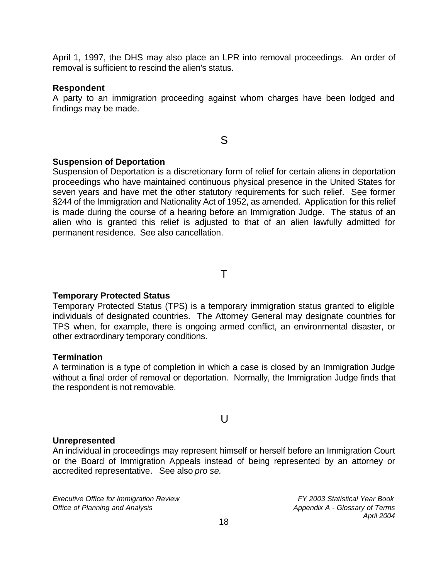April 1, 1997, the DHS may also place an LPR into removal proceedings. An order of removal is sufficient to rescind the alien's status.

#### **Respondent**

A party to an immigration proceeding against whom charges have been lodged and findings may be made.

S

# **Suspension of Deportation**

Suspension of Deportation is a discretionary form of relief for certain aliens in deportation proceedings who have maintained continuous physical presence in the United States for seven years and have met the other statutory requirements for such relief. See former §244 of the Immigration and Nationality Act of 1952, as amended. Application for this relief is made during the course of a hearing before an Immigration Judge. The status of an alien who is granted this relief is adjusted to that of an alien lawfully admitted for permanent residence. See also cancellation.

T

# **Temporary Protected Status**

Temporary Protected Status (TPS) is a temporary immigration status granted to eligible individuals of designated countries. The Attorney General may designate countries for TPS when, for example, there is ongoing armed conflict, an environmental disaster, or other extraordinary temporary conditions.

# **Termination**

A termination is a type of completion in which a case is closed by an Immigration Judge without a final order of removal or deportation. Normally, the Immigration Judge finds that the respondent is not removable.

# $\cup$

# **Unrepresented**

An individual in proceedings may represent himself or herself before an Immigration Court or the Board of Immigration Appeals instead of being represented by an attorney or accredited representative. See also *pro se.*

*Executive Office for Immigration Review FY 2003 Statistical Year Book Office of Planning and Analysis* **Appendix A - Glossary of Terms** *Appendix A - Glossary of Terms*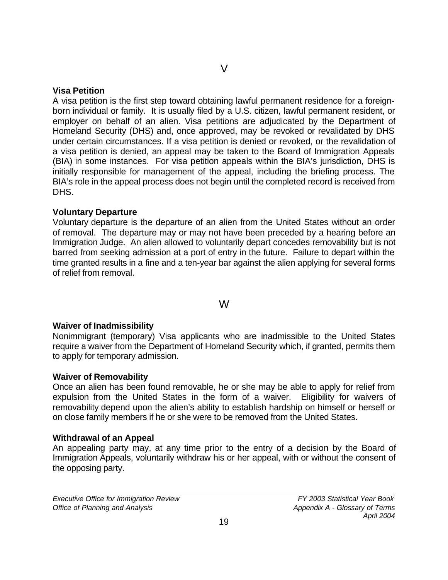#### **Visa Petition**

A visa petition is the first step toward obtaining lawful permanent residence for a foreignborn individual or family. It is usually filed by a U.S. citizen, lawful permanent resident, or employer on behalf of an alien. Visa petitions are adjudicated by the Department of Homeland Security (DHS) and, once approved, may be revoked or revalidated by DHS under certain circumstances. If a visa petition is denied or revoked, or the revalidation of a visa petition is denied, an appeal may be taken to the Board of Immigration Appeals (BIA) in some instances. For visa petition appeals within the BIA's jurisdiction, DHS is initially responsible for management of the appeal, including the briefing process. The BIA's role in the appeal process does not begin until the completed record is received from DHS.

#### **Voluntary Departure**

Voluntary departure is the departure of an alien from the United States without an order of removal. The departure may or may not have been preceded by a hearing before an Immigration Judge. An alien allowed to voluntarily depart concedes removability but is not barred from seeking admission at a port of entry in the future. Failure to depart within the time granted results in a fine and a ten-year bar against the alien applying for several forms of relief from removal.

#### W

#### **Waiver of Inadmissibility**

Nonimmigrant (temporary) Visa applicants who are inadmissible to the United States require a waiver from the Department of Homeland Security which, if granted, permits them to apply for temporary admission.

#### **Waiver of Removability**

Once an alien has been found removable, he or she may be able to apply for relief from expulsion from the United States in the form of a waiver. Eligibility for waivers of removability depend upon the alien's ability to establish hardship on himself or herself or on close family members if he or she were to be removed from the United States.

#### **Withdrawal of an Appeal**

An appealing party may, at any time prior to the entry of a decision by the Board of Immigration Appeals, voluntarily withdraw his or her appeal, with or without the consent of the opposing party.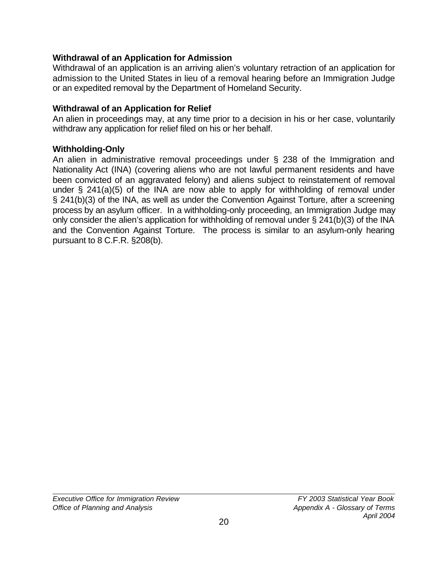#### **Withdrawal of an Application for Admission**

Withdrawal of an application is an arriving alien's voluntary retraction of an application for admission to the United States in lieu of a removal hearing before an Immigration Judge or an expedited removal by the Department of Homeland Security.

#### **Withdrawal of an Application for Relief**

An alien in proceedings may, at any time prior to a decision in his or her case, voluntarily withdraw any application for relief filed on his or her behalf.

#### **Withholding-Only**

An alien in administrative removal proceedings under § 238 of the Immigration and Nationality Act (INA) (covering aliens who are not lawful permanent residents and have been convicted of an aggravated felony) and aliens subject to reinstatement of removal under § 241(a)(5) of the INA are now able to apply for withholding of removal under § 241(b)(3) of the INA, as well as under the Convention Against Torture, after a screening process by an asylum officer. In a withholding-only proceeding, an Immigration Judge may only consider the alien's application for withholding of removal under § 241(b)(3) of the INA and the Convention Against Torture. The process is similar to an asylum-only hearing pursuant to 8 C.F.R. §208(b).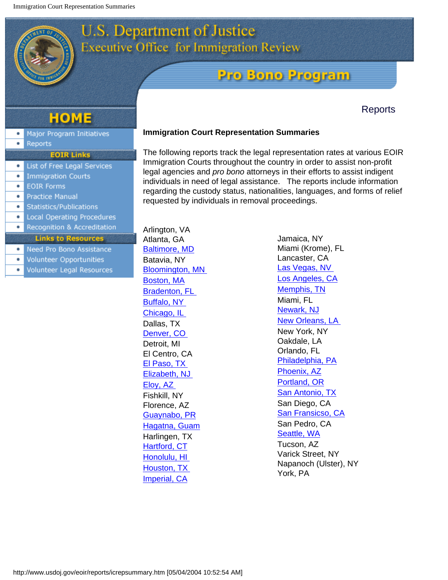# **U.S. Department of Justice Executive Office for Immigration Review**

# **Pro Bono Program**

# **Reports**

# **HOME**

- Major Program Initiatives ۰
- Reports  $\bullet$
- **EOIR Links Q** List of Free Legal Services
- **Immigration Courts** ٠
- **EOIR Forms**  $\bullet$
- **Practice Manual**
- Statistics/Publications
- $\bullet$ Local Operating Procedures
- Recognition & Accreditation

#### **Links to Resources**

- Need Pro Bono Assistance ۰
- Volunteer Opportunities  $\bullet$
- Volunteer Legal Resources ۰

#### **Immigration Court Representation Summaries**

The following reports track the legal representation rates at various EOIR Immigration Courts throughout the country in order to assist non-profit legal agencies and *pro bono* attorneys in their efforts to assist indigent individuals in need of legal assistance. The reports include information regarding the custody status, nationalities, languages, and forms of relief requested by individuals in removal proceedings.

Arlington, VA Atlanta, GA [Baltimore, MD](http://www.usdoj.gov/eoir/reports/2001icrepsummary/01Baltimore.pdf) Batavia, NY [Bloomington, MN](http://www.usdoj.gov/eoir/reports/2001icrepsummary/01Bloomington.pdf) [Boston, MA](http://www.usdoj.gov/eoir/reports/2001icrepsummary/01Boston.pdf) [Bradenton, FL](http://www.usdoj.gov/eoir/reports/2001icrepsummary/01Bradenton.pdf) [Buffalo, NY](http://www.usdoj.gov/eoir/reports/2001icrepsummary/01Buffalo.pdf) [Chicago, IL](http://www.usdoj.gov/eoir/reports/2001icrepsummary/01Chicago.pdf) Dallas, TX [Denver, CO](http://www.usdoj.gov/eoir/reports/2001icrepsummary/01Denver.pdf)  Detroit, MI El Centro, CA [El Paso, TX](http://www.usdoj.gov/eoir/reports/2001icrepsummary/01ElPaso.pdf)  [Elizabeth, NJ](http://www.usdoj.gov/eoir/reports/2001icrepsummary/01Elizabeth.pdf)  [Eloy, AZ](http://www.usdoj.gov/eoir/reports/2001icrepsummary/01Eloy.pdf) Fishkill, NY Florence, AZ [Guaynabo, PR](http://www.usdoj.gov/eoir/reports/2001icrepsummary/01Guaynabo.pdf) [Hagatna, Guam](http://www.usdoj.gov/eoir/reports/2001icrepsummary/01Hagatna.pdf) Harlingen, TX [Hartford, CT](http://www.usdoj.gov/eoir/reports/2001icrepsummary/01Hartford.pdf) [Honolulu, HI](http://www.usdoj.gov/eoir/reports/2001icrepsummary/01Honolulu.pdf) [Houston, TX](http://www.usdoj.gov/eoir/reports/2001icrepsummary/01Houston.pdf)  [Imperial, CA](http://www.usdoj.gov/eoir/reports/2001icrepsummary/01Imperial.pdf)

Jamaica, NY Miami (Krome), FL Lancaster, CA [Las Vegas, NV](http://www.usdoj.gov/eoir/reports/2001icrepsummary/01LasVegas.pdf)  [Los Angeles, CA](http://www.usdoj.gov/eoir/reports/2001icrepsummary/01LosAngeles.pdf) [Memphis, TN](http://www.usdoj.gov/eoir/reports/2001icrepsummary/01Memphis.pdf) Miami, FL [Newark, NJ](http://www.usdoj.gov/eoir/reports/2001icrepsummary/01Newark.pdf) [New Orleans, LA](http://www.usdoj.gov/eoir/reports/2001icrepsummary/01NewOrleans.pdf)  New York, NY Oakdale, LA Orlando, FL [Philadelphia, PA](http://www.usdoj.gov/eoir/reports/2001icrepsummary/01Philadelphia.pdf) [Phoenix, AZ](http://www.usdoj.gov/eoir/reports/2001icrepsummary/01Phoenix.pdf) [Portland, OR](http://www.usdoj.gov/eoir/reports/2001icrepsummary/01Portland.pdf) [San Antonio, TX](http://www.usdoj.gov/eoir/reports/2001icrepsummary/01SanAntonio.pdf) San Diego, CA [San Fransicso, CA](http://www.usdoj.gov/eoir/reports/2001icrepsummary/01SanFrancisco.pdf) San Pedro, CA [Seattle, WA](http://www.usdoj.gov/eoir/reports/2001icrepsummary/01Seattle.pdf) Tucson, AZ Varick Street, NY Napanoch (Ulster), NY York, PA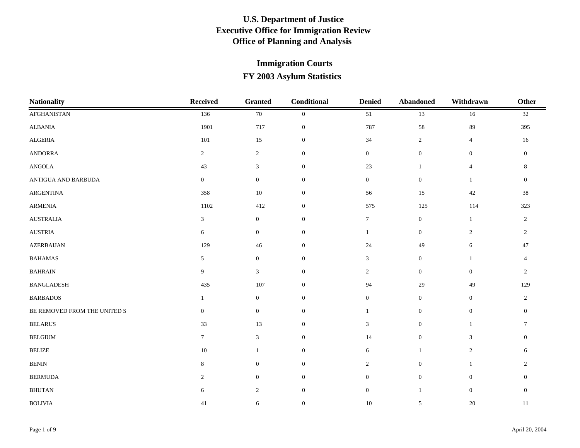| <b>Nationality</b>           | <b>Received</b>  | <b>Granted</b>   | Conditional      | <b>Denied</b>    | Abandoned        | Withdrawn        | <b>Other</b>     |
|------------------------------|------------------|------------------|------------------|------------------|------------------|------------------|------------------|
| AFGHANISTAN                  | 136              | $70\,$           | $\mathbf{0}$     | 51               | 13               | $16\,$           | $32\,$           |
| <b>ALBANIA</b>               | 1901             | 717              | $\mathbf{0}$     | 787              | 58               | 89               | 395              |
| ALGERIA                      | $101\,$          | 15               | $\boldsymbol{0}$ | 34               | $\overline{2}$   | $\overline{4}$   | $16\,$           |
| <b>ANDORRA</b>               | $\overline{2}$   | $\overline{c}$   | $\boldsymbol{0}$ | $\overline{0}$   | $\boldsymbol{0}$ | $\boldsymbol{0}$ | $\mathbf{0}$     |
| <b>ANGOLA</b>                | 43               | 3                | $\boldsymbol{0}$ | $23\,$           | $\mathbf{1}$     | $\overline{4}$   | $\,8\,$          |
| ANTIGUA AND BARBUDA          | $\boldsymbol{0}$ | $\mathbf{0}$     | $\boldsymbol{0}$ | $\overline{0}$   | $\boldsymbol{0}$ | $\mathbf{1}$     | $\mathbf{0}$     |
| ARGENTINA                    | 358              | 10               | $\mathbf{0}$     | 56               | 15               | $42\,$           | 38               |
| <b>ARMENIA</b>               | 1102             | 412              | $\boldsymbol{0}$ | 575              | 125              | 114              | 323              |
| <b>AUSTRALIA</b>             | $\mathfrak{Z}$   | $\mathbf{0}$     | $\mathbf{0}$     | $\tau$           | $\mathbf{0}$     | -1               | $\overline{2}$   |
| <b>AUSTRIA</b>               | 6                | $\mathbf{0}$     | $\boldsymbol{0}$ | $\mathbf{1}$     | $\boldsymbol{0}$ | 2                | $\overline{c}$   |
| <b>AZERBAIJAN</b>            | 129              | 46               | $\boldsymbol{0}$ | 24               | 49               | 6                | 47               |
| <b>BAHAMAS</b>               | 5                | $\mathbf{0}$     | $\overline{0}$   | 3                | $\overline{0}$   | $\mathbf{1}$     | $\overline{4}$   |
| <b>BAHRAIN</b>               | 9                | 3                | $\boldsymbol{0}$ | $\overline{2}$   | $\mathbf{0}$     | $\mathbf{0}$     | $\overline{2}$   |
| <b>BANGLADESH</b>            | 435              | 107              | $\boldsymbol{0}$ | 94               | 29               | 49               | 129              |
| <b>BARBADOS</b>              | $\mathbf{1}$     | $\mathbf{0}$     | $\boldsymbol{0}$ | $\overline{0}$   | $\boldsymbol{0}$ | $\mathbf{0}$     | $\overline{c}$   |
| BE REMOVED FROM THE UNITED S | $\mathbf{0}$     | $\boldsymbol{0}$ | $\boldsymbol{0}$ |                  | $\boldsymbol{0}$ | $\boldsymbol{0}$ | $\boldsymbol{0}$ |
| <b>BELARUS</b>               | 33               | 13               | $\boldsymbol{0}$ | 3                | $\boldsymbol{0}$ | -1               | 7                |
| <b>BELGIUM</b>               | $\tau$           | $\mathfrak{Z}$   | $\mathbf{0}$     | 14               | $\boldsymbol{0}$ | 3                | $\mathbf{0}$     |
| $\operatorname{BELIZE}$      | 10               | 1                | $\boldsymbol{0}$ | 6                | 1                | $\overline{c}$   | 6                |
| <b>BENIN</b>                 | 8                | $\mathbf{0}$     | $\mathbf{0}$     | $\overline{2}$   | $\mathbf{0}$     | $\mathbf{1}$     | 2                |
| <b>BERMUDA</b>               | 2                | $\mathbf{0}$     | $\mathbf{0}$     | $\overline{0}$   | $\boldsymbol{0}$ | $\mathbf{0}$     | $\Omega$         |
| <b>BHUTAN</b>                | 6                | $\sqrt{2}$       | $\mathbf{0}$     | $\boldsymbol{0}$ | $\mathbf{1}$     | $\boldsymbol{0}$ | $\boldsymbol{0}$ |
| <b>BOLIVIA</b>               | 41               | 6                | $\mathbf{0}$     | $10\,$           | 5                | 20               | 11               |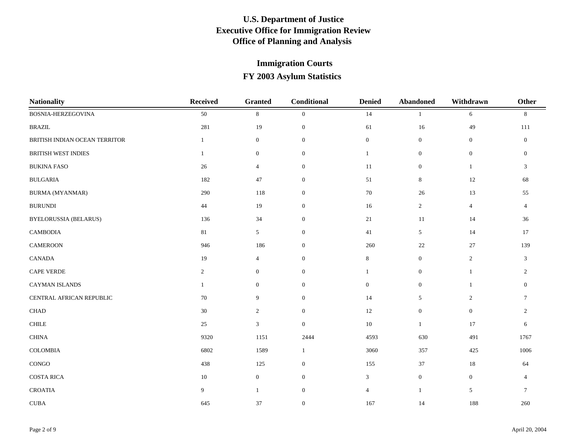| <b>Nationality</b>            | <b>Received</b> | <b>Granted</b>   | Conditional      | <b>Denied</b>  | <b>Abandoned</b> | Withdrawn        | <b>Other</b>   |
|-------------------------------|-----------------|------------------|------------------|----------------|------------------|------------------|----------------|
| BOSNIA-HERZEGOVINA            | 50              | $\,8\,$          | $\mathbf{0}$     | 14             |                  | 6                | 8              |
| <b>BRAZIL</b>                 | 281             | 19               | $\mathbf{0}$     | 61             | $16\,$           | 49               | 111            |
| BRITISH INDIAN OCEAN TERRITOR | $\mathbf{1}$    | $\mathbf{0}$     | $\mathbf{0}$     | $\mathbf{0}$   | $\boldsymbol{0}$ | $\mathbf{0}$     | $\mathbf{0}$   |
| <b>BRITISH WEST INDIES</b>    | $\mathbf{1}$    | $\boldsymbol{0}$ | $\mathbf{0}$     | 1              | $\boldsymbol{0}$ | $\boldsymbol{0}$ | $\mathbf{0}$   |
| <b>BUKINA FASO</b>            | 26              | $\overline{4}$   | $\overline{0}$   | $11\,$         | $\mathbf{0}$     | $\mathbf{1}$     | 3              |
| <b>BULGARIA</b>               | 182             | 47               | $\mathbf{0}$     | 51             | 8                | 12               | 68             |
| <b>BURMA (MYANMAR)</b>        | 290             | 118              | $\mathbf{0}$     | 70             | 26               | 13               | 55             |
| <b>BURUNDI</b>                | 44              | 19               | $\mathbf{0}$     | 16             | $\sqrt{2}$       | $\overline{4}$   | $\overline{4}$ |
| <b>BYELORUSSIA (BELARUS)</b>  | 136             | 34               | $\mathbf{0}$     | 21             | 11               | 14               | 36             |
| <b>CAMBODIA</b>               | 81              | 5 <sup>5</sup>   | $\mathbf{0}$     | 41             | 5                | 14               | 17             |
| $\mathop{\mathtt{CAMEROON}}$  | 946             | 186              | $\mathbf{0}$     | 260            | $22\,$           | $27\,$           | 139            |
| CANADA                        | 19              | $\overline{4}$   | $\mathbf{0}$     | 8              | $\boldsymbol{0}$ | $\overline{2}$   | 3              |
| CAPE VERDE                    | $\overline{2}$  | $\mathbf{0}$     | $\mathbf{0}$     | $\mathbf{1}$   | $\mathbf{0}$     | $\mathbf{1}$     | 2              |
| CAYMAN ISLANDS                | $\mathbf{1}$    | $\mathbf{0}$     | $\overline{0}$   | $\overline{0}$ | $\mathbf{0}$     | $\mathbf{1}$     | $\mathbf{0}$   |
| CENTRAL AFRICAN REPUBLIC      | 70              | 9                | $\boldsymbol{0}$ | 14             | 5                | $\mathbf{2}$     | $\overline{7}$ |
| $\rm CHAD$                    | 30              | $\overline{2}$   | $\boldsymbol{0}$ | 12             | $\mathbf{0}$     | $\mathbf{0}$     | 2              |
| $\text{CHILE}$                | 25              | $\mathfrak{Z}$   | $\mathbf{0}$     | 10             | $\mathbf{1}$     | 17               | 6              |
| $\operatorname{CHINA}$        | 9320            | 1151             | 2444             | 4593           | 630              | 491              | 1767           |
| COLOMBIA                      | 6802            | 1589             | -1               | 3060           | 357              | 425              | 1006           |
| CONGO                         | 438             | 125              | $\overline{0}$   | 155            | 37               | $18\,$           | 64             |
| <b>COSTA RICA</b>             | $10\,$          | $\mathbf{0}$     | $\mathbf{0}$     | $\mathfrak{Z}$ | $\mathbf{0}$     | $\boldsymbol{0}$ | $\overline{4}$ |
| <b>CROATIA</b>                | 9               | $\mathbf{1}$     | $\mathbf{0}$     | $\overline{4}$ | 1                | 5                | $\tau$         |
| $\ensuremath{\mathrm{CUBA}}$  | 645             | 37               | $\mathbf{0}$     | 167            | 14               | 188              | 260            |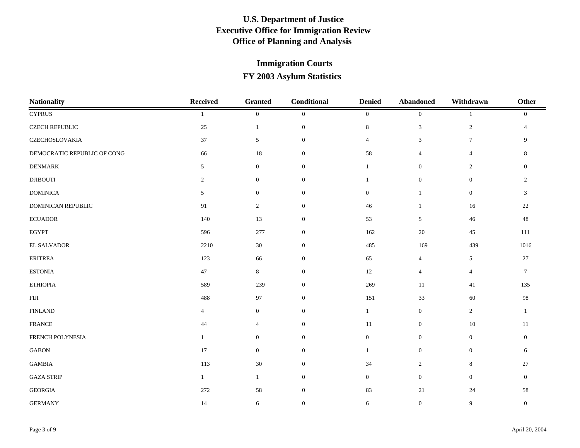| <b>Nationality</b>          | <b>Received</b> | <b>Granted</b>   | Conditional      | <b>Denied</b>  | Abandoned        | Withdrawn      | Other           |
|-----------------------------|-----------------|------------------|------------------|----------------|------------------|----------------|-----------------|
| <b>CYPRUS</b>               |                 | $\mathbf{0}$     | $\mathbf{0}$     | $\overline{0}$ | $\mathbf{0}$     |                | $\mathbf{0}$    |
| <b>CZECH REPUBLIC</b>       | 25              | $\mathbf{1}$     | $\mathbf{0}$     | 8              | 3                | 2              | $\overline{4}$  |
| CZECHOSLOVAKIA              | 37              | $\mathfrak{S}$   | $\boldsymbol{0}$ | $\overline{4}$ | 3                | $\tau$         | 9               |
| DEMOCRATIC REPUBLIC OF CONG | 66              | $18\,$           | $\boldsymbol{0}$ | 58             | $\overline{4}$   | $\overline{4}$ | 8               |
| <b>DENMARK</b>              | 5               | $\boldsymbol{0}$ | $\boldsymbol{0}$ | $\mathbf{1}$   | $\mathbf{0}$     | 2              | $\mathbf{0}$    |
| $\rm{DJBOUTI}$              | $\overline{2}$  | $\mathbf{0}$     | $\mathbf{0}$     |                | $\boldsymbol{0}$ | $\mathbf{0}$   | $\overline{2}$  |
| <b>DOMINICA</b>             | 5               | $\mathbf{0}$     | $\overline{0}$   | $\overline{0}$ | $\mathbf{1}$     | $\overline{0}$ | 3               |
| DOMINICAN REPUBLIC          | 91              | $\overline{2}$   | $\mathbf{0}$     | 46             | $\mathbf{1}$     | 16             | 22              |
| $\operatorname{ECUADOR}$    | 140             | 13               | $\boldsymbol{0}$ | 53             | $5\overline{)}$  | $46\,$         | $48\,$          |
| <b>EGYPT</b>                | 596             | 277              | $\boldsymbol{0}$ | 162            | $20\,$           | 45             | 111             |
| EL SALVADOR                 | 2210            | 30               | $\boldsymbol{0}$ | 485            | 169              | 439            | 1016            |
| <b>ERITREA</b>              | 123             | 66               | $\overline{0}$   | 65             | $\overline{4}$   | 5              | 27              |
| <b>ESTONIA</b>              | $47\,$          | 8                | $\mathbf{0}$     | 12             | $\overline{4}$   | $\overline{4}$ | $7\phantom{.0}$ |
| <b>ETHIOPIA</b>             | 589             | 239              | $\mathbf{0}$     | 269            | 11               | 41             | 135             |
| ${\rm FIII}$                | 488             | 97               | $\mathbf{0}$     | 151            | 33               | $60\,$         | $\rm 98$        |
| <b>FINLAND</b>              | $\overline{4}$  | $\boldsymbol{0}$ | $\mathbf{0}$     | $\mathbf{1}$   | $\boldsymbol{0}$ | $\overline{2}$ | $\mathbf{1}$    |
| <b>FRANCE</b>               | 44              | $\overline{4}$   | $\boldsymbol{0}$ | 11             | $\boldsymbol{0}$ | 10             | 11              |
| FRENCH POLYNESIA            | 1               | $\mathbf{0}$     | $\boldsymbol{0}$ | $\overline{0}$ | $\mathbf{0}$     | $\overline{0}$ | $\theta$        |
| $\operatorname{GABON}$      | 17              | $\mathbf{0}$     | $\mathbf{0}$     | $\mathbf{1}$   | $\overline{0}$   | $\overline{0}$ | 6               |
| <b>GAMBIA</b>               | 113             | 30               | $\mathbf{0}$     | 34             | $\overline{2}$   | 8              | $27\,$          |
| <b>GAZA STRIP</b>           | $\mathbf{1}$    | $\mathbf{1}$     | $\mathbf{0}$     | $\overline{0}$ | $\overline{0}$   | $\mathbf{0}$   | $\theta$        |
| <b>GEORGIA</b>              | 272             | 58               | $\boldsymbol{0}$ | 83             | 21               | 24             | 58              |
| <b>GERMANY</b>              | 14              | 6                | $\mathbf{0}$     | 6              | $\mathbf{0}$     | 9              | $\mathbf{0}$    |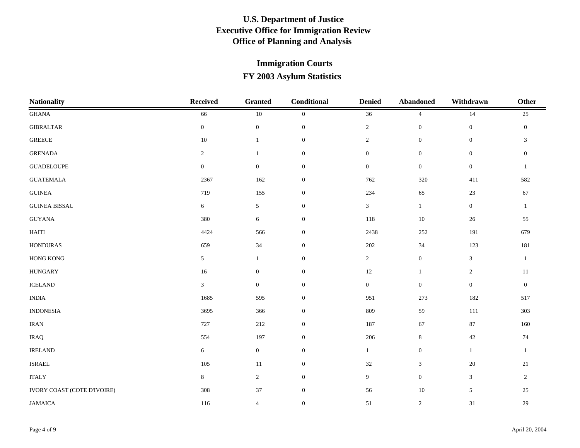| <b>Nationality</b>          | <b>Received</b>  | <b>Granted</b>   | Conditional      | <b>Denied</b>    | <b>Abandoned</b> | Withdrawn        | Other          |
|-----------------------------|------------------|------------------|------------------|------------------|------------------|------------------|----------------|
| <b>GHANA</b>                | 66               | $10\,$           | $\overline{0}$   | 36               | $\overline{4}$   | 14               | 25             |
| <b>GIBRALTAR</b>            | $\mathbf{0}$     | $\boldsymbol{0}$ | $\mathbf{0}$     | $\overline{2}$   | $\mathbf{0}$     | $\mathbf{0}$     | $\mathbf{0}$   |
| ${\tt GREECE}$              | $10\,$           | $\mathbf{1}$     | $\mathbf{0}$     | $\overline{c}$   | $\mathbf{0}$     | $\boldsymbol{0}$ | $\mathfrak{Z}$ |
| <b>GRENADA</b>              | $\overline{2}$   | $\mathbf{1}$     | $\mathbf{0}$     | $\mathbf{0}$     | $\mathbf{0}$     | $\boldsymbol{0}$ | $\mathbf{0}$   |
| <b>GUADELOUPE</b>           | $\boldsymbol{0}$ | $\boldsymbol{0}$ | $\boldsymbol{0}$ | $\overline{0}$   | $\boldsymbol{0}$ | $\mathbf{0}$     | 1              |
| <b>GUATEMALA</b>            | 2367             | 162              | $\mathbf{0}$     | 762              | 320              | 411              | 582            |
| ${\sf GUINEA}$              | 719              | 155              | $\overline{0}$   | 234              | 65               | 23               | 67             |
| <b>GUINEA BISSAU</b>        | 6                | 5                | $\mathbf{0}$     | $\mathfrak{Z}$   | $\mathbf{1}$     | $\mathbf{0}$     | $\mathbf{1}$   |
| <b>GUYANA</b>               | 380              | 6                | $\overline{0}$   | $118\,$          | $10\,$           | 26               | 55             |
| <b>HAITI</b>                | 4424             | 566              | $\boldsymbol{0}$ | 2438             | 252              | 191              | 679            |
| <b>HONDURAS</b>             | 659              | 34               | $\mathbf{0}$     | 202              | 34               | 123              | 181            |
| <b>HONG KONG</b>            | 5 <sup>5</sup>   | $\mathbf{1}$     | $\overline{0}$   | $\overline{2}$   | $\mathbf{0}$     | 3                | $\mathbf{1}$   |
| <b>HUNGARY</b>              | 16               | $\boldsymbol{0}$ | $\overline{0}$   | 12               | $\mathbf{1}$     | $\overline{2}$   | 11             |
| <b>ICELAND</b>              | $\mathfrak{Z}$   | $\overline{0}$   | $\overline{0}$   | $\boldsymbol{0}$ | $\mathbf{0}$     | $\mathbf{0}$     | $\mathbf{0}$   |
| $\mathbf{INDIA}$            | 1685             | 595              | $\mathbf{0}$     | 951              | 273              | 182              | 517            |
| <b>INDONESIA</b>            | 3695             | 366              | $\boldsymbol{0}$ | 809              | 59               | 111              | 303            |
| <b>IRAN</b>                 | 727              | 212              | $\mathbf{0}$     | 187              | 67               | 87               | 160            |
| <b>IRAQ</b>                 | 554              | 197              | $\mathbf{0}$     | 206              | $\,8\,$          | 42               | 74             |
| <b>IRELAND</b>              | 6                | $\overline{0}$   | $\overline{0}$   | $\mathbf{1}$     | $\mathbf{0}$     | 1                | $\mathbf{1}$   |
| <b>ISRAEL</b>               | 105              | $11\,$           | $\mathbf{0}$     | 32               | $\mathbf{3}$     | $20\,$           | 21             |
| <b>ITALY</b>                | $8\,$            | $\overline{2}$   | $\overline{0}$   | 9                | $\mathbf{0}$     | 3                | 2              |
| IVORY COAST (COTE D'IVOIRE) | 308              | $37\,$           | $\boldsymbol{0}$ | 56               | $10\,$           | $\sqrt{5}$       | 25             |
| <b>JAMAICA</b>              | 116              | $\overline{4}$   | $\mathbf{0}$     | 51               | $\overline{2}$   | 31               | 29             |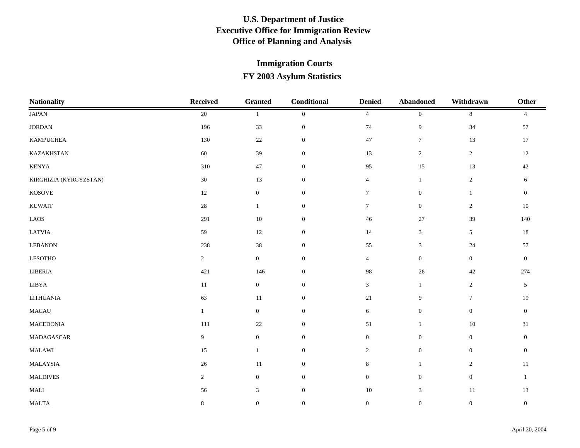| <b>Nationality</b>     | <b>Received</b> | <b>Granted</b>   | Conditional      | <b>Denied</b>    | <b>Abandoned</b> | Withdrawn        | Other            |
|------------------------|-----------------|------------------|------------------|------------------|------------------|------------------|------------------|
| $_{\rm JAPAN}$         | 20              |                  | $\overline{0}$   | $\overline{4}$   | $\mathbf{0}$     | $\,8\,$          | $\overline{4}$   |
| $\rm JORDAN$           | 196             | 33               | $\mathbf{0}$     | 74               | 9                | 34               | 57               |
| <b>KAMPUCHEA</b>       | 130             | 22               | $\overline{0}$   | 47               | $\tau$           | 13               | 17               |
| KAZAKHSTAN             | $60\,$          | 39               | $\mathbf{0}$     | 13               | $\sqrt{2}$       | $\overline{2}$   | 12               |
| KENYA                  | 310             | $47\,$           | $\mathbf{0}$     | 95               | 15               | $13\,$           | $42\,$           |
| KIRGHIZIA (KYRGYZSTAN) | $30\,$          | 13               | $\mathbf{0}$     | $\overline{4}$   | $\mathbf{1}$     | $\overline{2}$   | 6                |
| KOSOVE                 | 12              | $\boldsymbol{0}$ | $\overline{0}$   | $7\phantom{.0}$  | $\mathbf{0}$     | $\mathbf{1}$     | $\overline{0}$   |
| <b>KUWAIT</b>          | $28\,$          | $\mathbf{1}$     | $\overline{0}$   | $7\overline{ }$  | $\mathbf{0}$     | $\sqrt{2}$       | $10\,$           |
| $\rm LAOS$             | 291             | 10               | $\overline{0}$   | 46               | 27               | $39\,$           | 140              |
| LATVIA                 | 59              | 12               | $\boldsymbol{0}$ | 14               | $\mathfrak{Z}$   | 5                | $18\,$           |
| <b>LEBANON</b>         | 238             | $38\,$           | $\mathbf{0}$     | 55               | $\mathfrak{Z}$   | $24\,$           | 57               |
| <b>LESOTHO</b>         | $\overline{2}$  | $\overline{0}$   | $\overline{0}$   | $\overline{4}$   | $\mathbf{0}$     | $\mathbf{0}$     | $\mathbf{0}$     |
| LIBERIA                | 421             | 146              | $\mathbf{0}$     | 98               | $26\,$           | $42\,$           | 274              |
| ${\rm LIBYA}$          | $11\,$          | $\overline{0}$   | $\overline{0}$   | $\mathfrak{Z}$   | $\mathbf{1}$     | $\sqrt{2}$       | 5                |
| <b>LITHUANIA</b>       | 63              | 11               | $\overline{0}$   | 21               | 9                | $\tau$           | 19               |
| <b>MACAU</b>           | $\mathbf{1}$    | $\overline{0}$   | $\mathbf{0}$     | 6                | $\mathbf{0}$     | $\mathbf{0}$     | $\mathbf{0}$     |
| MACEDONIA              | 111             | $22\,$           | $\mathbf{0}$     | 51               | $\mathbf{1}$     | $10\,$           | 31               |
| MADAGASCAR             | 9               | $\mathbf{0}$     | $\mathbf{0}$     | $\overline{0}$   | $\mathbf{0}$     | $\overline{0}$   | $\overline{0}$   |
| MALAWI                 | 15              | $\mathbf{1}$     | $\overline{0}$   | $\overline{2}$   | $\mathbf{0}$     | $\boldsymbol{0}$ | $\overline{0}$   |
| MALAYSIA               | $26\,$          | $11\,$           | $\overline{0}$   | $8\,$            | $\mathbf{1}$     | $\sqrt{2}$       | $11\,$           |
| <b>MALDIVES</b>        | $\overline{2}$  | $\mathbf{0}$     | $\mathbf{0}$     | $\boldsymbol{0}$ | $\mathbf{0}$     | $\boldsymbol{0}$ | $\mathbf{1}$     |
| $\operatorname{MALI}$  | 56              | $\mathfrak{Z}$   | $\boldsymbol{0}$ | $10\,$           | $\mathfrak{Z}$   | $11\,$           | 13               |
| $\operatorname{MALTA}$ | $\,8\,$         | $\boldsymbol{0}$ | $\overline{0}$   | $\boldsymbol{0}$ | $\mathbf{0}$     | $\overline{0}$   | $\boldsymbol{0}$ |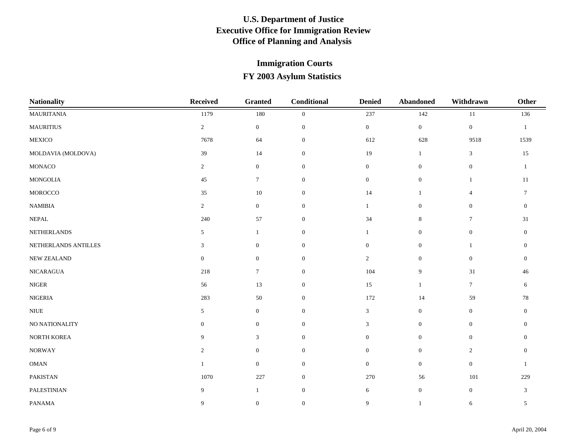| <b>Nationality</b>   | Received         | <b>Granted</b>   | Conditional      | <b>Denied</b>  | <b>Abandoned</b> | Withdrawn        | Other           |
|----------------------|------------------|------------------|------------------|----------------|------------------|------------------|-----------------|
| <b>MAURITANIA</b>    | 1179             | 180              | $\overline{0}$   | 237            | 142              | 11               | 136             |
| <b>MAURITIUS</b>     | $\overline{2}$   | $\overline{0}$   | $\mathbf{0}$     | $\overline{0}$ | $\boldsymbol{0}$ | $\overline{0}$   | $\mathbf{1}$    |
| MEXICO               | 7678             | 64               | $\mathbf{0}$     | 612            | 628              | 9518             | 1539            |
| MOLDAVIA (MOLDOVA)   | 39               | 14               | $\boldsymbol{0}$ | 19             | 1                | 3                | $15\,$          |
| MONACO               | $\overline{2}$   | $\mathbf{0}$     | $\boldsymbol{0}$ | $\overline{0}$ | $\mathbf{0}$     | $\boldsymbol{0}$ | 1               |
| <b>MONGOLIA</b>      | 45               | $\tau$           | $\boldsymbol{0}$ | $\overline{0}$ | $\boldsymbol{0}$ | $\mathbf{1}$     | 11              |
| MOROCCO              | 35               | 10               | $\overline{0}$   | 14             | $\mathbf{1}$     | $\overline{4}$   | $7\phantom{.0}$ |
| $\mathbf{NAMIBIA}$   | $\overline{2}$   | $\overline{0}$   | $\overline{0}$   |                | $\mathbf{0}$     | $\mathbf{0}$     | $\mathbf{0}$    |
| <b>NEPAL</b>         | 240              | 57               | $\mathbf{0}$     | 34             | 8                | 7                | 31              |
| NETHERLANDS          | 5                | $\mathbf{1}$     | $\mathbf{0}$     | $\mathbf{1}$   | $\mathbf{0}$     | $\mathbf{0}$     | $\mathbf{0}$    |
| NETHERLANDS ANTILLES | 3                | $\mathbf{0}$     | $\mathbf{0}$     | $\overline{0}$ | $\mathbf{0}$     | $\overline{1}$   | $\overline{0}$  |
| <b>NEW ZEALAND</b>   | $\overline{0}$   | $\mathbf{0}$     | $\overline{0}$   | $\overline{2}$ | $\mathbf{0}$     | $\mathbf{0}$     | $\mathbf{0}$    |
| NICARAGUA            | 218              | $\tau$           | $\overline{0}$   | 104            | 9                | 31               | 46              |
| $\rm NIGER$          | 56               | 13               | $\mathbf{0}$     | 15             | $\mathbf{1}$     | $\tau$           | 6               |
| <b>NIGERIA</b>       | 283              | 50               | $\mathbf{0}$     | 172            | 14               | 59               | 78              |
| <b>NIUE</b>          | $\mathfrak{S}$   | $\boldsymbol{0}$ | $\mathbf{0}$     | $\mathfrak{Z}$ | $\boldsymbol{0}$ | $\overline{0}$   | $\overline{0}$  |
| NO NATIONALITY       | $\boldsymbol{0}$ | $\boldsymbol{0}$ | $\mathbf{0}$     | 3              | $\boldsymbol{0}$ | $\boldsymbol{0}$ | $\mathbf{0}$    |
| NORTH KOREA          | 9                | 3                | $\mathbf{0}$     | $\mathbf{0}$   | $\mathbf{0}$     | $\boldsymbol{0}$ | $\Omega$        |
| <b>NORWAY</b>        | 2                | $\mathbf{0}$     | $\overline{0}$   | $\overline{0}$ | $\mathbf{0}$     | $\sqrt{2}$       | $\theta$        |
| $\mathbf{OMAN}$      | $\mathbf{1}$     | $\overline{0}$   | $\mathbf{0}$     | $\overline{0}$ | $\mathbf{0}$     | $\overline{0}$   | $\overline{1}$  |
| PAKISTAN             | 1070             | 227              | $\mathbf{0}$     | 270            | 56               | 101              | 229             |
| PALESTINIAN          | 9                | 1                | $\mathbf{0}$     | 6              | $\boldsymbol{0}$ | $\mathbf{0}$     | $\mathfrak{Z}$  |
| PANAMA               | 9                | $\boldsymbol{0}$ | $\overline{0}$   | 9              | 1                | 6                | 5               |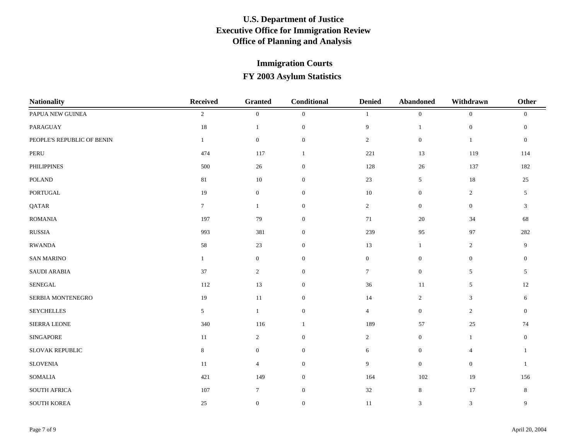| <b>Nationality</b>           | Received        | <b>Granted</b>   | Conditional      | <b>Denied</b>  | <b>Abandoned</b> | Withdrawn         | Other          |
|------------------------------|-----------------|------------------|------------------|----------------|------------------|-------------------|----------------|
| PAPUA NEW GUINEA             | $\sqrt{2}$      | $\boldsymbol{0}$ | $\overline{0}$   |                | $\mathbf{0}$     | $\mathbf{0}$      | $\mathbf{0}$   |
| PARAGUAY                     | 18              | $\mathbf{1}$     | $\mathbf{0}$     | 9              | $\mathbf{1}$     | $\boldsymbol{0}$  | $\mathbf{0}$   |
| PEOPLE'S REPUBLIC OF BENIN   | $\mathbf{1}$    | $\mathbf{0}$     | $\overline{0}$   | $\overline{2}$ | $\mathbf{0}$     | $\mathbf{1}$      | $\overline{0}$ |
| $\ensuremath{\mathsf{PERU}}$ | 474             | 117              | -1               | $221\,$        | 13               | 119               | 114            |
| PHILIPPINES                  | 500             | $26\,$           | $\boldsymbol{0}$ | 128            | 26               | 137               | 182            |
| $\sf POLAND$                 | 81              | 10               | $\boldsymbol{0}$ | $23\,$         | 5                | $18\,$            | 25             |
| <b>PORTUGAL</b>              | 19              | $\mathbf{0}$     | $\overline{0}$   | $10\,$         | $\mathbf{0}$     | $\overline{c}$    | 5              |
| QATAR                        | $7\overline{ }$ | $\mathbf{1}$     | $\mathbf{0}$     | $\overline{2}$ | $\mathbf{0}$     | $\boldsymbol{0}$  | $\mathbf{3}$   |
| <b>ROMANIA</b>               | 197             | 79               | $\mathbf{0}$     | 71             | 20               | 34                | 68             |
| ${\rm RUSSIA}$               | 993             | 381              | $\mathbf{0}$     | 239            | 95               | $\ensuremath{97}$ | 282            |
| <b>RWANDA</b>                | 58              | 23               | $\mathbf{0}$     | 13             | $\mathbf{1}$     | $\overline{2}$    | 9              |
| <b>SAN MARINO</b>            | $\mathbf{1}$    | $\mathbf{0}$     | $\mathbf{0}$     | $\overline{0}$ | $\mathbf{0}$     | $\mathbf{0}$      | $\mathbf{0}$   |
| SAUDI ARABIA                 | 37              | $\overline{2}$   | $\mathbf{0}$     | $\tau$         | $\mathbf{0}$     | 5                 | 5              |
| SENEGAL                      | 112             | 13               | $\overline{0}$   | 36             | 11               | 5                 | $12\,$         |
| SERBIA MONTENEGRO            | 19              | 11               | $\mathbf{0}$     | 14             | 2                | 3                 | 6              |
| <b>SEYCHELLES</b>            | $5\overline{)}$ | $\mathbf{1}$     | $\mathbf{0}$     | $\overline{4}$ | $\boldsymbol{0}$ | $\overline{c}$    | $\overline{0}$ |
| SIERRA LEONE                 | 340             | 116              | -1               | 189            | 57               | $25\,$            | $74\,$         |
| <b>SINGAPORE</b>             | 11              | $\overline{2}$   | $\mathbf{0}$     | $\overline{2}$ | $\mathbf{0}$     | $\mathbf{1}$      | $\mathbf{0}$   |
| SLOVAK REPUBLIC              | $\,8\,$         | $\mathbf{0}$     | $\mathbf{0}$     | 6              | $\mathbf{0}$     | $\overline{4}$    | $\overline{1}$ |
| <b>SLOVENIA</b>              | 11              | $\overline{4}$   | $\mathbf{0}$     | 9              | $\mathbf{0}$     | $\mathbf{0}$      | $\overline{1}$ |
| <b>SOMALIA</b>               | 421             | 149              | $\mathbf{0}$     | 164            | 102              | $19\,$            | 156            |
| SOUTH AFRICA                 | 107             | $7\phantom{.0}$  | $\mathbf{0}$     | 32             | $8\,$            | $17\,$            | $\,8\,$        |
| <b>SOUTH KOREA</b>           | 25              | $\boldsymbol{0}$ | $\mathbf{0}$     | 11             | 3                | 3                 | 9              |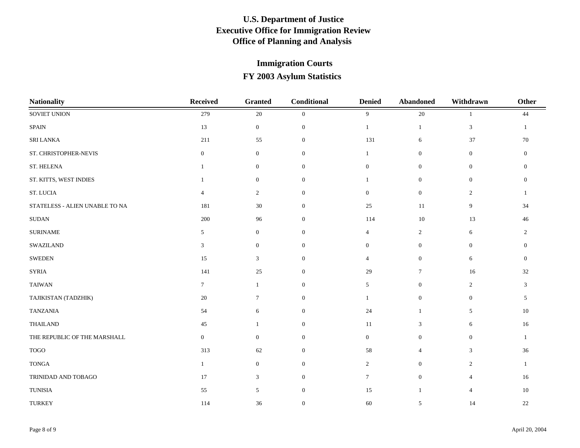| <b>Nationality</b>             | <b>Received</b>  | <b>Granted</b>   | Conditional    | <b>Denied</b>   | <b>Abandoned</b> | Withdrawn      | <b>Other</b>   |
|--------------------------------|------------------|------------------|----------------|-----------------|------------------|----------------|----------------|
| SOVIET UNION                   | 279              | $20\,$           | $\mathbf{0}$   | 9               | 20               |                | 44             |
| SPAIN                          | 13               | $\overline{0}$   | $\overline{0}$ | $\mathbf{1}$    | $\mathbf{1}$     | 3              | $\overline{1}$ |
| <b>SRI LANKA</b>               | 211              | 55               | $\mathbf{0}$   | 131             | 6                | 37             | 70             |
| ST. CHRISTOPHER-NEVIS          | $\boldsymbol{0}$ | $\mathbf{0}$     | $\mathbf{0}$   | $\mathbf{1}$    | $\mathbf{0}$     | $\mathbf{0}$   | $\theta$       |
| ST. HELENA                     | $\mathbf{1}$     | $\boldsymbol{0}$ | $\mathbf{0}$   | $\mathbf{0}$    | $\mathbf{0}$     | $\mathbf{0}$   | $\Omega$       |
| ST. KITTS, WEST INDIES         | $\mathbf{1}$     | $\boldsymbol{0}$ | $\mathbf{0}$   | 1               | $\mathbf{0}$     | $\mathbf{0}$   | $\Omega$       |
| ST. LUCIA                      | $\overline{4}$   | $\overline{2}$   | $\theta$       | $\overline{0}$  | $\mathbf{0}$     | 2              |                |
| STATELESS - ALIEN UNABLE TO NA | 181              | 30               | $\mathbf{0}$   | 25              | 11               | 9              | 34             |
| <b>SUDAN</b>                   | 200              | 96               | $\mathbf{0}$   | 114             | 10               | 13             | 46             |
| <b>SURINAME</b>                | 5                | $\mathbf{0}$     | $\mathbf{0}$   | $\overline{4}$  | 2                | 6              | $\overline{2}$ |
| <b>SWAZILAND</b>               | $\mathbf{3}$     | $\mathbf{0}$     | $\mathbf{0}$   | $\overline{0}$  | $\mathbf{0}$     | $\mathbf{0}$   | $\Omega$       |
| <b>SWEDEN</b>                  | 15               | 3                | $\mathbf{0}$   | $\overline{4}$  | $\mathbf{0}$     | 6              | $\mathbf{0}$   |
| <b>SYRIA</b>                   | 141              | $25\,$           | $\mathbf{0}$   | 29              | $\tau$           | 16             | 32             |
| <b>TAIWAN</b>                  | $\tau$           | $\mathbf{1}$     | $\mathbf{0}$   | 5               | $\mathbf{0}$     | $\overline{c}$ | 3              |
| TAJIKISTAN (TADZHIK)           | 20               | $\tau$           | $\mathbf{0}$   | $\mathbf{1}$    | $\mathbf{0}$     | $\mathbf{0}$   | 5              |
| <b>TANZANIA</b>                | 54               | 6                | $\mathbf{0}$   | 24              | $\mathbf{1}$     | 5              | $10\,$         |
| <b>THAILAND</b>                | 45               | 1                | $\mathbf{0}$   | 11              | 3                | 6              | 16             |
| THE REPUBLIC OF THE MARSHALL   | $\mathbf{0}$     | $\mathbf{0}$     | $\mathbf{0}$   | $\overline{0}$  | $\mathbf{0}$     | $\overline{0}$ | 1              |
| $\rm TOGO$                     | 313              | 62               | $\mathbf{0}$   | 58              | $\overline{4}$   | 3              | 36             |
| <b>TONGA</b>                   | $\mathbf{1}$     | $\mathbf{0}$     | $\mathbf{0}$   | $\overline{2}$  | $\overline{0}$   | $\overline{c}$ | $\mathbf{1}$   |
| TRINIDAD AND TOBAGO            | 17               | 3                | $\mathbf{0}$   | $7\overline{ }$ | $\mathbf{0}$     | $\overline{4}$ | 16             |
| <b>TUNISIA</b>                 | 55               | 5                | $\mathbf{0}$   | $15\,$          | -1               | 4              | $10\,$         |
| <b>TURKEY</b>                  | 114              | 36               | $\mathbf{0}$   | 60              | 5                | 14             | $22\,$         |